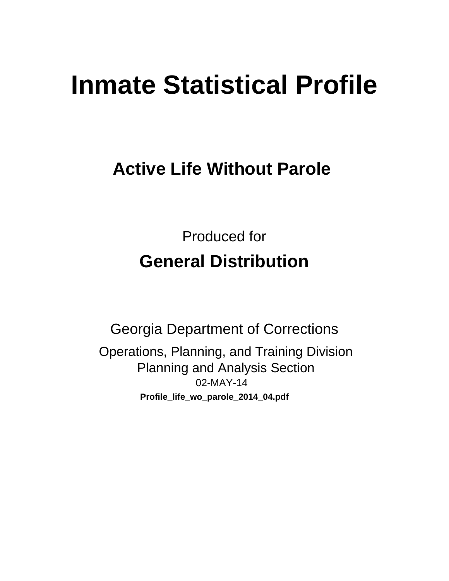# **Inmate Statistical Profile**

# **Active Life Without Parole**

**Produced for General Distribution** 

**Georgia Department of Corrections** Operations, Planning, and Training Division **Planning and Analysis Section** 02-MAY-14 Profile\_life\_wo\_parole\_2014\_04.pdf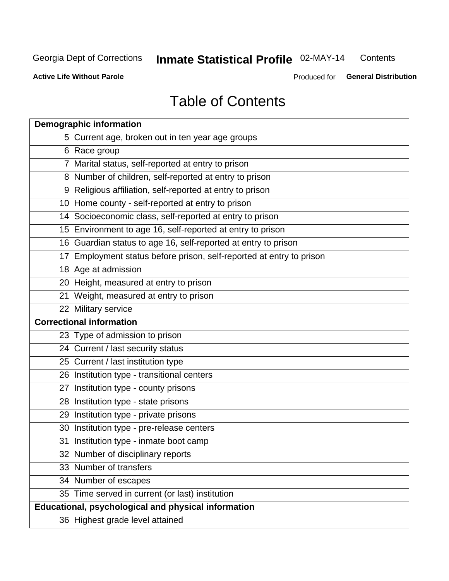#### Inmate Statistical Profile 02-MAY-14 Contents

**Active Life Without Parole** 

Produced for General Distribution

# **Table of Contents**

| <b>Demographic information</b>                                       |
|----------------------------------------------------------------------|
| 5 Current age, broken out in ten year age groups                     |
| 6 Race group                                                         |
| 7 Marital status, self-reported at entry to prison                   |
| 8 Number of children, self-reported at entry to prison               |
| 9 Religious affiliation, self-reported at entry to prison            |
| 10 Home county - self-reported at entry to prison                    |
| 14 Socioeconomic class, self-reported at entry to prison             |
| 15 Environment to age 16, self-reported at entry to prison           |
| 16 Guardian status to age 16, self-reported at entry to prison       |
| 17 Employment status before prison, self-reported at entry to prison |
| 18 Age at admission                                                  |
| 20 Height, measured at entry to prison                               |
| 21 Weight, measured at entry to prison                               |
| 22 Military service                                                  |
| <b>Correctional information</b>                                      |
| 23 Type of admission to prison                                       |
| 24 Current / last security status                                    |
| 25 Current / last institution type                                   |
| 26 Institution type - transitional centers                           |
| 27 Institution type - county prisons                                 |
| 28 Institution type - state prisons                                  |
| 29 Institution type - private prisons                                |
| 30 Institution type - pre-release centers                            |
| 31 Institution type - inmate boot camp                               |
| 32 Number of disciplinary reports                                    |
| 33 Number of transfers                                               |
| 34 Number of escapes                                                 |
| 35 Time served in current (or last) institution                      |
| <b>Educational, psychological and physical information</b>           |
| 36 Highest grade level attained                                      |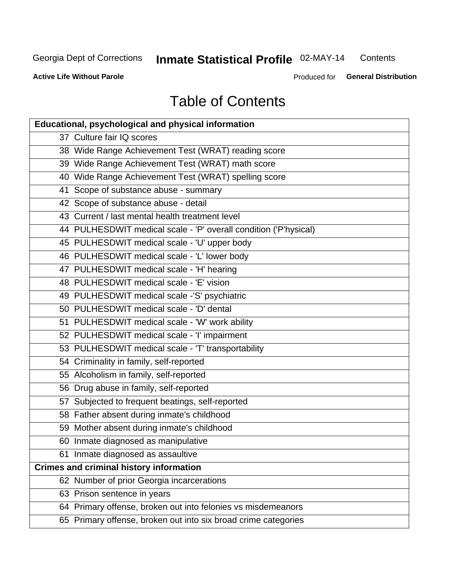# Inmate Statistical Profile 02-MAY-14

Contents

**Active Life Without Parole** 

Produced for General Distribution

# **Table of Contents**

| <b>Educational, psychological and physical information</b>       |
|------------------------------------------------------------------|
| 37 Culture fair IQ scores                                        |
| 38 Wide Range Achievement Test (WRAT) reading score              |
| 39 Wide Range Achievement Test (WRAT) math score                 |
| 40 Wide Range Achievement Test (WRAT) spelling score             |
| 41 Scope of substance abuse - summary                            |
| 42 Scope of substance abuse - detail                             |
| 43 Current / last mental health treatment level                  |
| 44 PULHESDWIT medical scale - 'P' overall condition ('P'hysical) |
| 45 PULHESDWIT medical scale - 'U' upper body                     |
| 46 PULHESDWIT medical scale - 'L' lower body                     |
| 47 PULHESDWIT medical scale - 'H' hearing                        |
| 48 PULHESDWIT medical scale - 'E' vision                         |
| 49 PULHESDWIT medical scale -'S' psychiatric                     |
| 50 PULHESDWIT medical scale - 'D' dental                         |
| 51 PULHESDWIT medical scale - 'W' work ability                   |
| 52 PULHESDWIT medical scale - 'I' impairment                     |
| 53 PULHESDWIT medical scale - 'T' transportability               |
| 54 Criminality in family, self-reported                          |
| 55 Alcoholism in family, self-reported                           |
| 56 Drug abuse in family, self-reported                           |
| 57 Subjected to frequent beatings, self-reported                 |
| 58 Father absent during inmate's childhood                       |
| 59 Mother absent during inmate's childhood                       |
| 60 Inmate diagnosed as manipulative                              |
| 61 Inmate diagnosed as assaultive                                |
| <b>Crimes and criminal history information</b>                   |
| 62 Number of prior Georgia incarcerations                        |
| 63 Prison sentence in years                                      |
| 64 Primary offense, broken out into felonies vs misdemeanors     |
| 65 Primary offense, broken out into six broad crime categories   |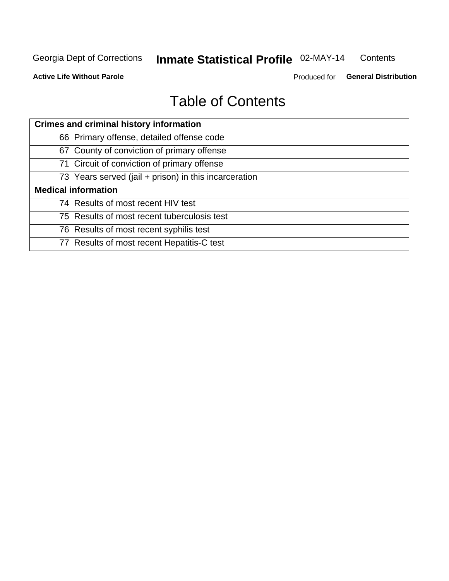#### Inmate Statistical Profile 02-MAY-14 Contents

**Active Life Without Parole** 

Produced for General Distribution

# **Table of Contents**

| <b>Crimes and criminal history information</b>        |
|-------------------------------------------------------|
| 66 Primary offense, detailed offense code             |
| 67 County of conviction of primary offense            |
| 71 Circuit of conviction of primary offense           |
| 73 Years served (jail + prison) in this incarceration |
| <b>Medical information</b>                            |
| 74 Results of most recent HIV test                    |
| 75 Results of most recent tuberculosis test           |
| 76 Results of most recent syphilis test               |
| 77 Results of most recent Hepatitis-C test            |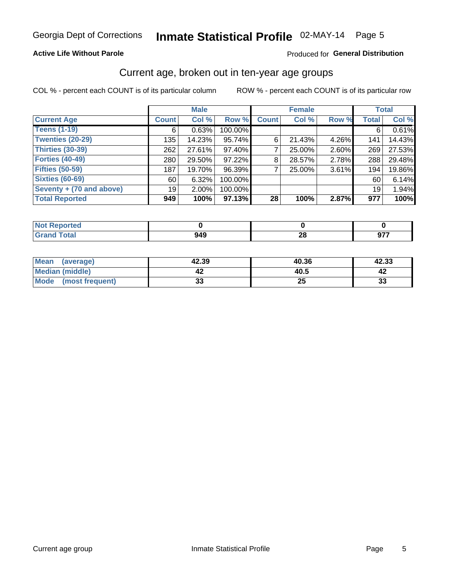### Inmate Statistical Profile 02-MAY-14 Page 5

### **Active Life Without Parole**

#### Produced for General Distribution

### Current age, broken out in ten-year age groups

COL % - percent each COUNT is of its particular column

|                          |              | <b>Male</b> |           |              | <b>Female</b> |       |                 | <b>Total</b> |
|--------------------------|--------------|-------------|-----------|--------------|---------------|-------|-----------------|--------------|
| <b>Current Age</b>       | <b>Count</b> | Col %       | Row %     | <b>Count</b> | Col %         | Row % | <b>Total</b>    | Col %        |
| <b>Teens (1-19)</b>      | 6            | 0.63%       | 100.00%   |              |               |       | 6               | 0.61%        |
| <b>Twenties (20-29)</b>  | 135          | 14.23%      | 95.74%    | 6            | 21.43%        | 4.26% | 141             | 14.43%       |
| Thirties (30-39)         | 262          | 27.61%      | 97.40%    |              | 25.00%        | 2.60% | 269             | 27.53%       |
| <b>Forties (40-49)</b>   | 280          | 29.50%      | 97.22%    | 8            | 28.57%        | 2.78% | 288             | 29.48%       |
| <b>Fifties (50-59)</b>   | 187          | 19.70%      | 96.39%    |              | 25.00%        | 3.61% | 194             | 19.86%       |
| <b>Sixties (60-69)</b>   | 60           | 6.32%       | 100.00%   |              |               |       | 60              | 6.14%        |
| Seventy + (70 and above) | 19           | $2.00\%$    | 100.00%   |              |               |       | 19 <sup>1</sup> | 1.94%        |
| <b>Total Reported</b>    | 949          | 100%        | $97.13\%$ | 28           | 100%          | 2.87% | 977             | 100%         |

| _____ | ៱៱៱<br>Y43<br>__ | ഹ<br>ZU | $\sim$ $\sim$ $\sim$<br>ч.<br>--<br>--- |
|-------|------------------|---------|-----------------------------------------|

| <b>Mean</b><br>(average) | 42.39    | 40.36 | 42.33 |
|--------------------------|----------|-------|-------|
| Median (middle)          |          | 40.5  |       |
| Mode<br>(most frequent)  | o.<br>vu | δJ    | 33    |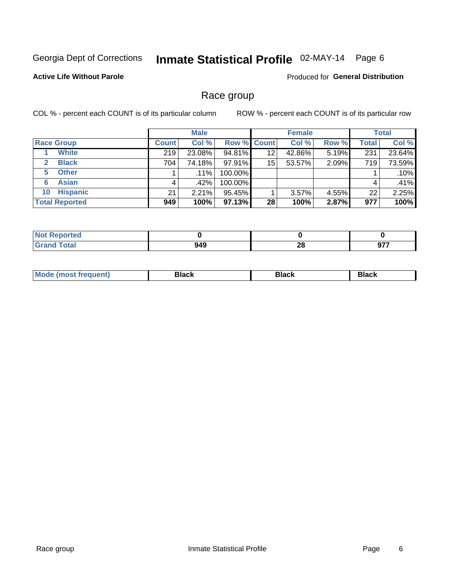# Inmate Statistical Profile 02-MAY-14 Page 6

### **Active Life Without Parole**

**Produced for General Distribution** 

### Race group

COL % - percent each COUNT is of its particular column

|                              |              | <b>Male</b> |                    |    | <b>Female</b> |       |       | <b>Total</b> |
|------------------------------|--------------|-------------|--------------------|----|---------------|-------|-------|--------------|
| <b>Race Group</b>            | <b>Count</b> | Col %       | <b>Row % Count</b> |    | Col %         | Row % | Total | Col %        |
| <b>White</b>                 | 219          | 23.08%      | 94.81%             | 12 | 42.86%        | 5.19% | 231   | 23.64%       |
| <b>Black</b><br>$\mathbf{2}$ | 704          | 74.18%      | 97.91%             | 15 | 53.57%        | 2.09% | 719   | 73.59%       |
| <b>Other</b><br>5.           |              | $.11\%$     | 100.00%            |    |               |       |       | .10%         |
| <b>Asian</b><br>6            | 4            | $.42\%$     | 100.00%            |    |               |       | 4     | .41%         |
| <b>Hispanic</b><br>10        | 21           | $2.21\%$    | 95.45%             |    | 3.57%         | 4.55% | 22    | 2.25%        |
| <b>Total Reported</b>        | 949          | 100%        | 97.13%             | 28 | 100%          | 2.87% | 977   | 100%         |

| <b><i>Contractor</i></b><br>тео |             |           |                         |
|---------------------------------|-------------|-----------|-------------------------|
| <b>Total</b><br>______          | 949<br>$ -$ | nc.<br>ZO | 077<br><br>J1<br>$\sim$ |

| M | - - - | Piavn |
|---|-------|-------|
|   |       |       |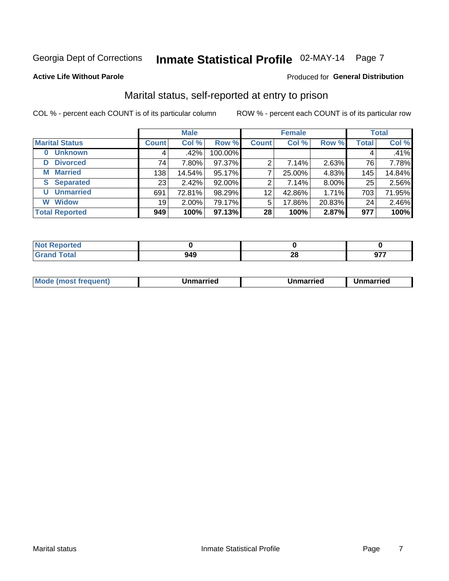# Inmate Statistical Profile 02-MAY-14 Page 7

#### **Active Life Without Parole**

#### Produced for General Distribution

### Marital status, self-reported at entry to prison

COL % - percent each COUNT is of its particular column

|                            |              | <b>Male</b> |         |              | <b>Female</b> |        |              | <b>Total</b> |
|----------------------------|--------------|-------------|---------|--------------|---------------|--------|--------------|--------------|
| <b>Marital Status</b>      | <b>Count</b> | Col %       | Row %   | <b>Count</b> | Col %         | Row %  | <b>Total</b> | Col %        |
| <b>Unknown</b><br>$\bf{0}$ |              | .42%        | 100.00% |              |               |        | 4            | .41%         |
| <b>Divorced</b><br>D       | 74           | 7.80%       | 97.37%  | 2            | 7.14%         | 2.63%  | 76           | 7.78%        |
| <b>Married</b><br>М        | 138          | 14.54%      | 95.17%  |              | 25.00%        | 4.83%  | 145          | 14.84%       |
| <b>Separated</b><br>S      | 231          | 2.42%       | 92.00%  | 2            | 7.14%         | 8.00%  | 25           | 2.56%        |
| <b>Unmarried</b><br>U      | 691          | 72.81%      | 98.29%  | 12           | 42.86%        | 1.71%  | 703          | 71.95%       |
| <b>Widow</b><br>W          | 19           | $2.00\%$    | 79.17%  | 5            | 17.86%        | 20.83% | 24           | 2.46%        |
| <b>Total Reported</b>      | 949          | 100%        | 97.13%  | 28           | 100%          | 2.87%  | 977          | 100%         |

| rtea<br>NO<br>$\sim$                 |     |            |     |
|--------------------------------------|-----|------------|-----|
| $F$ ntal<br>Utal<br>$\mathbf{v}$ and | J4J | ne.<br>4 Y | --- |

|  | M | . | Unmarried | າmarried<br>_____ |
|--|---|---|-----------|-------------------|
|--|---|---|-----------|-------------------|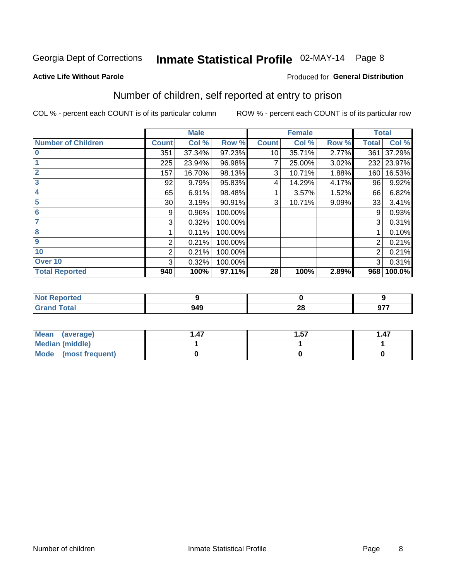# Inmate Statistical Profile 02-MAY-14 Page 8

#### **Active Life Without Parole**

### **Produced for General Distribution**

### Number of children, self reported at entry to prison

COL % - percent each COUNT is of its particular column

|                           |                 | <b>Male</b> |         |              | <b>Female</b> |       |              | <b>Total</b> |
|---------------------------|-----------------|-------------|---------|--------------|---------------|-------|--------------|--------------|
| <b>Number of Children</b> | <b>Count</b>    | Col %       | Row %   | <b>Count</b> | Col %         | Row % | <b>Total</b> | Col %        |
| $\bf{0}$                  | 351             | 37.34%      | 97.23%  | 10           | 35.71%        | 2.77% | 361          | 37.29%       |
|                           | 225             | 23.94%      | 96.98%  | 7            | 25.00%        | 3.02% | 232          | 23.97%       |
| $\overline{2}$            | 157             | 16.70%      | 98.13%  | 3            | 10.71%        | 1.88% | 160          | 16.53%       |
| 3                         | 92              | 9.79%       | 95.83%  | 4            | 14.29%        | 4.17% | 96           | 9.92%        |
| 4                         | 65              | 6.91%       | 98.48%  |              | 3.57%         | 1.52% | 66           | 6.82%        |
| 5                         | 30 <sup>1</sup> | 3.19%       | 90.91%  | 3            | 10.71%        | 9.09% | 33           | 3.41%        |
| $6\phantom{1}6$           | 9               | 0.96%       | 100.00% |              |               |       | 9            | 0.93%        |
| 7                         | 3               | 0.32%       | 100.00% |              |               |       | 3            | 0.31%        |
| 8                         |                 | 0.11%       | 100.00% |              |               |       |              | 0.10%        |
| $\boldsymbol{9}$          | 2               | 0.21%       | 100.00% |              |               |       | 2            | 0.21%        |
| 10                        | $\overline{2}$  | 0.21%       | 100.00% |              |               |       | 2            | 0.21%        |
| Over 10                   | 3               | 0.32%       | 100.00% |              |               |       | 3            | 0.31%        |
| <b>Total Reported</b>     | 940             | 100%        | 97.11%  | 28           | 100%          | 2.89% | 968          | 100.0%       |

| teo  |     |                           |     |
|------|-----|---------------------------|-----|
| $-1$ | 949 | $\sim$ $\sim$<br><u>r</u> | 077 |

| Mean (average)         | . 47 | 1.57 | 1.47 |
|------------------------|------|------|------|
| <b>Median (middle)</b> |      |      |      |
| Mode (most frequent)   |      |      |      |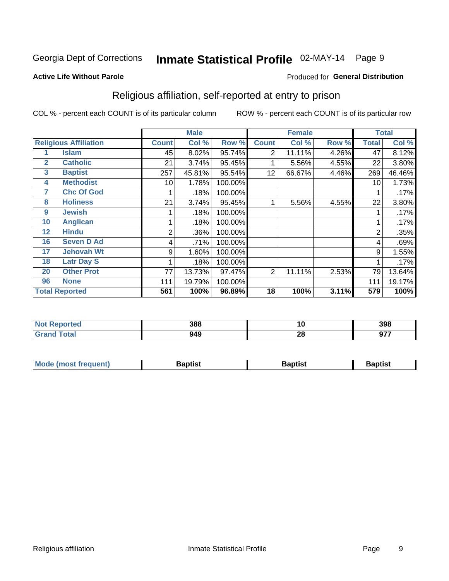# Inmate Statistical Profile 02-MAY-14 Page 9

#### **Active Life Without Parole**

#### Produced for General Distribution

### Religious affiliation, self-reported at entry to prison

COL % - percent each COUNT is of its particular column

|              |                              |              | <b>Male</b> |         |              | <b>Female</b> |       |              | <b>Total</b> |
|--------------|------------------------------|--------------|-------------|---------|--------------|---------------|-------|--------------|--------------|
|              | <b>Religious Affiliation</b> | <b>Count</b> | Col %       | Row %   | <b>Count</b> | Col %         | Row % | <b>Total</b> | Col %        |
|              | <b>Islam</b>                 | 45           | 8.02%       | 95.74%  | 2            | 11.11%        | 4.26% | 47           | 8.12%        |
| $\mathbf{2}$ | <b>Catholic</b>              | 21           | 3.74%       | 95.45%  |              | 5.56%         | 4.55% | 22           | 3.80%        |
| 3            | <b>Baptist</b>               | 257          | 45.81%      | 95.54%  | 12           | 66.67%        | 4.46% | 269          | 46.46%       |
| 4            | <b>Methodist</b>             | 10           | 1.78%       | 100.00% |              |               |       | 10           | 1.73%        |
| 7            | <b>Chc Of God</b>            |              | .18%        | 100.00% |              |               |       |              | .17%         |
| 8            | <b>Holiness</b>              | 21           | 3.74%       | 95.45%  |              | 5.56%         | 4.55% | 22           | 3.80%        |
| 9            | <b>Jewish</b>                |              | .18%        | 100.00% |              |               |       |              | .17%         |
| 10           | <b>Anglican</b>              |              | .18%        | 100.00% |              |               |       |              | .17%         |
| 12           | <b>Hindu</b>                 | 2            | .36%        | 100.00% |              |               |       | 2            | .35%         |
| 16           | <b>Seven D Ad</b>            | 4            | .71%        | 100.00% |              |               |       | 4            | .69%         |
| 17           | <b>Jehovah Wt</b>            | 9            | 1.60%       | 100.00% |              |               |       | 9            | 1.55%        |
| 18           | <b>Latr Day S</b>            |              | .18%        | 100.00% |              |               |       |              | .17%         |
| 20           | <b>Other Prot</b>            | 77           | 13.73%      | 97.47%  | 2            | 11.11%        | 2.53% | 79           | 13.64%       |
| 96           | <b>None</b>                  | 111          | 19.79%      | 100.00% |              |               |       | 111          | 19.17%       |
|              | <b>Total Reported</b>        | 561          | 100%        | 96.89%  | 18           | 100%          | 3.11% | 579          | 100%         |

|       | 200<br>OO         | 1 V      | 398     |
|-------|-------------------|----------|---------|
| _____ | <b>מגר</b><br>ノーご | n.<br>ΔU | ---<br> |

| Mode (most frequent) | Baptist | <b>Baptist</b> | aptıst |
|----------------------|---------|----------------|--------|
|                      |         |                |        |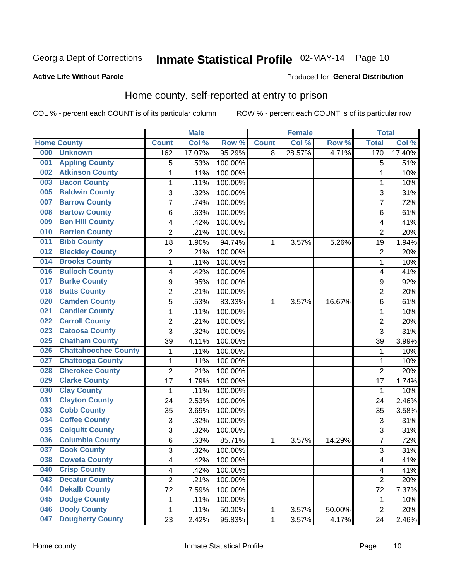# Inmate Statistical Profile 02-MAY-14 Page 10

#### **Active Life Without Parole**

#### Produced for General Distribution

### Home county, self-reported at entry to prison

COL % - percent each COUNT is of its particular column

|     |                             |                         | <b>Male</b> |         |              | <b>Female</b> |        | <b>Total</b>   |        |
|-----|-----------------------------|-------------------------|-------------|---------|--------------|---------------|--------|----------------|--------|
|     | <b>Home County</b>          | <b>Count</b>            | Col %       | Row %   | <b>Count</b> | Col %         | Row %  | <b>Total</b>   | Col %  |
| 000 | <b>Unknown</b>              | 162                     | 17.07%      | 95.29%  | 8            | 28.57%        | 4.71%  | 170            | 17.40% |
| 001 | <b>Appling County</b>       | 5                       | .53%        | 100.00% |              |               |        | 5              | .51%   |
| 002 | <b>Atkinson County</b>      | $\mathbf 1$             | .11%        | 100.00% |              |               |        | 1              | .10%   |
| 003 | <b>Bacon County</b>         | $\mathbf 1$             | .11%        | 100.00% |              |               |        | 1              | .10%   |
| 005 | <b>Baldwin County</b>       | 3                       | .32%        | 100.00% |              |               |        | 3              | .31%   |
| 007 | <b>Barrow County</b>        | $\overline{7}$          | .74%        | 100.00% |              |               |        | 7              | .72%   |
| 008 | <b>Bartow County</b>        | 6                       | .63%        | 100.00% |              |               |        | 6              | .61%   |
| 009 | <b>Ben Hill County</b>      | 4                       | .42%        | 100.00% |              |               |        | 4              | .41%   |
| 010 | <b>Berrien County</b>       | $\overline{2}$          | .21%        | 100.00% |              |               |        | $\overline{2}$ | .20%   |
| 011 | <b>Bibb County</b>          | 18                      | 1.90%       | 94.74%  | 1            | 3.57%         | 5.26%  | 19             | 1.94%  |
| 012 | <b>Bleckley County</b>      | $\overline{c}$          | .21%        | 100.00% |              |               |        | $\overline{2}$ | .20%   |
| 014 | <b>Brooks County</b>        | 1                       | .11%        | 100.00% |              |               |        | 1              | .10%   |
| 016 | <b>Bulloch County</b>       | 4                       | .42%        | 100.00% |              |               |        | 4              | .41%   |
| 017 | <b>Burke County</b>         | 9                       | .95%        | 100.00% |              |               |        | 9              | .92%   |
| 018 | <b>Butts County</b>         | $\overline{2}$          | .21%        | 100.00% |              |               |        | $\overline{2}$ | .20%   |
| 020 | <b>Camden County</b>        | 5                       | .53%        | 83.33%  | 1            | 3.57%         | 16.67% | 6              | .61%   |
| 021 | <b>Candler County</b>       | $\mathbf 1$             | .11%        | 100.00% |              |               |        | 1              | .10%   |
| 022 | <b>Carroll County</b>       | $\overline{c}$          | .21%        | 100.00% |              |               |        | $\overline{2}$ | .20%   |
| 023 | <b>Catoosa County</b>       | 3                       | .32%        | 100.00% |              |               |        | 3              | .31%   |
| 025 | <b>Chatham County</b>       | 39                      | 4.11%       | 100.00% |              |               |        | 39             | 3.99%  |
| 026 | <b>Chattahoochee County</b> | $\mathbf 1$             | .11%        | 100.00% |              |               |        | 1              | .10%   |
| 027 | <b>Chattooga County</b>     | $\mathbf 1$             | .11%        | 100.00% |              |               |        | 1              | .10%   |
| 028 | <b>Cherokee County</b>      | $\overline{2}$          | .21%        | 100.00% |              |               |        | $\overline{2}$ | .20%   |
| 029 | <b>Clarke County</b>        | 17                      | 1.79%       | 100.00% |              |               |        | 17             | 1.74%  |
| 030 | <b>Clay County</b>          | 1                       | .11%        | 100.00% |              |               |        | 1              | .10%   |
| 031 | <b>Clayton County</b>       | 24                      | 2.53%       | 100.00% |              |               |        | 24             | 2.46%  |
| 033 | <b>Cobb County</b>          | 35                      | 3.69%       | 100.00% |              |               |        | 35             | 3.58%  |
| 034 | <b>Coffee County</b>        | 3                       | .32%        | 100.00% |              |               |        | 3              | .31%   |
| 035 | <b>Colquitt County</b>      | 3                       | .32%        | 100.00% |              |               |        | 3              | .31%   |
| 036 | <b>Columbia County</b>      | 6                       | .63%        | 85.71%  | 1            | 3.57%         | 14.29% | 7              | .72%   |
| 037 | <b>Cook County</b>          | 3                       | .32%        | 100.00% |              |               |        | 3              | .31%   |
| 038 | <b>Coweta County</b>        | 4                       | .42%        | 100.00% |              |               |        | 4              | .41%   |
| 040 | <b>Crisp County</b>         | $\overline{\mathbf{4}}$ | .42%        | 100.00% |              |               |        | 4              | .41%   |
| 043 | <b>Decatur County</b>       | $\overline{2}$          | .21%        | 100.00% |              |               |        | $\overline{2}$ | .20%   |
| 044 | <b>Dekalb County</b>        | 72                      | 7.59%       | 100.00% |              |               |        | 72             | 7.37%  |
| 045 | <b>Dodge County</b>         | 1                       | .11%        | 100.00% |              |               |        | 1              | .10%   |
| 046 | <b>Dooly County</b>         | $\mathbf{1}$            | .11%        | 50.00%  | 1            | 3.57%         | 50.00% | $\overline{2}$ | .20%   |
| 047 | <b>Dougherty County</b>     | 23                      | 2.42%       | 95.83%  | $\mathbf 1$  | 3.57%         | 4.17%  | 24             | 2.46%  |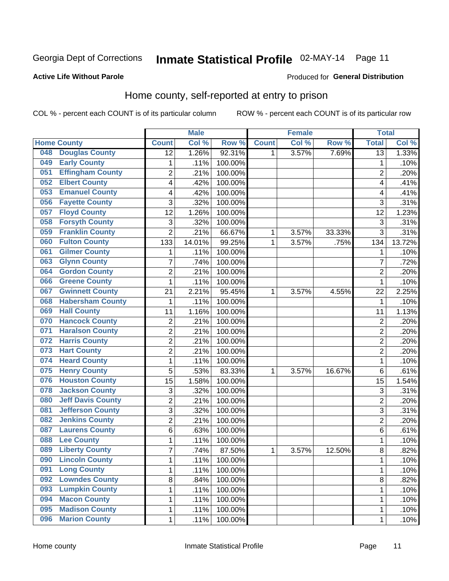# Inmate Statistical Profile 02-MAY-14 Page 11

#### **Active Life Without Parole**

#### Produced for General Distribution

### Home county, self-reported at entry to prison

COL % - percent each COUNT is of its particular column

|     |                          |                | <b>Male</b> |         |              | <b>Female</b> |        | <b>Total</b>    |        |
|-----|--------------------------|----------------|-------------|---------|--------------|---------------|--------|-----------------|--------|
|     | <b>Home County</b>       | <b>Count</b>   | Col %       | Row %   | <b>Count</b> | Col %         | Row %  | <b>Total</b>    | Col %  |
| 048 | <b>Douglas County</b>    | 12             | 1.26%       | 92.31%  | 1            | 3.57%         | 7.69%  | $\overline{13}$ | 1.33%  |
| 049 | <b>Early County</b>      | 1              | .11%        | 100.00% |              |               |        | 1               | .10%   |
| 051 | <b>Effingham County</b>  | $\overline{2}$ | .21%        | 100.00% |              |               |        | $\overline{2}$  | .20%   |
| 052 | <b>Elbert County</b>     | 4              | .42%        | 100.00% |              |               |        | 4               | .41%   |
| 053 | <b>Emanuel County</b>    | 4              | .42%        | 100.00% |              |               |        | 4               | .41%   |
| 056 | <b>Fayette County</b>    | 3              | .32%        | 100.00% |              |               |        | 3               | .31%   |
| 057 | <b>Floyd County</b>      | 12             | 1.26%       | 100.00% |              |               |        | 12              | 1.23%  |
| 058 | <b>Forsyth County</b>    | 3              | .32%        | 100.00% |              |               |        | 3               | .31%   |
| 059 | <b>Franklin County</b>   | $\overline{2}$ | .21%        | 66.67%  | 1            | 3.57%         | 33.33% | 3               | .31%   |
| 060 | <b>Fulton County</b>     | 133            | 14.01%      | 99.25%  | 1            | 3.57%         | .75%   | 134             | 13.72% |
| 061 | <b>Gilmer County</b>     | $\mathbf 1$    | .11%        | 100.00% |              |               |        | 1               | .10%   |
| 063 | <b>Glynn County</b>      | $\overline{7}$ | .74%        | 100.00% |              |               |        | 7               | .72%   |
| 064 | <b>Gordon County</b>     | $\overline{2}$ | .21%        | 100.00% |              |               |        | $\overline{2}$  | .20%   |
| 066 | <b>Greene County</b>     | 1              | .11%        | 100.00% |              |               |        | 1               | .10%   |
| 067 | <b>Gwinnett County</b>   | 21             | 2.21%       | 95.45%  | 1            | 3.57%         | 4.55%  | 22              | 2.25%  |
| 068 | <b>Habersham County</b>  | 1              | .11%        | 100.00% |              |               |        | 1               | .10%   |
| 069 | <b>Hall County</b>       | 11             | 1.16%       | 100.00% |              |               |        | 11              | 1.13%  |
| 070 | <b>Hancock County</b>    | $\overline{c}$ | .21%        | 100.00% |              |               |        | $\overline{2}$  | .20%   |
| 071 | <b>Haralson County</b>   | $\overline{2}$ | .21%        | 100.00% |              |               |        | $\overline{2}$  | .20%   |
| 072 | <b>Harris County</b>     | $\overline{2}$ | .21%        | 100.00% |              |               |        | $\overline{2}$  | .20%   |
| 073 | <b>Hart County</b>       | $\overline{2}$ | .21%        | 100.00% |              |               |        | $\overline{2}$  | .20%   |
| 074 | <b>Heard County</b>      | $\mathbf 1$    | .11%        | 100.00% |              |               |        | 1               | .10%   |
| 075 | <b>Henry County</b>      | 5              | .53%        | 83.33%  | 1            | 3.57%         | 16.67% | 6               | .61%   |
| 076 | <b>Houston County</b>    | 15             | 1.58%       | 100.00% |              |               |        | 15              | 1.54%  |
| 078 | <b>Jackson County</b>    | 3              | .32%        | 100.00% |              |               |        | 3               | .31%   |
| 080 | <b>Jeff Davis County</b> | $\overline{2}$ | .21%        | 100.00% |              |               |        | $\overline{2}$  | .20%   |
| 081 | <b>Jefferson County</b>  | $\overline{3}$ | .32%        | 100.00% |              |               |        | 3               | .31%   |
| 082 | <b>Jenkins County</b>    | $\overline{2}$ | .21%        | 100.00% |              |               |        | $\overline{2}$  | .20%   |
| 087 | <b>Laurens County</b>    | 6              | .63%        | 100.00% |              |               |        | 6               | .61%   |
| 088 | <b>Lee County</b>        | 1              | .11%        | 100.00% |              |               |        | 1               | .10%   |
| 089 | <b>Liberty County</b>    | $\overline{7}$ | .74%        | 87.50%  | 1            | 3.57%         | 12.50% | 8               | .82%   |
| 090 | <b>Lincoln County</b>    | 1              | .11%        | 100.00% |              |               |        | 1               | .10%   |
| 091 | <b>Long County</b>       | $\mathbf{1}$   | .11%        | 100.00% |              |               |        | 1               | .10%   |
| 092 | <b>Lowndes County</b>    | 8              | .84%        | 100.00% |              |               |        | 8               | .82%   |
| 093 | <b>Lumpkin County</b>    | 1              | .11%        | 100.00% |              |               |        | 1               | .10%   |
| 094 | <b>Macon County</b>      | 1              | .11%        | 100.00% |              |               |        | 1               | .10%   |
| 095 | <b>Madison County</b>    | 1              | .11%        | 100.00% |              |               |        | 1               | .10%   |
| 096 | <b>Marion County</b>     | $\mathbf{1}$   | .11%        | 100.00% |              |               |        | 1               | .10%   |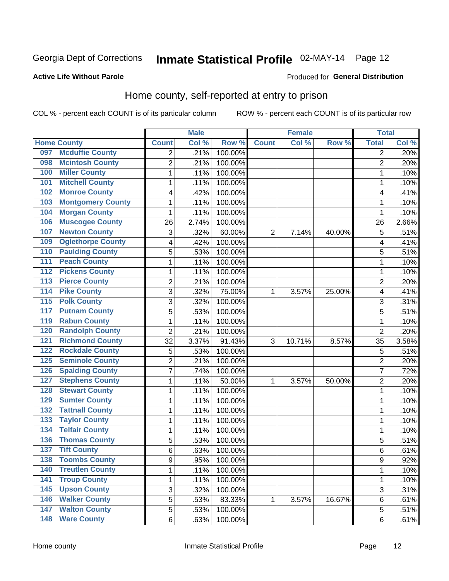# Inmate Statistical Profile 02-MAY-14 Page 12

#### **Active Life Without Parole**

#### Produced for General Distribution

### Home county, self-reported at entry to prison

COL % - percent each COUNT is of its particular column

|                  |                          |                | <b>Male</b> |         |                | <b>Female</b> |        | <b>Total</b>            |       |
|------------------|--------------------------|----------------|-------------|---------|----------------|---------------|--------|-------------------------|-------|
|                  | <b>Home County</b>       | <b>Count</b>   | Col %       | Row %   | <b>Count</b>   | Col %         | Row %  | <b>Total</b>            | Col % |
| 097              | <b>Mcduffie County</b>   | 2              | .21%        | 100.00% |                |               |        | $\overline{2}$          | .20%  |
| 098              | <b>Mcintosh County</b>   | $\overline{2}$ | .21%        | 100.00% |                |               |        | $\overline{2}$          | .20%  |
| 100              | <b>Miller County</b>     | $\mathbf 1$    | .11%        | 100.00% |                |               |        | 1                       | .10%  |
| 101              | <b>Mitchell County</b>   | $\mathbf 1$    | .11%        | 100.00% |                |               |        | 1                       | .10%  |
| 102              | <b>Monroe County</b>     | 4              | .42%        | 100.00% |                |               |        | 4                       | .41%  |
| 103              | <b>Montgomery County</b> | 1              | .11%        | 100.00% |                |               |        | 1                       | .10%  |
| 104              | <b>Morgan County</b>     | 1              | .11%        | 100.00% |                |               |        | 1                       | .10%  |
| 106              | <b>Muscogee County</b>   | 26             | 2.74%       | 100.00% |                |               |        | 26                      | 2.66% |
| 107              | <b>Newton County</b>     | 3              | .32%        | 60.00%  | $\overline{2}$ | 7.14%         | 40.00% | 5                       | .51%  |
| 109              | <b>Oglethorpe County</b> | 4              | .42%        | 100.00% |                |               |        | 4                       | .41%  |
| 110              | <b>Paulding County</b>   | 5              | .53%        | 100.00% |                |               |        | 5                       | .51%  |
| 111              | <b>Peach County</b>      | $\mathbf 1$    | .11%        | 100.00% |                |               |        | 1                       | .10%  |
| $\overline{112}$ | <b>Pickens County</b>    | $\mathbf 1$    | .11%        | 100.00% |                |               |        | 1                       | .10%  |
| 113              | <b>Pierce County</b>     | $\overline{c}$ | .21%        | 100.00% |                |               |        | $\overline{2}$          | .20%  |
| 114              | <b>Pike County</b>       | 3              | .32%        | 75.00%  | 1              | 3.57%         | 25.00% | $\overline{\mathbf{4}}$ | .41%  |
| $\overline{115}$ | <b>Polk County</b>       | 3              | .32%        | 100.00% |                |               |        | 3                       | .31%  |
| 117              | <b>Putnam County</b>     | 5              | .53%        | 100.00% |                |               |        | 5                       | .51%  |
| 119              | <b>Rabun County</b>      | $\mathbf 1$    | .11%        | 100.00% |                |               |        | 1                       | .10%  |
| 120              | <b>Randolph County</b>   | $\overline{2}$ | .21%        | 100.00% |                |               |        | $\overline{2}$          | .20%  |
| 121              | <b>Richmond County</b>   | 32             | 3.37%       | 91.43%  | 3              | 10.71%        | 8.57%  | 35                      | 3.58% |
| 122              | <b>Rockdale County</b>   | 5              | .53%        | 100.00% |                |               |        | 5                       | .51%  |
| 125              | <b>Seminole County</b>   | $\overline{2}$ | .21%        | 100.00% |                |               |        | $\overline{2}$          | .20%  |
| 126              | <b>Spalding County</b>   | $\overline{7}$ | .74%        | 100.00% |                |               |        | $\overline{7}$          | .72%  |
| 127              | <b>Stephens County</b>   | 1              | .11%        | 50.00%  | 1              | 3.57%         | 50.00% | $\overline{2}$          | .20%  |
| 128              | <b>Stewart County</b>    | $\mathbf 1$    | .11%        | 100.00% |                |               |        | 1                       | .10%  |
| 129              | <b>Sumter County</b>     | $\mathbf 1$    | .11%        | 100.00% |                |               |        | 1                       | .10%  |
| 132              | <b>Tattnall County</b>   | $\mathbf 1$    | .11%        | 100.00% |                |               |        | 1                       | .10%  |
| 133              | <b>Taylor County</b>     | $\mathbf 1$    | .11%        | 100.00% |                |               |        | 1                       | .10%  |
| 134              | <b>Telfair County</b>    | $\mathbf 1$    | .11%        | 100.00% |                |               |        | 1                       | .10%  |
| 136              | <b>Thomas County</b>     | 5              | .53%        | 100.00% |                |               |        | 5                       | .51%  |
| 137              | <b>Tift County</b>       | 6              | .63%        | 100.00% |                |               |        | 6                       | .61%  |
| 138              | <b>Toombs County</b>     | 9              | .95%        | 100.00% |                |               |        | 9                       | .92%  |
| 140              | <b>Treutlen County</b>   | $\mathbf{1}$   | .11%        | 100.00% |                |               |        | 1                       | .10%  |
| $141$            | <b>Troup County</b>      | $\mathbf 1$    | .11%        | 100.00% |                |               |        | 1                       | .10%  |
| 145              | <b>Upson County</b>      | 3              | .32%        | 100.00% |                |               |        | 3                       | .31%  |
| 146              | <b>Walker County</b>     | 5              | .53%        | 83.33%  | 1              | 3.57%         | 16.67% | 6                       | .61%  |
| 147              | <b>Walton County</b>     | 5              | .53%        | 100.00% |                |               |        | 5                       | .51%  |
| $\overline{148}$ | <b>Ware County</b>       | 6              | .63%        | 100.00% |                |               |        | $\,6$                   | .61%  |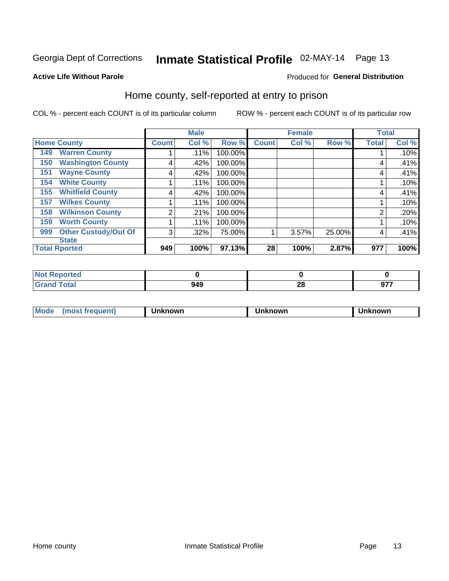# Inmate Statistical Profile 02-MAY-14 Page 13

#### **Active Life Without Parole**

### Produced for General Distribution

### Home county, self-reported at entry to prison

COL % - percent each COUNT is of its particular column

|     |                             |              | <b>Male</b> |         |                 | <b>Female</b> |        | <b>Total</b>   |       |
|-----|-----------------------------|--------------|-------------|---------|-----------------|---------------|--------|----------------|-------|
|     | <b>Home County</b>          | <b>Count</b> | Col %       | Row %   | <b>Count</b>    | Col %         | Row %  | <b>Total</b>   | Col % |
| 149 | <b>Warren County</b>        |              | .11%        | 100.00% |                 |               |        |                | .10%  |
| 150 | <b>Washington County</b>    | 4            | .42%        | 100.00% |                 |               |        | 4              | .41%  |
| 151 | <b>Wayne County</b>         | 4            | .42%        | 100.00% |                 |               |        | 4              | .41%  |
| 154 | <b>White County</b>         |              | .11%        | 100.00% |                 |               |        |                | .10%  |
| 155 | <b>Whitfield County</b>     | 4            | .42%        | 100.00% |                 |               |        | 4              | .41%  |
| 157 | <b>Wilkes County</b>        |              | .11%        | 100.00% |                 |               |        |                | .10%  |
| 158 | <b>Wilkinson County</b>     | 2            | .21%        | 100.00% |                 |               |        | $\overline{2}$ | .20%  |
| 159 | <b>Worth County</b>         |              | .11%        | 100.00% |                 |               |        |                | .10%  |
| 999 | <b>Other Custody/Out Of</b> | 3            | .32%        | 75.00%  |                 | 3.57%         | 25.00% | 4              | .41%  |
|     | <b>State</b>                |              |             |         |                 |               |        |                |       |
|     | <b>Total Rported</b>        | 949          | 100%        | 97.13%  | 28 <sub>1</sub> | 100%          | 2.87%  | 977            | 100%  |

| rtea      |     |                            |            |
|-----------|-----|----------------------------|------------|
| $- \cdot$ | 949 | $\overline{ }$<br><u>r</u> | ---<br>. . |

|  |  | Mode | 10St frequent) | nown | <b>เทown</b> | nown |
|--|--|------|----------------|------|--------------|------|
|--|--|------|----------------|------|--------------|------|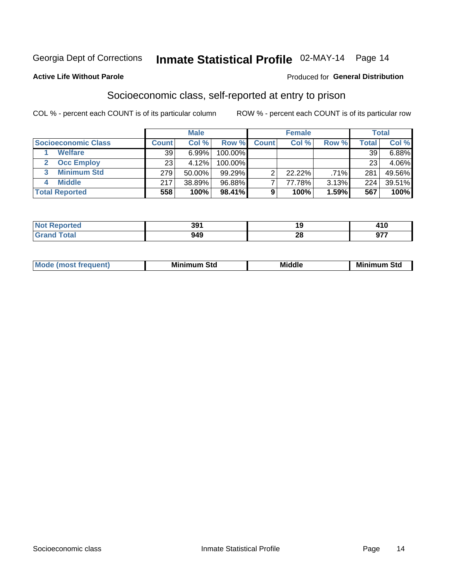## Inmate Statistical Profile 02-MAY-14 Page 14

#### **Active Life Without Parole**

#### Produced for General Distribution

### Socioeconomic class, self-reported at entry to prison

COL % - percent each COUNT is of its particular column

|                       |              | <b>Male</b> |           |              | <b>Female</b> |         |       | <b>Total</b> |
|-----------------------|--------------|-------------|-----------|--------------|---------------|---------|-------|--------------|
| Socioeconomic Class   | <b>Count</b> | Col %       | Row %     | <b>Count</b> | Col %         | Row %   | Total | Col %        |
| <b>Welfare</b>        | 39           | 6.99%       | 100.00%   |              |               |         | 39    | 6.88%        |
| <b>Occ Employ</b>     | 23           | 4.12%       | 100.00%   |              |               |         | 23    | 4.06%        |
| <b>Minimum Std</b>    | 279          | 50.00%      | $99.29\%$ |              | 22.22%        | $.71\%$ | 281   | 49.56%       |
| <b>Middle</b>         | 217          | 38.89%      | 96.88%    |              | 77.78%        | 3.13%   | 224   | 39.51%       |
| <b>Total Reported</b> | 558          | 100%        | 98.41%    |              | 100%          | 1.59%   | 567   | 100%         |

| rtea<br>NO<br>. | 391 |                      | 2 I V      |
|-----------------|-----|----------------------|------------|
|                 | 949 | n.<br>$\overline{ }$ | $\sim$ – – |

|--|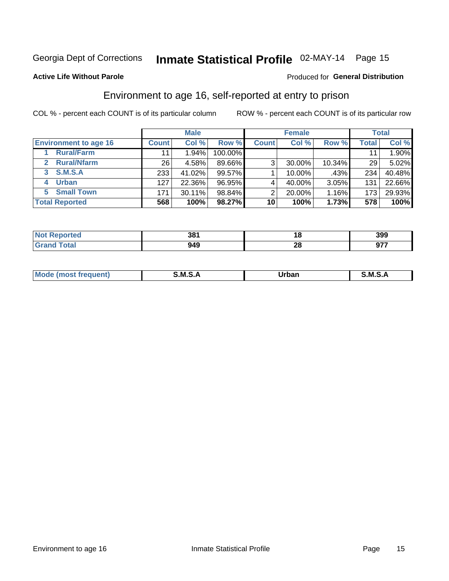# Inmate Statistical Profile 02-MAY-14 Page 15

#### **Active Life Without Parole**

#### Produced for General Distribution

### Environment to age 16, self-reported at entry to prison

COL % - percent each COUNT is of its particular column

|                                    |                 | <b>Male</b> |         |              | <b>Female</b> |        |       | <b>Total</b> |
|------------------------------------|-----------------|-------------|---------|--------------|---------------|--------|-------|--------------|
| <b>Environment to age 16</b>       | <b>Count</b>    | Col %       | Row %   | <b>Count</b> | Col %         | Row %  | Total | Col %        |
| <b>Rural/Farm</b>                  | 11              | 1.94%       | 100.00% |              |               |        |       | 1.90%        |
| <b>Rural/Nfarm</b><br>$\mathbf{2}$ | 26 <sub>1</sub> | 4.58%       | 89.66%  | 3            | 30.00%        | 10.34% | 29    | 5.02%        |
| 3 S.M.S.A                          | 233             | 41.02%      | 99.57%  |              | 10.00%        | .43%   | 234   | 40.48%       |
| <b>Urban</b><br>4                  | 127             | 22.36%      | 96.95%  |              | 40.00%        | 3.05%  | 131   | 22.66%       |
| <b>Small Town</b><br>5             | 171             | 30.11%      | 98.84%  | 2            | 20.00%        | 1.16%  | 173   | 29.93%       |
| <b>Total Reported</b>              | 568             | 100%        | 98.27%  | 10           | 100%          | 1.73%  | 578   | 100%         |

| <b>Reported</b><br><b>NOT</b> | 381 | 10        | 399               |
|-------------------------------|-----|-----------|-------------------|
|                               | 949 | . .<br>ZO | $\sim$ – –<br>J1. |

| Mo | M | urhar . | M      |
|----|---|---------|--------|
|    |   | _____   | ______ |
|    |   |         |        |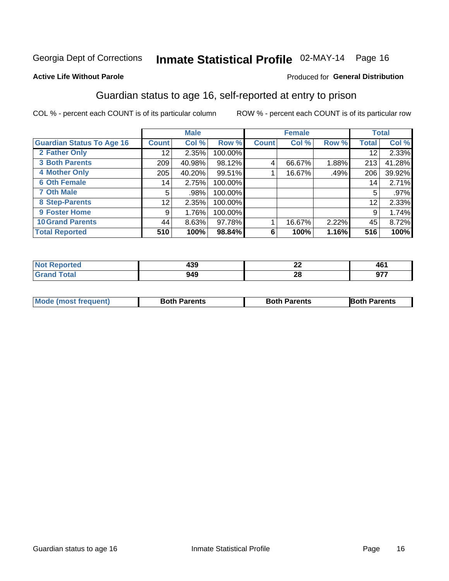# Inmate Statistical Profile 02-MAY-14 Page 16

#### **Active Life Without Parole**

### **Produced for General Distribution**

### Guardian status to age 16, self-reported at entry to prison

COL % - percent each COUNT is of its particular column

|                                  |              | <b>Male</b> |         |              | <b>Female</b> |       |              | <b>Total</b> |
|----------------------------------|--------------|-------------|---------|--------------|---------------|-------|--------------|--------------|
| <b>Guardian Status To Age 16</b> | <b>Count</b> | Col %       | Row %   | <b>Count</b> | Col %         | Row % | <b>Total</b> | Col %        |
| 2 Father Only                    | 12           | 2.35%       | 100.00% |              |               |       | 12           | 2.33%        |
| <b>3 Both Parents</b>            | 209          | 40.98%      | 98.12%  | 4            | 66.67%        | 1.88% | 213          | 41.28%       |
| <b>4 Mother Only</b>             | 205          | 40.20%      | 99.51%  |              | 16.67%        | .49%  | 206          | 39.92%       |
| <b>6 Oth Female</b>              | 14           | 2.75%       | 100.00% |              |               |       | 14           | 2.71%        |
| <b>7 Oth Male</b>                | 5            | .98%        | 100.00% |              |               |       | 5            | $.97\%$      |
| 8 Step-Parents                   | 12           | 2.35%       | 100.00% |              |               |       | 12           | 2.33%        |
| <b>9 Foster Home</b>             | 9            | 1.76%       | 100.00% |              |               |       | 9            | 1.74%        |
| <b>10 Grand Parents</b>          | 44           | 8.63%       | 97.78%  |              | 16.67%        | 2.22% | 45           | 8.72%        |
| <b>Total Reported</b>            | 510          | 100%        | 98.84%  | 6            | 100%          | 1.16% | 516          | 100%         |

| ted | 120<br>- 33 | $\overline{\phantom{a}}$<br>--- | TV.                   |
|-----|-------------|---------------------------------|-----------------------|
|     | 949         | 28                              | 677<br><br><b>JII</b> |

| <b>Mode (most frequent)</b> | <b>Both Parents</b> | <b>Both Parents</b> | <b>Both Parents</b> |
|-----------------------------|---------------------|---------------------|---------------------|
|                             |                     |                     |                     |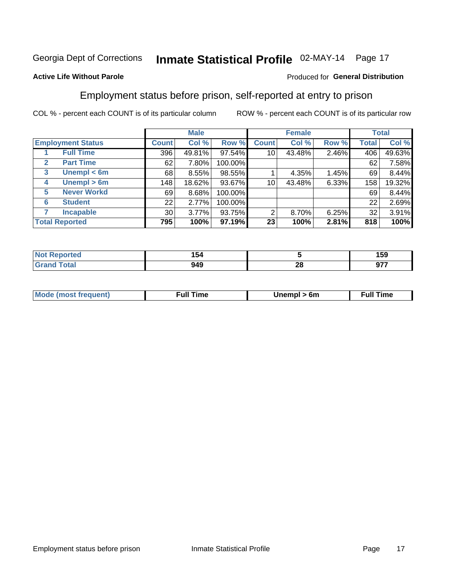# Inmate Statistical Profile 02-MAY-14 Page 17

### **Active Life Without Parole**

#### Produced for General Distribution

### Employment status before prison, self-reported at entry to prison

COL % - percent each COUNT is of its particular column

|              |                          |              | <b>Male</b> |         |              | <b>Female</b> |       |              | <b>Total</b> |
|--------------|--------------------------|--------------|-------------|---------|--------------|---------------|-------|--------------|--------------|
|              | <b>Employment Status</b> | <b>Count</b> | Col %       | Row %   | <b>Count</b> | Col %         | Row % | <b>Total</b> | Col %        |
|              | <b>Full Time</b>         | 396          | 49.81%      | 97.54%  | 10           | 43.48%        | 2.46% | 406          | 49.63%       |
| $\mathbf{2}$ | <b>Part Time</b>         | 62           | 7.80%       | 100.00% |              |               |       | 62           | 7.58%        |
| 3            | Unempl $<$ 6m            | 68           | 8.55%       | 98.55%  |              | 4.35%         | 1.45% | 69           | 8.44%        |
| 4            | $U$ nempl > 6m           | 148          | 18.62%      | 93.67%  | 10           | 43.48%        | 6.33% | 158          | 19.32%       |
| 5            | <b>Never Workd</b>       | 69           | 8.68%       | 100.00% |              |               |       | 69           | 8.44%        |
| 6            | <b>Student</b>           | 22           | 2.77%       | 100.00% |              |               |       | 22           | 2.69%        |
| 7            | <b>Incapable</b>         | 30           | 3.77%       | 93.75%  | 2            | 8.70%         | 6.25% | 32           | 3.91%        |
|              | <b>Total Reported</b>    | 795          | 100%        | 97.19%  | 23           | 100%          | 2.81% | 818          | 100%         |

| 154<br>דטי<br>$ -$ |          | 159        |
|--------------------|----------|------------|
| 949                | n.<br>ZС | ^77<br>. . |

| <b>Mode (most frequent)</b> | full "<br>the contract of the contract of the contract of the contract of the contract of the contract of the contract of | 6m | ïme<br>้นเ<br>the contract of the contract of the contract of the contract of the contract of the contract of the contract of |
|-----------------------------|---------------------------------------------------------------------------------------------------------------------------|----|-------------------------------------------------------------------------------------------------------------------------------|
|                             |                                                                                                                           |    |                                                                                                                               |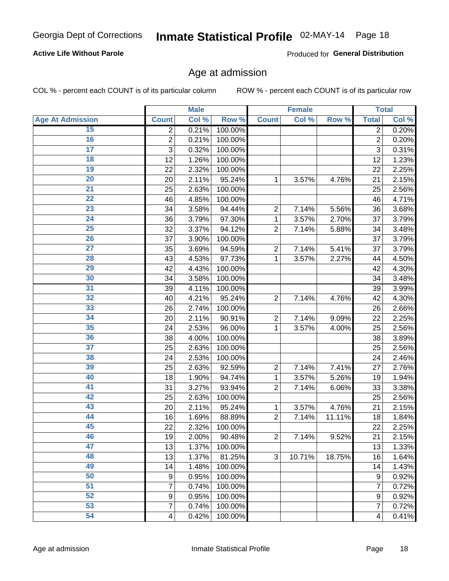# Inmate Statistical Profile 02-MAY-14 Page 18

### **Active Life Without Parole**

Produced for General Distribution

### Age at admission

COL % - percent each COUNT is of its particular column

|                         |                  | <b>Male</b> |         |                | <b>Female</b> |        |                         | <b>Total</b> |
|-------------------------|------------------|-------------|---------|----------------|---------------|--------|-------------------------|--------------|
| <b>Age At Admission</b> | <b>Count</b>     | Col %       | Row %   | <b>Count</b>   | Col %         | Row %  | <b>Total</b>            | Col %        |
| 15                      | 2                | 0.21%       | 100.00% |                |               |        | $\overline{2}$          | 0.20%        |
| 16                      | $\overline{2}$   | 0.21%       | 100.00% |                |               |        | $\overline{2}$          | 0.20%        |
| $\overline{17}$         | 3                | 0.32%       | 100.00% |                |               |        | 3                       | 0.31%        |
| 18                      | 12               | 1.26%       | 100.00% |                |               |        | 12                      | 1.23%        |
| 19                      | 22               | 2.32%       | 100.00% |                |               |        | 22                      | 2.25%        |
| $\overline{20}$         | 20               | 2.11%       | 95.24%  | 1              | 3.57%         | 4.76%  | 21                      | 2.15%        |
| 21                      | 25               | 2.63%       | 100.00% |                |               |        | 25                      | 2.56%        |
| 22                      | 46               | 4.85%       | 100.00% |                |               |        | 46                      | 4.71%        |
| 23                      | 34               | 3.58%       | 94.44%  | $\overline{2}$ | 7.14%         | 5.56%  | 36                      | 3.68%        |
| 24                      | 36               | 3.79%       | 97.30%  | 1              | 3.57%         | 2.70%  | 37                      | 3.79%        |
| $\overline{25}$         | 32               | 3.37%       | 94.12%  | $\overline{2}$ | 7.14%         | 5.88%  | 34                      | 3.48%        |
| 26                      | 37               | 3.90%       | 100.00% |                |               |        | 37                      | 3.79%        |
| $\overline{27}$         | 35               | 3.69%       | 94.59%  | $\overline{2}$ | 7.14%         | 5.41%  | 37                      | 3.79%        |
| 28                      | 43               | 4.53%       | 97.73%  | 1              | 3.57%         | 2.27%  | 44                      | 4.50%        |
| 29                      | 42               | 4.43%       | 100.00% |                |               |        | 42                      | 4.30%        |
| 30                      | 34               | 3.58%       | 100.00% |                |               |        | 34                      | 3.48%        |
| 31                      | 39               | 4.11%       | 100.00% |                |               |        | 39                      | 3.99%        |
| 32                      | 40               | 4.21%       | 95.24%  | $\overline{2}$ | 7.14%         | 4.76%  | 42                      | 4.30%        |
| 33                      | 26               | 2.74%       | 100.00% |                |               |        | 26                      | 2.66%        |
| 34                      | 20               | 2.11%       | 90.91%  | $\overline{2}$ | 7.14%         | 9.09%  | 22                      | 2.25%        |
| 35                      | 24               | 2.53%       | 96.00%  | 1              | 3.57%         | 4.00%  | 25                      | 2.56%        |
| 36                      | 38               | 4.00%       | 100.00% |                |               |        | 38                      | 3.89%        |
| $\overline{37}$         | 25               | 2.63%       | 100.00% |                |               |        | 25                      | 2.56%        |
| 38                      | 24               | 2.53%       | 100.00% |                |               |        | 24                      | 2.46%        |
| 39                      | 25               | 2.63%       | 92.59%  | $\overline{2}$ | 7.14%         | 7.41%  | 27                      | 2.76%        |
| 40                      | 18               | 1.90%       | 94.74%  | 1              | 3.57%         | 5.26%  | 19                      | 1.94%        |
| 41                      | 31               | 3.27%       | 93.94%  | $\overline{2}$ | 7.14%         | 6.06%  | 33                      | 3.38%        |
| 42                      | 25               | 2.63%       | 100.00% |                |               |        | 25                      | 2.56%        |
| 43                      | 20               | 2.11%       | 95.24%  | 1              | 3.57%         | 4.76%  | 21                      | 2.15%        |
| 44                      | 16               | 1.69%       | 88.89%  | $\overline{2}$ | 7.14%         | 11.11% | 18                      | 1.84%        |
| 45                      | 22               | 2.32%       | 100.00% |                |               |        | 22                      | 2.25%        |
| 46                      | 19               | 2.00%       | 90.48%  | $\overline{2}$ | 7.14%         | 9.52%  | 21                      | 2.15%        |
| 47                      | 13               | 1.37%       | 100.00% |                |               |        | 13                      | 1.33%        |
| 48                      | 13               | 1.37%       | 81.25%  | 3              | 10.71%        | 18.75% | 16                      | 1.64%        |
| 49                      | 14               | 1.48%       | 100.00% |                |               |        | 14                      | 1.43%        |
| 50                      | 9                | 0.95%       | 100.00% |                |               |        | 9                       | 0.92%        |
| $\overline{51}$         | $\overline{7}$   | 0.74%       | 100.00% |                |               |        | 7                       | 0.72%        |
| 52                      | $\boldsymbol{9}$ | 0.95%       | 100.00% |                |               |        | 9                       | 0.92%        |
| 53                      | $\overline{7}$   | 0.74%       | 100.00% |                |               |        | 7                       | 0.72%        |
| 54                      | 4                | 0.42%       | 100.00% |                |               |        | $\overline{\mathbf{4}}$ | 0.41%        |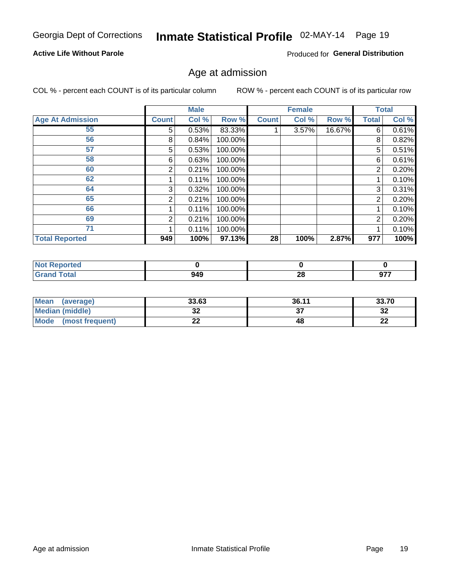# Inmate Statistical Profile 02-MAY-14 Page 19

### **Active Life Without Parole**

Produced for General Distribution

### Age at admission

COL % - percent each COUNT is of its particular column

|                         |       | <b>Male</b> |         |              | <b>Female</b> |        |                | <b>Total</b> |
|-------------------------|-------|-------------|---------|--------------|---------------|--------|----------------|--------------|
| <b>Age At Admission</b> | Count | Col %       | Row %   | <b>Count</b> | Col %         | Row %  | Total          | Col %        |
| 55                      | 5     | 0.53%       | 83.33%  |              | 3.57%         | 16.67% | 6              | 0.61%        |
| 56                      | 8     | 0.84%       | 100.00% |              |               |        | 8              | 0.82%        |
| 57                      | 5     | 0.53%       | 100.00% |              |               |        | 5              | 0.51%        |
| 58                      | 6     | 0.63%       | 100.00% |              |               |        | 6              | 0.61%        |
| 60                      | 2     | 0.21%       | 100.00% |              |               |        | 2              | 0.20%        |
| 62                      |       | 0.11%       | 100.00% |              |               |        |                | 0.10%        |
| 64                      | 3     | 0.32%       | 100.00% |              |               |        | 3              | 0.31%        |
| 65                      | 2     | 0.21%       | 100.00% |              |               |        | $\overline{2}$ | 0.20%        |
| 66                      |       | 0.11%       | 100.00% |              |               |        |                | 0.10%        |
| 69                      | 2     | 0.21%       | 100.00% |              |               |        | 2              | 0.20%        |
| 71                      |       | 0.11%       | 100.00% |              |               |        |                | 0.10%        |
| <b>Total Reported</b>   | 949   | 100%        | 97.13%  | 28           | 100%          | 2.87%  | 977            | 100%         |

| Reported     |     |           |                 |
|--------------|-----|-----------|-----------------|
| <b>Total</b> | 949 | ne.<br>ΔU | $\sim$<br><br>. |

| <b>Mean</b><br>(average)       | 33.63    | 36.11 | 33.70    |
|--------------------------------|----------|-------|----------|
| <b>Median (middle)</b>         | ົ<br>JŁ  |       | ົາ<br>⊾ت |
| <b>Mode</b><br>(most frequent) | ^^<br>-- | 48    | n.<br>LL |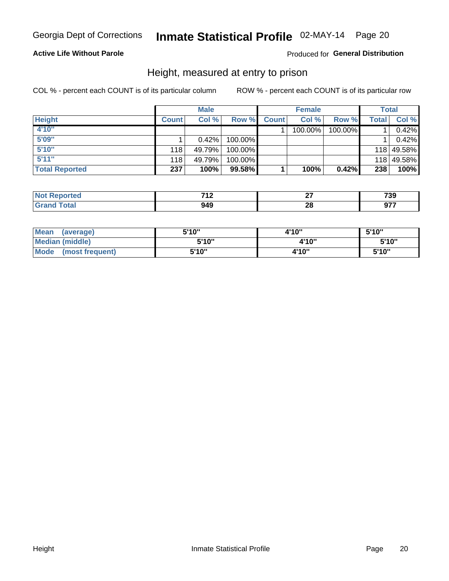### Inmate Statistical Profile 02-MAY-14 Page 20

### **Active Life Without Parole**

#### Produced for General Distribution

### Height, measured at entry to prison

COL % - percent each COUNT is of its particular column

|                       |              | <b>Male</b> |         |              | <b>Female</b> |         |       | Total      |
|-----------------------|--------------|-------------|---------|--------------|---------------|---------|-------|------------|
| <b>Height</b>         | <b>Count</b> | Col %       | Row %   | <b>Count</b> | Col %         | Row %   | Total | Col %      |
| 4'10"                 |              |             |         |              | 100.00%       | 100.00% |       | 0.42%      |
| 5'09"                 |              | $0.42\%$    | 100.00% |              |               |         |       | 0.42%      |
| 5'10''                | 118          | 49.79%      | 100.00% |              |               |         |       | 118 49.58% |
| 5'11''                | 118          | 49.79%      | 100.00% |              |               |         |       | 118 49.58% |
| <b>Total Reported</b> | 237          | 100%        | 99.58%  |              | 100%          | 0.42%   | 238   | 100%       |

| <b>Not</b><br><b>rted</b><br><b>vepo</b> | 740<br>. |          | 700<br>/ ວວ |
|------------------------------------------|----------|----------|-------------|
| <b>Total</b><br>' Grano                  | 949      | ^^<br>LL | 077         |

| Mean<br>(average)              | 5'10" | 4'10" | 5'10"  |
|--------------------------------|-------|-------|--------|
| Median (middle)                | 5'10" | 4'10" | 5'10'' |
| <b>Mode</b><br>(most frequent) | 5'10" | 4'10" | 5'10"  |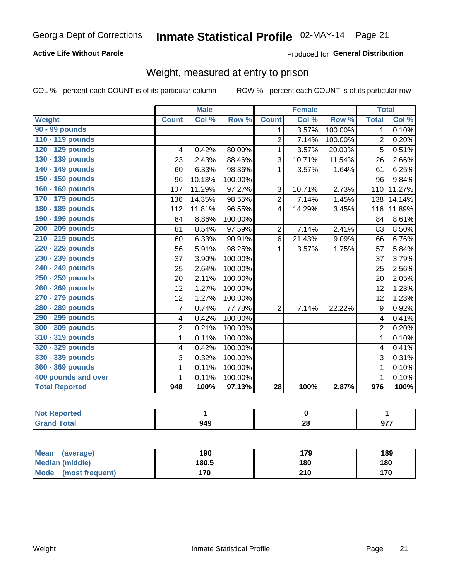### Inmate Statistical Profile 02-MAY-14 Page 21

### **Active Life Without Parole**

Produced for General Distribution

### Weight, measured at entry to prison

COL % - percent each COUNT is of its particular column

|                       |                         | <b>Male</b> |         |                 | <b>Female</b>              |         | <b>Total</b>     |        |
|-----------------------|-------------------------|-------------|---------|-----------------|----------------------------|---------|------------------|--------|
| Weight                | <b>Count</b>            | Col %       | Row %   | <b>Count</b>    | $\overline{\text{Col }^0}$ | Row %   | <b>Total</b>     | Col %  |
| 90 - 99 pounds        |                         |             |         | $\mathbf 1$     | 3.57%                      | 100.00% | 1                | 0.10%  |
| 110 - 119 pounds      |                         |             |         | $\overline{2}$  | 7.14%                      | 100.00% | 2                | 0.20%  |
| 120 - 129 pounds      | 4                       | 0.42%       | 80.00%  | $\mathbf 1$     | 3.57%                      | 20.00%  | 5                | 0.51%  |
| 130 - 139 pounds      | 23                      | 2.43%       | 88.46%  | 3               | 10.71%                     | 11.54%  | 26               | 2.66%  |
| 140 - 149 pounds      | 60                      | 6.33%       | 98.36%  | 1               | 3.57%                      | 1.64%   | 61               | 6.25%  |
| 150 - 159 pounds      | 96                      | 10.13%      | 100.00% |                 |                            |         | 96               | 9.84%  |
| 160 - 169 pounds      | 107                     | 11.29%      | 97.27%  | 3               | 10.71%                     | 2.73%   | 110              | 11.27% |
| 170 - 179 pounds      | 136                     | 14.35%      | 98.55%  | $\overline{2}$  | 7.14%                      | 1.45%   | 138              | 14.14% |
| 180 - 189 pounds      | 112                     | 11.81%      | 96.55%  | $\overline{4}$  | 14.29%                     | 3.45%   | 116              | 11.89% |
| 190 - 199 pounds      | 84                      | 8.86%       | 100.00% |                 |                            |         | 84               | 8.61%  |
| 200 - 209 pounds      | 81                      | 8.54%       | 97.59%  | $\overline{2}$  | 7.14%                      | 2.41%   | 83               | 8.50%  |
| 210 - 219 pounds      | 60                      | 6.33%       | 90.91%  | 6               | 21.43%                     | 9.09%   | 66               | 6.76%  |
| 220 - 229 pounds      | 56                      | 5.91%       | 98.25%  | 1               | 3.57%                      | 1.75%   | 57               | 5.84%  |
| 230 - 239 pounds      | 37                      | 3.90%       | 100.00% |                 |                            |         | 37               | 3.79%  |
| 240 - 249 pounds      | 25                      | 2.64%       | 100.00% |                 |                            |         | 25               | 2.56%  |
| 250 - 259 pounds      | 20                      | 2.11%       | 100.00% |                 |                            |         | 20               | 2.05%  |
| 260 - 269 pounds      | 12                      | 1.27%       | 100.00% |                 |                            |         | 12               | 1.23%  |
| 270 - 279 pounds      | 12                      | 1.27%       | 100.00% |                 |                            |         | 12               | 1.23%  |
| 280 - 289 pounds      | $\overline{7}$          | 0.74%       | 77.78%  | $\overline{2}$  | 7.14%                      | 22.22%  | 9                | 0.92%  |
| 290 - 299 pounds      | 4                       | 0.42%       | 100.00% |                 |                            |         | 4                | 0.41%  |
| 300 - 309 pounds      | $\overline{2}$          | 0.21%       | 100.00% |                 |                            |         | $\overline{2}$   | 0.20%  |
| 310 - 319 pounds      | $\mathbf{1}$            | 0.11%       | 100.00% |                 |                            |         | $\mathbf{1}$     | 0.10%  |
| 320 - 329 pounds      | $\overline{\mathbf{4}}$ | 0.42%       | 100.00% |                 |                            |         | 4                | 0.41%  |
| 330 - 339 pounds      | 3                       | 0.32%       | 100.00% |                 |                            |         | 3                | 0.31%  |
| 360 - 369 pounds      | $\mathbf{1}$            | 0.11%       | 100.00% |                 |                            |         | 1                | 0.10%  |
| 400 pounds and over   | $\mathbf{1}$            | 0.11%       | 100.00% |                 |                            |         | 1                | 0.10%  |
| <b>Total Reported</b> | 948                     | 100%        | 97.13%  | $\overline{28}$ | 100%                       | 2.87%   | $\overline{976}$ | 100%   |

| <b>Not Reported</b> |           |         |     |
|---------------------|-----------|---------|-----|
| <b>c</b> otal       | ៱៱<br>74. | ω<br>ΔU | 077 |

| Mean<br>(average)       | 190   | 179 | 189 |
|-------------------------|-------|-----|-----|
| Median (middle)         | 180.5 | 180 | 180 |
| Mode<br>(most frequent) | 70    | 210 | 170 |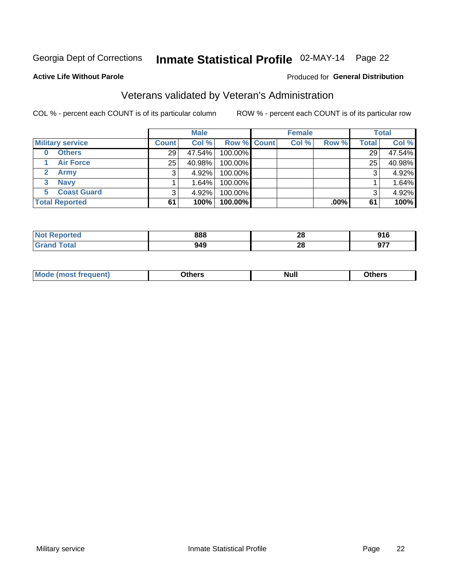# Inmate Statistical Profile 02-MAY-14 Page 22

#### **Active Life Without Parole**

#### Produced for General Distribution

### Veterans validated by Veteran's Administration

COL % - percent each COUNT is of its particular column

|                          |              | <b>Male</b> |                    | <b>Female</b> |         |              | <b>Total</b> |
|--------------------------|--------------|-------------|--------------------|---------------|---------|--------------|--------------|
| <b>Military service</b>  | <b>Count</b> | Col %       | <b>Row % Count</b> | Col %         | Row %   | <b>Total</b> | Col %        |
| <b>Others</b><br>0       | 29 l         | 47.54%      | 100.00%            |               |         | 29           | 47.54%       |
| <b>Air Force</b>         | 25           | 40.98%      | 100.00%            |               |         | 25           | 40.98%       |
| <b>Army</b>              |              | 4.92%       | 100.00%            |               |         | 3            | 4.92%        |
| <b>Navy</b><br>3         |              | 1.64%       | 100.00%            |               |         |              | 1.64%        |
| <b>Coast Guard</b><br>5. |              | 4.92%       | 100.00%            |               |         | 3            | 4.92%        |
| <b>Total Reported</b>    | 61           | 100%        | 100.00%            |               | $.00\%$ | 61           | 100%         |

| rteo    | 888        | ററ<br>40        | 04C<br>JIV           |
|---------|------------|-----------------|----------------------|
| $f = f$ | 949<br>- - | - -<br>nc<br>40 | 077<br>J1.<br>$\sim$ |

| Mo<br><b>Null</b><br>วthers<br>____<br>____ |
|---------------------------------------------|
|---------------------------------------------|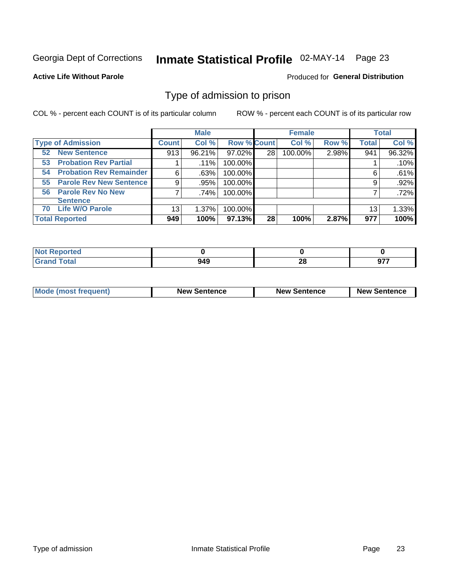# Inmate Statistical Profile 02-MAY-14 Page 23

#### **Active Life Without Parole**

#### Produced for General Distribution

### Type of admission to prison

COL % - percent each COUNT is of its particular column

|                                      |         | <b>Male</b> |                    |    | <b>Female</b> |       |              | <b>Total</b> |
|--------------------------------------|---------|-------------|--------------------|----|---------------|-------|--------------|--------------|
| <b>Type of Admission</b>             | Count l | Col %       | <b>Row % Count</b> |    | Col %         | Row % | <b>Total</b> | Col %        |
| <b>New Sentence</b><br>52            | 913     | 96.21%      | 97.02%             | 28 | 100.00%       | 2.98% | 941          | 96.32%       |
| <b>Probation Rev Partial</b><br>53   |         | .11%        | 100.00%            |    |               |       |              | .10%         |
| <b>Probation Rev Remainder</b><br>54 | 6       | .63%        | 100.00%            |    |               |       | 6            | .61%         |
| <b>Parole Rev New Sentence</b><br>55 | 9       | .95%        | 100.00%            |    |               |       | 9            | .92%         |
| <b>Parole Rev No New</b><br>56       | 7       | .74%        | 100.00%            |    |               |       |              | .72%         |
| <b>Sentence</b>                      |         |             |                    |    |               |       |              |              |
| <b>Life W/O Parole</b><br>70         | 13      | 1.37%       | 100.00%            |    |               |       | 13           | 1.33%        |
| <b>Total Reported</b>                | 949     | 100%        | $97.13\%$          | 28 | 100%          | 2.87% | 977          | 100%         |

| Reported<br>N. |     |     |        |
|----------------|-----|-----|--------|
| <b>otal</b>    | ៱៱៱ | ne. | 677    |
| <b>UIU</b>     | J4J | ZC  | . JI . |

| <b>Mode (most frequent)</b> | <b>New Sentence</b> | <b>New Sentence</b> | <b>New Sentence</b> |
|-----------------------------|---------------------|---------------------|---------------------|
|                             |                     |                     |                     |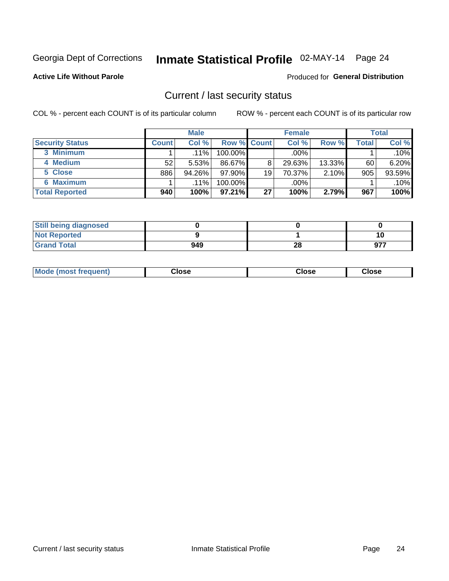# Inmate Statistical Profile 02-MAY-14 Page 24

#### **Active Life Without Parole**

#### Produced for General Distribution

### Current / last security status

COL % - percent each COUNT is of its particular column

|                        |              | <b>Male</b> |                    |    | <b>Female</b> |        |              | <b>Total</b> |
|------------------------|--------------|-------------|--------------------|----|---------------|--------|--------------|--------------|
| <b>Security Status</b> | <b>Count</b> | Col %       | <b>Row % Count</b> |    | Col %         | Row %  | <b>Total</b> | Col %        |
| 3 Minimum              |              | $.11\%$     | 100.00%            |    | .00%          |        |              | $.10\%$      |
| 4 Medium               | 52           | 5.53%       | 86.67%             | 8  | 29.63%        | 13.33% | 60           | $6.20\%$     |
| 5 Close                | 886          | $94.26\%$   | 97.90%             | 19 | 70.37%        | 2.10%  | 905          | 93.59%       |
| <b>6 Maximum</b>       |              | $.11\%$     | 100.00%            |    | .00%          |        |              | $.10\%$      |
| <b>Total Reported</b>  | 940          | 100%        | 97.21%             | 27 | 100%          | 2.79%  | 967          | 100%         |

| <b>Still being diagnosed</b> |     |    |     |
|------------------------------|-----|----|-----|
| <b>Not Reported</b>          |     |    | 10  |
| <b>Grand Total</b>           | 949 | 28 | 977 |

| <b>Mode (most frequent)</b><br>Close | Close | Close |
|--------------------------------------|-------|-------|
|--------------------------------------|-------|-------|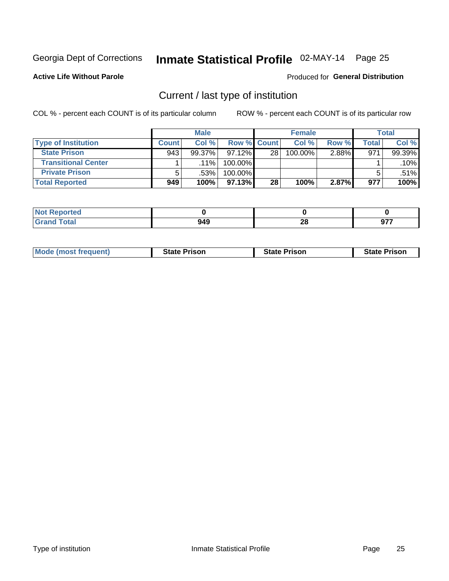# Inmate Statistical Profile 02-MAY-14 Page 25

**Active Life Without Parole** 

#### Produced for General Distribution

### Current / last type of institution

COL % - percent each COUNT is of its particular column

|                            |              | <b>Male</b> |             |                 | <b>Female</b> |       |       | <b>Total</b> |
|----------------------------|--------------|-------------|-------------|-----------------|---------------|-------|-------|--------------|
| <b>Type of Institution</b> | <b>Count</b> | Col %       | Row % Count |                 | Col %         | Row % | Total | Col %        |
| <b>State Prison</b>        | 943          | $99.37\%$   | $97.12\%$   | 28              | 100.00%       | 2.88% | 971   | 99.39%       |
| <b>Transitional Center</b> |              | $.11\%$     | 100.00%     |                 |               |       |       | $.10\%$      |
| <b>Private Prison</b>      | 5            | .53%        | 100.00%     |                 |               |       |       | .51%         |
| <b>Total Reported</b>      | 949          | 100%        | 97.13%      | 28 <sub>1</sub> | 100%          | 2.87% | 977   | 100%         |

| ported      |                 |    |     |
|-------------|-----------------|----|-----|
| <b>otal</b> | 0 <sub>40</sub> | ኅር | ~-- |
|             | 949             | zo | J1. |

| <b>Mode (most frequent)</b> | <b>State Prison</b> | <b>State Prison</b> | <b>State Prison</b> |
|-----------------------------|---------------------|---------------------|---------------------|
|                             |                     |                     |                     |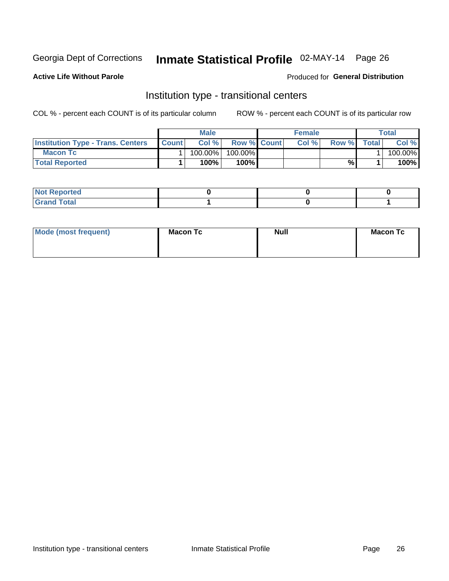# Inmate Statistical Profile 02-MAY-14 Page 26

**Active Life Without Parole** 

#### Produced for General Distribution

### Institution type - transitional centers

COL % - percent each COUNT is of its particular column

|                                          |              | Male    |                    | <b>Female</b> |       |              | Total   |
|------------------------------------------|--------------|---------|--------------------|---------------|-------|--------------|---------|
| <b>Institution Type - Trans. Centers</b> | <b>Count</b> | Col%    | <b>Row % Count</b> | Col%          | Row % | <b>Total</b> | Col %   |
| <b>Macon Tc</b>                          |              | 100.00% | 100.00%            |               |       |              | 100.00% |
| <b>Total Reported</b>                    |              | $100\%$ | 100%               |               | %     |              | 100%    |

| <b>Not Reported</b>  |  |  |
|----------------------|--|--|
| <b>Total</b><br>r va |  |  |

| Mode (most frequent) | <b>Macon Tc</b> | <b>Null</b> | <b>Macon Tc</b> |
|----------------------|-----------------|-------------|-----------------|
|                      |                 |             |                 |
|                      |                 |             |                 |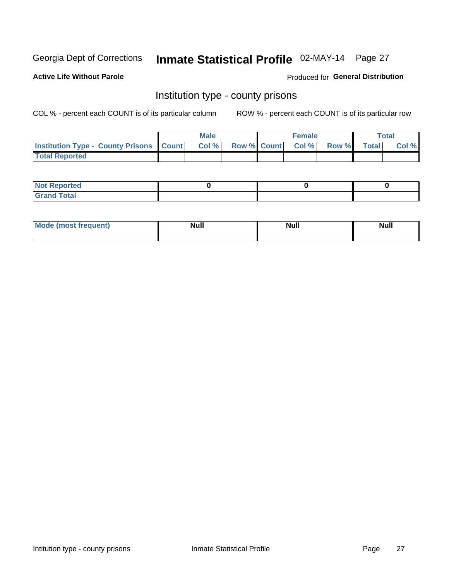# Inmate Statistical Profile 02-MAY-14 Page 27

**Active Life Without Parole** 

Produced for General Distribution

### Institution type - county prisons

COL % - percent each COUNT is of its particular column

|                                                    | <b>Male</b> |  | <b>Female</b>            |             | <b>Total</b> |
|----------------------------------------------------|-------------|--|--------------------------|-------------|--------------|
| <b>Institution Type - County Prisons   Count  </b> | Col %       |  | <b>Row % Count Col %</b> | Row % Total | Col %        |
| <b>Total Reported</b>                              |             |  |                          |             |              |

| <b>Not Reported</b>   |  |  |
|-----------------------|--|--|
| <b>Total</b><br>Granc |  |  |

| <b>Mode</b>      | <b>Null</b> | <b>Null</b> | <b>Null</b> |
|------------------|-------------|-------------|-------------|
| (most freauent). |             |             |             |
|                  |             |             |             |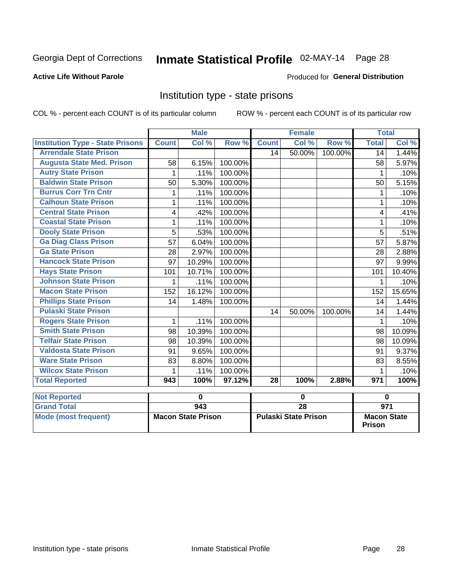# Inmate Statistical Profile 02-MAY-14 Page 28

### **Active Life Without Parole**

#### Produced for General Distribution

### Institution type - state prisons

COL % - percent each COUNT is of its particular column

|                                         |              | <b>Male</b> |         |              | <b>Female</b> |         | <b>Total</b> |        |
|-----------------------------------------|--------------|-------------|---------|--------------|---------------|---------|--------------|--------|
| <b>Institution Type - State Prisons</b> | <b>Count</b> | Col %       | Row %   | <b>Count</b> | Col %         | Row %   | <b>Total</b> | Col %  |
| <b>Arrendale State Prison</b>           |              |             |         | 14           | 50.00%        | 100.00% | 14           | 1.44%  |
| <b>Augusta State Med. Prison</b>        | 58           | 6.15%       | 100.00% |              |               |         | 58           | 5.97%  |
| <b>Autry State Prison</b>               | 1            | .11%        | 100.00% |              |               |         |              | .10%   |
| <b>Baldwin State Prison</b>             | 50           | 5.30%       | 100.00% |              |               |         | 50           | 5.15%  |
| <b>Burrus Corr Trn Cntr</b>             | 1            | .11%        | 100.00% |              |               |         |              | .10%   |
| <b>Calhoun State Prison</b>             | 1            | .11%        | 100.00% |              |               |         |              | .10%   |
| <b>Central State Prison</b>             | 4            | .42%        | 100.00% |              |               |         | 4            | .41%   |
| <b>Coastal State Prison</b>             | 1            | .11%        | 100.00% |              |               |         |              | .10%   |
| <b>Dooly State Prison</b>               | 5            | .53%        | 100.00% |              |               |         | 5            | .51%   |
| <b>Ga Diag Class Prison</b>             | 57           | 6.04%       | 100.00% |              |               |         | 57           | 5.87%  |
| <b>Ga State Prison</b>                  | 28           | 2.97%       | 100.00% |              |               |         | 28           | 2.88%  |
| <b>Hancock State Prison</b>             | 97           | 10.29%      | 100.00% |              |               |         | 97           | 9.99%  |
| <b>Hays State Prison</b>                | 101          | 10.71%      | 100.00% |              |               |         | 101          | 10.40% |
| <b>Johnson State Prison</b>             | 1            | .11%        | 100.00% |              |               |         | 1            | .10%   |
| <b>Macon State Prison</b>               | 152          | 16.12%      | 100.00% |              |               |         | 152          | 15.65% |
| <b>Phillips State Prison</b>            | 14           | 1.48%       | 100.00% |              |               |         | 14           | 1.44%  |
| <b>Pulaski State Prison</b>             |              |             |         | 14           | 50.00%        | 100.00% | 14           | 1.44%  |
| <b>Rogers State Prison</b>              | $\mathbf{1}$ | .11%        | 100.00% |              |               |         |              | .10%   |
| <b>Smith State Prison</b>               | 98           | 10.39%      | 100.00% |              |               |         | 98           | 10.09% |
| <b>Telfair State Prison</b>             | 98           | 10.39%      | 100.00% |              |               |         | 98           | 10.09% |
| <b>Valdosta State Prison</b>            | 91           | 9.65%       | 100.00% |              |               |         | 91           | 9.37%  |
| <b>Ware State Prison</b>                | 83           | 8.80%       | 100.00% |              |               |         | 83           | 8.55%  |
| <b>Wilcox State Prison</b>              | 1            | .11%        | 100.00% |              |               |         |              | .10%   |
| <b>Total Reported</b>                   | 943          | 100%        | 97.12%  | 28           | 100%          | 2.88%   | 971          | 100%   |
| <b>Not Reported</b>                     |              | $\mathbf 0$ |         |              | 0             |         |              | 0      |

| <b>I</b> NOT REDOLTED |                           |                             |                                     |
|-----------------------|---------------------------|-----------------------------|-------------------------------------|
| <b>Grand Total</b>    | 943                       | 28                          | 971                                 |
| Mode (most frequent)  | <b>Macon State Prison</b> | <b>Pulaski State Prison</b> | <b>Macon State</b><br><b>Prison</b> |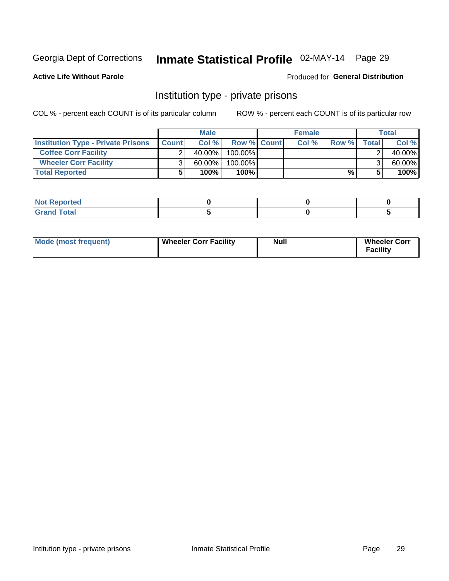# Inmate Statistical Profile 02-MAY-14 Page 29

**Active Life Without Parole** 

#### Produced for General Distribution

### Institution type - private prisons

COL % - percent each COUNT is of its particular column

|                                           |              | <b>Male</b> |             | <b>Female</b> |       |       | <b>Total</b> |
|-------------------------------------------|--------------|-------------|-------------|---------------|-------|-------|--------------|
| <b>Institution Type - Private Prisons</b> | <b>Count</b> | Col%        | Row % Count | Col %         | Row % | Total | Col %        |
| <b>Coffee Corr Facility</b>               |              | $40.00\%$   | $100.00\%$  |               |       |       | 40.00%       |
| <b>Wheeler Corr Facility</b>              | ົ            | $60.00\%$   | 100.00%     |               |       |       | 60.00%       |
| <b>Total Reported</b>                     |              | 100%        | 100%        |               | %     |       | 100%         |

| rtea                  |  |  |
|-----------------------|--|--|
| المفحا<br>$\sim$<br>- |  |  |

| Mode (most frequent) | <b>Wheeler Corr Facility</b> | Null | <b>Wheeler Corr</b><br>acility |
|----------------------|------------------------------|------|--------------------------------|
|----------------------|------------------------------|------|--------------------------------|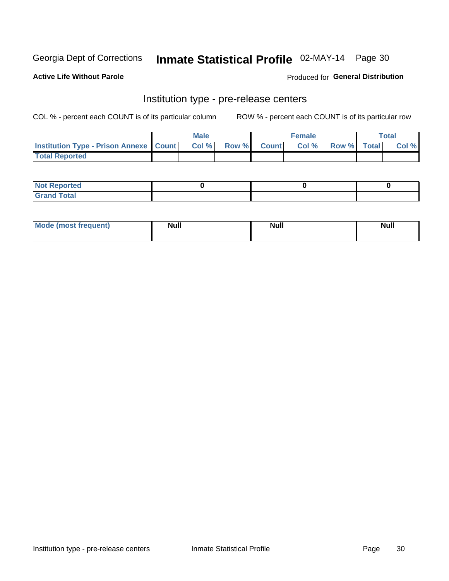# Inmate Statistical Profile 02-MAY-14 Page 30

**Active Life Without Parole** 

Produced for General Distribution

# Institution type - pre-release centers

COL % - percent each COUNT is of its particular column

|                                                   | <b>Male</b> |              |       | <b>Female</b> |                    | <b>Total</b> |
|---------------------------------------------------|-------------|--------------|-------|---------------|--------------------|--------------|
| <b>Institution Type - Prison Annexe   Count  </b> | Col %       | <b>Row %</b> | Count | Col %         | <b>Row %</b> Total | Col %        |
| <b>Total Reported</b>                             |             |              |       |               |                    |              |

| <b>Reported</b><br>I NOT |  |  |
|--------------------------|--|--|
| <b>Total</b><br>$C$ ren  |  |  |

| $^{\circ}$ Mo<br>frequent)<br>⊥(most | <b>Null</b> | Noll<br><b>vull</b> | <b>Null</b> |
|--------------------------------------|-------------|---------------------|-------------|
|                                      |             |                     |             |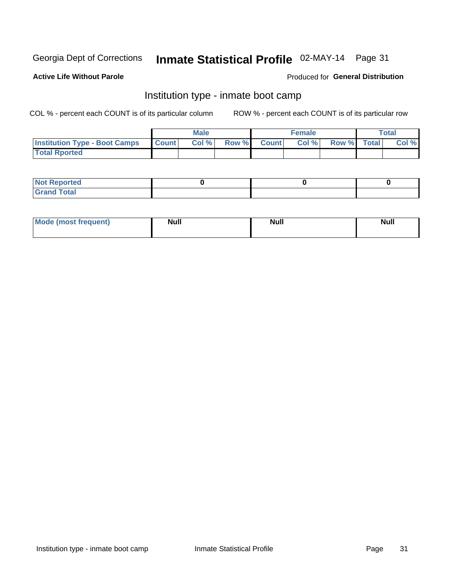# Inmate Statistical Profile 02-MAY-14 Page 31

### **Active Life Without Parole**

### **Produced for General Distribution**

### Institution type - inmate boot camp

COL % - percent each COUNT is of its particular column

|                                      |              | <b>Male</b> |               |              | <b>Female</b> |             | <b>Total</b> |
|--------------------------------------|--------------|-------------|---------------|--------------|---------------|-------------|--------------|
| <b>Institution Type - Boot Camps</b> | <b>Count</b> | Col %       | <b>Row %I</b> | <b>Count</b> | Col %         | Row % Total | Col %        |
| <b>Total Rported</b>                 |              |             |               |              |               |             |              |

| <b>Not Reported</b> |  |  |
|---------------------|--|--|
| <b>Total</b><br>Cro |  |  |

| <b>I Mode (most frequent)</b> | <b>Null</b> | <b>Null</b> | <b>Null</b> |
|-------------------------------|-------------|-------------|-------------|
|                               |             |             |             |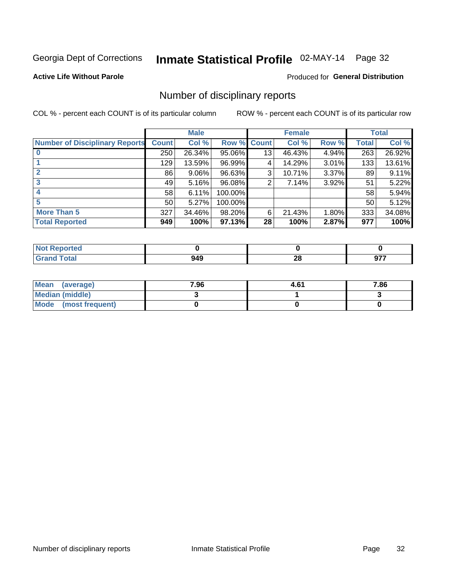# Inmate Statistical Profile 02-MAY-14 Page 32

**Active Life Without Parole** 

#### Produced for General Distribution

### Number of disciplinary reports

COL % - percent each COUNT is of its particular column

|                                       |                 | <b>Male</b> |         |                 | <b>Female</b> |       |              | <b>Total</b> |
|---------------------------------------|-----------------|-------------|---------|-----------------|---------------|-------|--------------|--------------|
| <b>Number of Disciplinary Reports</b> | <b>Count</b>    | Col %       | Row %   | <b>Count</b>    | Col %         | Row % | <b>Total</b> | Col %        |
|                                       | 250             | 26.34%      | 95.06%  | 13              | 46.43%        | 4.94% | 263          | 26.92%       |
|                                       | 129             | 13.59%      | 96.99%  | 4               | 14.29%        | 3.01% | 133          | 13.61%       |
| $\mathbf{2}$                          | 86              | $9.06\%$    | 96.63%  | 3               | 10.71%        | 3.37% | 89           | 9.11%        |
| 3                                     | 49              | 5.16%       | 96.08%  | 2               | 7.14%         | 3.92% | 51           | 5.22%        |
|                                       | 58              | 6.11%       | 100.00% |                 |               |       | 58           | 5.94%        |
| 5                                     | 50 <sub>1</sub> | 5.27%       | 100.00% |                 |               |       | 50           | 5.12%        |
| <b>More Than 5</b>                    | 327             | 34.46%      | 98.20%  | 6               | 21.43%        | 1.80% | 333          | 34.08%       |
| <b>Total Reported</b>                 | 949             | 100%        | 97.13%  | 28 <sup>1</sup> | 100%          | 2.87% | 977          | 100%         |

| <b>prted</b><br>NOT |     |                |  |
|---------------------|-----|----------------|--|
| <b>f</b> otal       | 949 | ഹ<br>ZO.<br>__ |  |

| Mean (average)         | 7.96 | 4.61 | 7.86 |
|------------------------|------|------|------|
| <b>Median (middle)</b> |      |      |      |
| Mode (most frequent)   |      |      |      |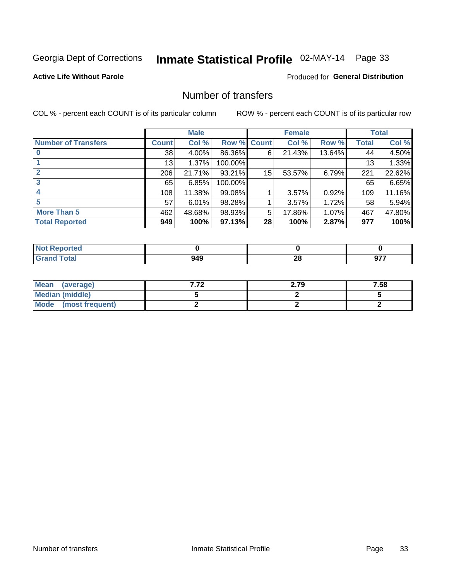# Inmate Statistical Profile 02-MAY-14 Page 33

### **Active Life Without Parole**

### **Produced for General Distribution**

### Number of transfers

COL % - percent each COUNT is of its particular column

|                            |         | <b>Male</b> |         |              | <b>Female</b> |        |              | <b>Total</b> |
|----------------------------|---------|-------------|---------|--------------|---------------|--------|--------------|--------------|
| <b>Number of Transfers</b> | Count l | Col %       | Row %   | <b>Count</b> | Col %         | Row %  | <b>Total</b> | Col %        |
|                            | 38      | $4.00\%$    | 86.36%  | 6            | 21.43%        | 13.64% | 44           | 4.50%        |
|                            | 13      | 1.37%       | 100.00% |              |               |        | 13           | 1.33%        |
|                            | 206     | 21.71%      | 93.21%  | 15           | 53.57%        | 6.79%  | 221          | 22.62%       |
| 3                          | 65      | 6.85%       | 100.00% |              |               |        | 65           | 6.65%        |
|                            | 108     | 11.38%      | 99.08%  |              | 3.57%         | 0.92%  | 109          | 11.16%       |
| 5                          | 57      | 6.01%       | 98.28%  |              | 3.57%         | 1.72%  | 58           | 5.94%        |
| <b>More Than 5</b>         | 462     | 48.68%      | 98.93%  | 5            | 17.86%        | 1.07%  | 467          | 47.80%       |
| <b>Total Reported</b>      | 949     | 100%        | 97.13%  | 28           | 100%          | 2.87%  | 977          | 100%         |

| <b>prted</b><br>NOT |     |                |  |
|---------------------|-----|----------------|--|
| <b>f</b> otal       | 949 | ഹ<br>ZO.<br>__ |  |

| Mean (average)       | 2.79 | 7.58 |
|----------------------|------|------|
| Median (middle)      |      |      |
| Mode (most frequent) |      |      |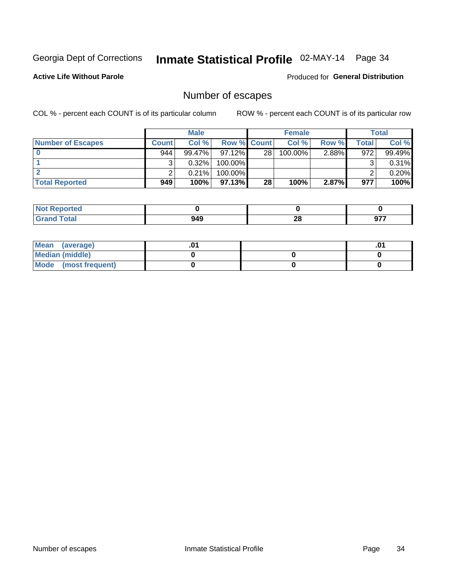# Inmate Statistical Profile 02-MAY-14 Page 34

**Active Life Without Parole** 

**Produced for General Distribution** 

### Number of escapes

COL % - percent each COUNT is of its particular column

|                          |              | <b>Male</b> |                    |    | <b>Female</b> |       |       | Total  |
|--------------------------|--------------|-------------|--------------------|----|---------------|-------|-------|--------|
| <b>Number of Escapes</b> | <b>Count</b> | Col%        | <b>Row % Count</b> |    | Col %         | Row % | Total | Col %  |
|                          | 944          | $99.47\%$   | $97.12\%$          | 28 | 100.00%       | 2.88% | 972   | 99.49% |
|                          |              | 0.32%       | 100.00%            |    |               |       |       | 0.31%  |
|                          |              | 0.21%       | 100.00%            |    |               |       |       | 0.20%  |
| <b>Total Reported</b>    | 949          | 100%        | $97.13\%$          | 28 | 100%          | 2.87% | 977   | 100%   |

| orted<br><b>NOT</b><br><b>LINGER</b> |     |    |      |
|--------------------------------------|-----|----|------|
| <b>fotal</b>                         | 949 | ഹ  | ヘララ  |
| <b>Grand</b>                         |     | 40 | JI I |

| Mean (average)       |  | .01 |
|----------------------|--|-----|
| Median (middle)      |  |     |
| Mode (most frequent) |  |     |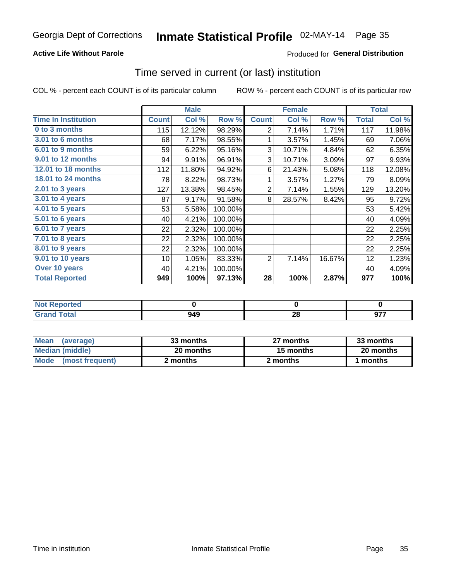### Inmate Statistical Profile 02-MAY-14 Page 35

### **Active Life Without Parole**

### **Produced for General Distribution**

### Time served in current (or last) institution

COL % - percent each COUNT is of its particular column

|                            | <b>Male</b>  |        | <b>Female</b> |                |        | <b>Total</b> |              |        |
|----------------------------|--------------|--------|---------------|----------------|--------|--------------|--------------|--------|
| <b>Time In Institution</b> | <b>Count</b> | Col %  | Row %         | <b>Count</b>   | Col %  | Row %        | <b>Total</b> | Col %  |
| 0 to 3 months              | 115          | 12.12% | 98.29%        | $\overline{2}$ | 7.14%  | 1.71%        | 117          | 11.98% |
| <b>3.01 to 6 months</b>    | 68           | 7.17%  | 98.55%        | 1              | 3.57%  | 1.45%        | 69           | 7.06%  |
| 6.01 to 9 months           | 59           | 6.22%  | 95.16%        | 3              | 10.71% | 4.84%        | 62           | 6.35%  |
| 9.01 to 12 months          | 94           | 9.91%  | 96.91%        | 3              | 10.71% | 3.09%        | 97           | 9.93%  |
| 12.01 to 18 months         | 112          | 11.80% | 94.92%        | 6              | 21.43% | 5.08%        | 118          | 12.08% |
| <b>18.01 to 24 months</b>  | 78           | 8.22%  | 98.73%        | 1              | 3.57%  | 1.27%        | 79           | 8.09%  |
| $2.01$ to 3 years          | 127          | 13.38% | 98.45%        | $\overline{2}$ | 7.14%  | 1.55%        | 129          | 13.20% |
| 3.01 to 4 years            | 87           | 9.17%  | 91.58%        | 8              | 28.57% | 8.42%        | 95           | 9.72%  |
| 4.01 to 5 years            | 53           | 5.58%  | 100.00%       |                |        |              | 53           | 5.42%  |
| 5.01 to 6 years            | 40           | 4.21%  | 100.00%       |                |        |              | 40           | 4.09%  |
| 6.01 to 7 years            | 22           | 2.32%  | 100.00%       |                |        |              | 22           | 2.25%  |
| 7.01 to 8 years            | 22           | 2.32%  | 100.00%       |                |        |              | 22           | 2.25%  |
| 8.01 to 9 years            | 22           | 2.32%  | 100.00%       |                |        |              | 22           | 2.25%  |
| 9.01 to 10 years           | 10           | 1.05%  | 83.33%        | 2              | 7.14%  | 16.67%       | 12           | 1.23%  |
| Over 10 years              | 40           | 4.21%  | 100.00%       |                |        |              | 40           | 4.09%  |
| <b>Total Reported</b>      | 949          | 100%   | 97.13%        | 28             | 100%   | 2.87%        | 977          | 100%   |

| <b>Not Reported</b> |     |    |             |
|---------------------|-----|----|-------------|
| Tota'               | 949 | 49 | ---<br>י יש |

| <b>Mean</b><br>(average) | 33 months | 27 months | 33 months |
|--------------------------|-----------|-----------|-----------|
| Median (middle)          | 20 months | 15 months | 20 months |
| Mode (most frequent)     | 2 months  | 2 months  | 1 months  |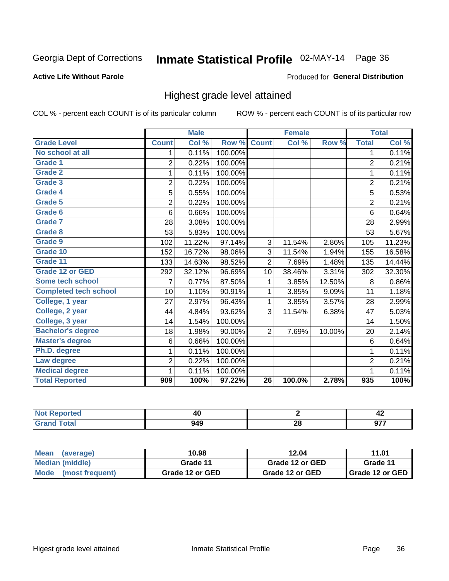# Inmate Statistical Profile 02-MAY-14 Page 36

#### **Active Life Without Parole**

#### Produced for General Distribution

### Highest grade level attained

COL % - percent each COUNT is of its particular column

|                              |                | <b>Male</b> |         |                 | <b>Female</b> |        |                | <b>Total</b> |
|------------------------------|----------------|-------------|---------|-----------------|---------------|--------|----------------|--------------|
| <b>Grade Level</b>           | <b>Count</b>   | Col %       | Row %   | <b>Count</b>    | Col %         | Row %  | <b>Total</b>   | Col %        |
| No school at all             | 1              | 0.11%       | 100.00% |                 |               |        | 1              | 0.11%        |
| Grade 1                      | 2              | 0.22%       | 100.00% |                 |               |        | $\overline{2}$ | 0.21%        |
| <b>Grade 2</b>               | 1              | 0.11%       | 100.00% |                 |               |        | $\mathbf{1}$   | 0.11%        |
| Grade 3                      | $\overline{2}$ | 0.22%       | 100.00% |                 |               |        | $\overline{c}$ | 0.21%        |
| Grade 4                      | $\overline{5}$ | 0.55%       | 100.00% |                 |               |        | $\overline{5}$ | 0.53%        |
| Grade 5                      | 2              | 0.22%       | 100.00% |                 |               |        | $\overline{2}$ | 0.21%        |
| <b>Grade 6</b>               | 6              | 0.66%       | 100.00% |                 |               |        | 6              | 0.64%        |
| Grade 7                      | 28             | 3.08%       | 100.00% |                 |               |        | 28             | 2.99%        |
| Grade 8                      | 53             | 5.83%       | 100.00% |                 |               |        | 53             | 5.67%        |
| Grade 9                      | 102            | 11.22%      | 97.14%  | 3               | 11.54%        | 2.86%  | 105            | 11.23%       |
| Grade 10                     | 152            | 16.72%      | 98.06%  | 3               | 11.54%        | 1.94%  | 155            | 16.58%       |
| Grade 11                     | 133            | 14.63%      | 98.52%  | $\overline{2}$  | 7.69%         | 1.48%  | 135            | 14.44%       |
| <b>Grade 12 or GED</b>       | 292            | 32.12%      | 96.69%  | 10              | 38.46%        | 3.31%  | 302            | 32.30%       |
| Some tech school             | 7              | 0.77%       | 87.50%  | 1               | 3.85%         | 12.50% | 8              | 0.86%        |
| <b>Completed tech school</b> | 10             | 1.10%       | 90.91%  | 1               | 3.85%         | 9.09%  | 11             | 1.18%        |
| College, 1 year              | 27             | 2.97%       | 96.43%  | 1               | 3.85%         | 3.57%  | 28             | 2.99%        |
| College, 2 year              | 44             | 4.84%       | 93.62%  | 3               | 11.54%        | 6.38%  | 47             | 5.03%        |
| College, 3 year              | 14             | 1.54%       | 100.00% |                 |               |        | 14             | 1.50%        |
| <b>Bachelor's degree</b>     | 18             | 1.98%       | 90.00%  | $\overline{2}$  | 7.69%         | 10.00% | 20             | 2.14%        |
| <b>Master's degree</b>       | 6              | 0.66%       | 100.00% |                 |               |        | 6              | 0.64%        |
| Ph.D. degree                 | 1              | 0.11%       | 100.00% |                 |               |        | 1              | 0.11%        |
| Law degree                   | $\overline{2}$ | 0.22%       | 100.00% |                 |               |        | $\overline{2}$ | 0.21%        |
| <b>Medical degree</b>        |                | 0.11%       | 100.00% |                 |               |        | 1              | 0.11%        |
| <b>Total Reported</b>        | 909            | 100%        | 97.22%  | $\overline{26}$ | 100.0%        | 2.78%  | 935            | 100%         |

| erteol       | 44<br>$\sim$ |           | 74                         |
|--------------|--------------|-----------|----------------------------|
| <b>Total</b> | 949          | nc.<br>ZO | ---<br>J.<br>$\sim$ $\sim$ |

| <b>Mean</b><br>(average)       | 10.98           | 12.04           | 11.01             |
|--------------------------------|-----------------|-----------------|-------------------|
| Median (middle)                | Grade 11        | Grade 12 or GED | Grade 11          |
| <b>Mode</b><br>(most frequent) | Grade 12 or GED | Grade 12 or GED | I Grade 12 or GED |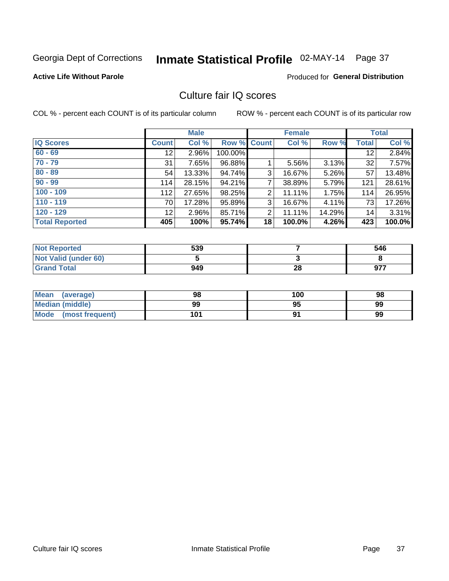# Inmate Statistical Profile 02-MAY-14 Page 37

### **Active Life Without Parole**

### **Produced for General Distribution**

### Culture fair IQ scores

COL % - percent each COUNT is of its particular column

|                       |                 | <b>Male</b> |                    |    | <b>Female</b> |          |                 | <b>Total</b> |
|-----------------------|-----------------|-------------|--------------------|----|---------------|----------|-----------------|--------------|
| <b>IQ Scores</b>      | <b>Count</b>    | Col %       | <b>Row % Count</b> |    | Col %         | Row %    | <b>Total</b>    | Col %        |
| $60 - 69$             | 12 <sub>2</sub> | 2.96%       | 100.00%            |    |               |          | 12 <sup>2</sup> | 2.84%        |
| $70 - 79$             | 31              | 7.65%       | 96.88%             |    | 5.56%         | $3.13\%$ | 32              | 7.57%        |
| $80 - 89$             | 54              | 13.33%      | 94.74%             | 3  | 16.67%        | 5.26%    | 57              | 13.48%       |
| $90 - 99$             | 114             | 28.15%      | 94.21%             | 7  | 38.89%        | 5.79%    | 121             | 28.61%       |
| $100 - 109$           | 112             | 27.65%      | 98.25%             | 2  | 11.11%        | 1.75%    | 114             | 26.95%       |
| $110 - 119$           | 70              | 17.28%      | 95.89%             | 3  | 16.67%        | 4.11%    | 73              | 17.26%       |
| $120 - 129$           | 12 <sub>2</sub> | 2.96%       | 85.71%             | 2  | 11.11%        | 14.29%   | 14              | 3.31%        |
| <b>Total Reported</b> | 405             | 100%        | 95.74%             | 18 | 100.0%        | 4.26%    | 423             | 100.0%       |

| <b>Not Reported</b>         | 539 |    | 546 |
|-----------------------------|-----|----|-----|
| <b>Not Valid (under 60)</b> |     |    |     |
| <b>Grand Total</b>          | 949 | 28 | 977 |

| <b>Mean</b><br>(average) | 98  | 100 | 98 |
|--------------------------|-----|-----|----|
| Median (middle)          | 99  |     | 99 |
| Mode<br>(most frequent)  | 101 |     | 99 |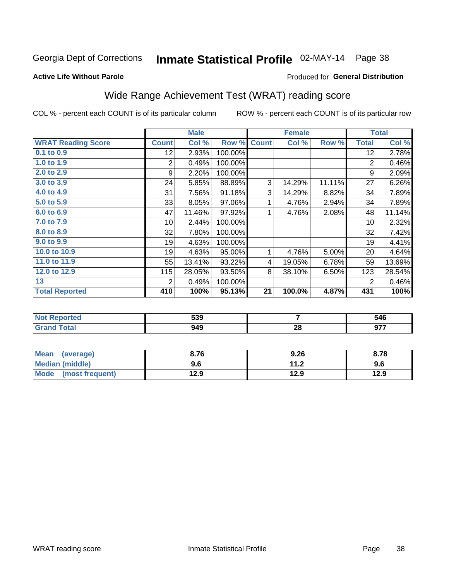# Inmate Statistical Profile 02-MAY-14 Page 38

**Active Life Without Parole** 

#### Produced for General Distribution

## Wide Range Achievement Test (WRAT) reading score

COL % - percent each COUNT is of its particular column

|                           |                 | <b>Male</b> |         |              | <b>Female</b> |        |                | <b>Total</b>               |
|---------------------------|-----------------|-------------|---------|--------------|---------------|--------|----------------|----------------------------|
| <b>WRAT Reading Score</b> | <b>Count</b>    | Col %       | Row %   | <b>Count</b> | Col %         | Row %  | <b>Total</b>   | $\overline{\text{Col }\%}$ |
| 0.1 to 0.9                | 12 <sub>2</sub> | 2.93%       | 100.00% |              |               |        | 12             | 2.78%                      |
| 1.0 to 1.9                | 2               | 0.49%       | 100.00% |              |               |        | 2              | 0.46%                      |
| 2.0 to 2.9                | 9               | 2.20%       | 100.00% |              |               |        | 9              | 2.09%                      |
| 3.0 to 3.9                | 24              | 5.85%       | 88.89%  | 3            | 14.29%        | 11.11% | 27             | 6.26%                      |
| 4.0 to 4.9                | 31              | 7.56%       | 91.18%  | 3            | 14.29%        | 8.82%  | 34             | 7.89%                      |
| 5.0 to 5.9                | 33              | 8.05%       | 97.06%  | 1            | 4.76%         | 2.94%  | 34             | 7.89%                      |
| 6.0 to 6.9                | 47              | 11.46%      | 97.92%  | 1            | 4.76%         | 2.08%  | 48             | 11.14%                     |
| 7.0 to 7.9                | 10 <sup>1</sup> | 2.44%       | 100.00% |              |               |        | 10             | 2.32%                      |
| 8.0 to 8.9                | 32              | 7.80%       | 100.00% |              |               |        | 32             | 7.42%                      |
| 9.0 to 9.9                | 19              | 4.63%       | 100.00% |              |               |        | 19             | 4.41%                      |
| 10.0 to 10.9              | 19              | 4.63%       | 95.00%  | 1            | 4.76%         | 5.00%  | 20             | 4.64%                      |
| 11.0 to 11.9              | 55              | 13.41%      | 93.22%  | 4            | 19.05%        | 6.78%  | 59             | 13.69%                     |
| 12.0 to 12.9              | 115             | 28.05%      | 93.50%  | 8            | 38.10%        | 6.50%  | 123            | 28.54%                     |
| 13                        | 2               | 0.49%       | 100.00% |              |               |        | $\overline{2}$ | 0.46%                      |
| <b>Total Reported</b>     | 410             | 100%        | 95.13%  | 21           | 100.0%        | 4.87%  | 431            | 100%                       |
|                           |                 |             |         |              |               |        |                |                            |
|                           |                 |             |         |              |               |        |                |                            |

| <b>Not</b><br><b>Reported</b> | 539 |         | 546                |
|-------------------------------|-----|---------|--------------------|
| <b>cotal</b>                  | 949 | റ<br>ZO | <b>077</b><br>J1 . |

| <b>Mean</b><br>(average)       | 8.76 | 9.26                     | 8.78 |
|--------------------------------|------|--------------------------|------|
| <b>Median (middle)</b>         | 9.6  | 11 <sub>2</sub><br>. . Z | 9.6  |
| <b>Mode</b><br>(most frequent) | 12.9 | 12.9                     | 12.9 |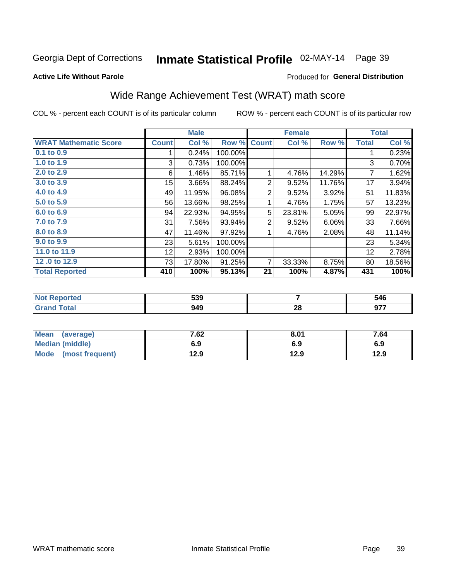# Inmate Statistical Profile 02-MAY-14 Page 39

#### **Active Life Without Parole**

#### Produced for General Distribution

## Wide Range Achievement Test (WRAT) math score

COL % - percent each COUNT is of its particular column

|                              |              | <b>Male</b> |         |                | <b>Female</b> |        |              | <b>Total</b> |
|------------------------------|--------------|-------------|---------|----------------|---------------|--------|--------------|--------------|
| <b>WRAT Mathematic Score</b> | <b>Count</b> | Col %       | Row %   | <b>Count</b>   | Col %         | Row %  | <b>Total</b> | Col %        |
| 0.1 to 0.9                   |              | 0.24%       | 100.00% |                |               |        |              | 0.23%        |
| 1.0 to 1.9                   | 3            | 0.73%       | 100.00% |                |               |        | 3            | 0.70%        |
| 2.0 to 2.9                   | 6            | 1.46%       | 85.71%  | 1              | 4.76%         | 14.29% | 7            | 1.62%        |
| 3.0 to 3.9                   | 15           | 3.66%       | 88.24%  | 2              | 9.52%         | 11.76% | 17           | 3.94%        |
| 4.0 to 4.9                   | 49           | 11.95%      | 96.08%  | 2              | 9.52%         | 3.92%  | 51           | 11.83%       |
| 5.0 to 5.9                   | 56           | 13.66%      | 98.25%  | 1              | 4.76%         | 1.75%  | 57           | 13.23%       |
| 6.0 to 6.9                   | 94           | 22.93%      | 94.95%  | 5              | 23.81%        | 5.05%  | 99           | 22.97%       |
| 7.0 to 7.9                   | 31           | 7.56%       | 93.94%  | 2              | 9.52%         | 6.06%  | 33           | 7.66%        |
| 8.0 to 8.9                   | 47           | 11.46%      | 97.92%  | 1              | 4.76%         | 2.08%  | 48           | 11.14%       |
| 9.0 to 9.9                   | 23           | 5.61%       | 100.00% |                |               |        | 23           | 5.34%        |
| 11.0 to 11.9                 | 12           | 2.93%       | 100.00% |                |               |        | 12           | 2.78%        |
| 12.0 to 12.9                 | 73           | 17.80%      | 91.25%  | $\overline{7}$ | 33.33%        | 8.75%  | 80           | 18.56%       |
| <b>Total Reported</b>        | 410          | 100%        | 95.13%  | 21             | 100%          | 4.87%  | 431          | 100%         |

| тео         | 539 |          | 546 |
|-------------|-----|----------|-----|
| <b>otal</b> | 949 | ^^<br>20 | 077 |

| <b>Mean</b><br>(average) | 7.62 | 8.01 | 7.64 |
|--------------------------|------|------|------|
| <b>Median (middle)</b>   | 6.9  | 6.9  | 6.9  |
| Mode<br>(most frequent)  | 12.9 | 12.9 | 12.9 |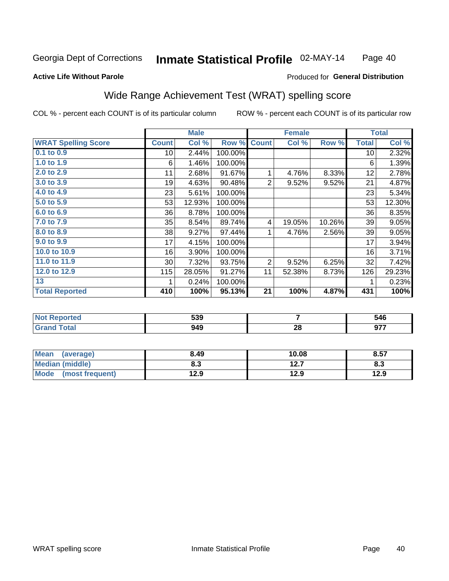#### Inmate Statistical Profile 02-MAY-14 Page 40

#### **Active Life Without Parole**

#### Produced for General Distribution

### Wide Range Achievement Test (WRAT) spelling score

COL % - percent each COUNT is of its particular column

|                            |                 | <b>Male</b> |         |                | <b>Female</b> |        |              | <b>Total</b> |
|----------------------------|-----------------|-------------|---------|----------------|---------------|--------|--------------|--------------|
| <b>WRAT Spelling Score</b> | <b>Count</b>    | Col %       | Row %   | <b>Count</b>   | Col %         | Row %  | <b>Total</b> | Col %        |
| $0.1$ to $0.9$             | 10 <sup>1</sup> | 2.44%       | 100.00% |                |               |        | 10           | 2.32%        |
| 1.0 to 1.9                 | 6               | 1.46%       | 100.00% |                |               |        | 6            | 1.39%        |
| 2.0 to 2.9                 | 11              | 2.68%       | 91.67%  | 1              | 4.76%         | 8.33%  | 12           | 2.78%        |
| 3.0 to 3.9                 | 19              | 4.63%       | 90.48%  | $\overline{2}$ | 9.52%         | 9.52%  | 21           | 4.87%        |
| 4.0 to 4.9                 | 23              | 5.61%       | 100.00% |                |               |        | 23           | 5.34%        |
| 5.0 to 5.9                 | 53              | 12.93%      | 100.00% |                |               |        | 53           | 12.30%       |
| 6.0 to 6.9                 | 36              | 8.78%       | 100.00% |                |               |        | 36           | 8.35%        |
| 7.0 to 7.9                 | 35              | 8.54%       | 89.74%  | 4              | 19.05%        | 10.26% | 39           | 9.05%        |
| 8.0 to 8.9                 | 38              | 9.27%       | 97.44%  | 1              | 4.76%         | 2.56%  | 39           | 9.05%        |
| 9.0 to 9.9                 | 17              | 4.15%       | 100.00% |                |               |        | 17           | 3.94%        |
| 10.0 to 10.9               | 16              | 3.90%       | 100.00% |                |               |        | 16           | 3.71%        |
| 11.0 to 11.9               | 30 <sup>°</sup> | 7.32%       | 93.75%  | 2              | 9.52%         | 6.25%  | 32           | 7.42%        |
| 12.0 to 12.9               | 115             | 28.05%      | 91.27%  | 11             | 52.38%        | 8.73%  | 126          | 29.23%       |
| 13                         |                 | 0.24%       | 100.00% |                |               |        | 1            | 0.23%        |
| <b>Total Reported</b>      | 410             | 100%        | 95.13%  | 21             | 100%          | 4.87%  | 431          | 100%         |
|                            |                 |             |         |                |               |        |              |              |
|                            |                 |             |         |                |               |        |              |              |

| <b>Not</b><br><b>Reported</b> | 539 |         | 546                |
|-------------------------------|-----|---------|--------------------|
| <b>cotal</b>                  | 949 | റ<br>ZO | <b>077</b><br>J1 . |

| Mean (average)         | 8.49 | 10.08 | 8.57 |
|------------------------|------|-------|------|
| <b>Median (middle)</b> | 8.3  | 12.7  | 8.3  |
| Mode (most frequent)   | 12.9 | 12.9  | 12.9 |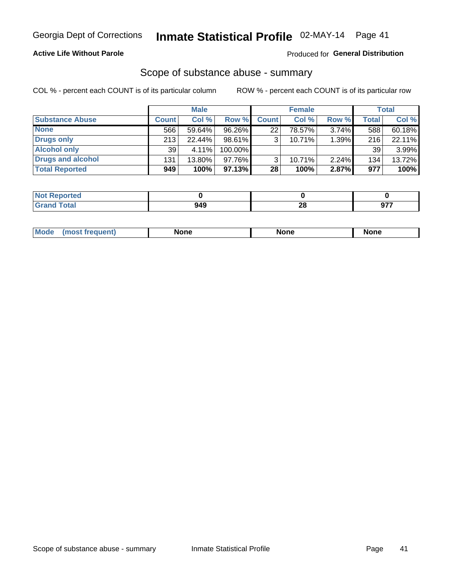### **Active Life Without Parole**

#### Produced for General Distribution

### Scope of substance abuse - summary

COL % - percent each COUNT is of its particular column

|                        |              | <b>Male</b> |            |              | <b>Female</b> |          |       | Total  |
|------------------------|--------------|-------------|------------|--------------|---------------|----------|-------|--------|
| <b>Substance Abuse</b> | <b>Count</b> | Col %       | Row %      | <b>Count</b> | Col %         | Row %    | Total | Col %  |
| <b>None</b>            | 566          | 59.64%      | 96.26%     | 22           | 78.57%        | $3.74\%$ | 588   | 60.18% |
| <b>Drugs only</b>      | 213          | $22.44\%$   | 98.61%     |              | 10.71%        | 1.39%    | 216   | 22.11% |
| <b>Alcohol only</b>    | 39           | $4.11\%$    | $100.00\%$ |              |               |          | 39    | 3.99%  |
| Drugs and alcohol      | 131          | 13.80%      | $97.76\%$  |              | 10.71%        | 2.24%    | 134   | 13.72% |
| <b>Total Reported</b>  | 949          | 100%        | 97.13%     | 28           | 100%          | 2.87%    | 977   | 100%   |

| -NO1<br>rtea<br>(210IO) |     |         |     |
|-------------------------|-----|---------|-----|
| <b>Total</b><br>' Grand | 949 | ഹ<br>40 | --- |

| nuem | <b>Mo</b> | None | <b>None</b> | None |
|------|-----------|------|-------------|------|
|------|-----------|------|-------------|------|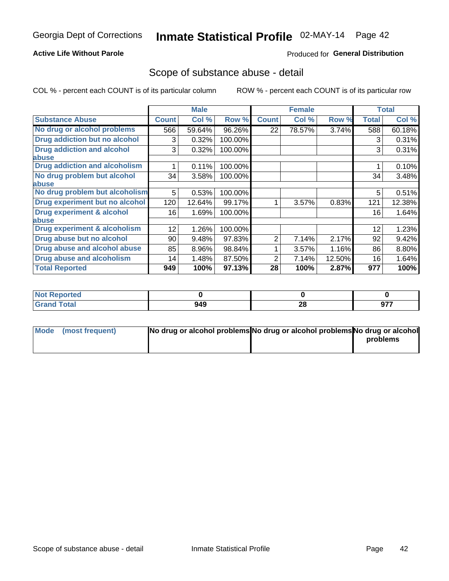### **Active Life Without Parole**

### Produced for General Distribution

### Scope of substance abuse - detail

COL % - percent each COUNT is of its particular column

|                                      |              | <b>Male</b> |         |              | <b>Female</b> |        |              | <b>Total</b> |
|--------------------------------------|--------------|-------------|---------|--------------|---------------|--------|--------------|--------------|
| <b>Substance Abuse</b>               | <b>Count</b> | Col %       | Row %   | <b>Count</b> | Col %         | Row %  | <b>Total</b> | Col %        |
| No drug or alcohol problems          | 566          | 59.64%      | 96.26%  | 22           | 78.57%        | 3.74%  | 588          | 60.18%       |
| Drug addiction but no alcohol        | 3            | 0.32%       | 100.00% |              |               |        | 3            | 0.31%        |
| <b>Drug addiction and alcohol</b>    | 3            | 0.32%       | 100.00% |              |               |        | 3            | 0.31%        |
| <b>labuse</b>                        |              |             |         |              |               |        |              |              |
| <b>Drug addiction and alcoholism</b> |              | 0.11%       | 100.00% |              |               |        |              | 0.10%        |
| No drug problem but alcohol          | 34           | 3.58%       | 100.00% |              |               |        | 34           | 3.48%        |
| abuse                                |              |             |         |              |               |        |              |              |
| No drug problem but alcoholism       | 5            | 0.53%       | 100.00% |              |               |        | 5            | 0.51%        |
| Drug experiment but no alcohol       | 120          | 12.64%      | 99.17%  |              | 3.57%         | 0.83%  | 121          | 12.38%       |
| <b>Drug experiment &amp; alcohol</b> | 16           | 1.69%       | 100.00% |              |               |        | 16           | 1.64%        |
| abuse                                |              |             |         |              |               |        |              |              |
| Drug experiment & alcoholism         | 12           | 1.26%       | 100.00% |              |               |        | 12           | 1.23%        |
| Drug abuse but no alcohol            | 90           | 9.48%       | 97.83%  | 2            | 7.14%         | 2.17%  | 92           | 9.42%        |
| Drug abuse and alcohol abuse         | 85           | 8.96%       | 98.84%  |              | 3.57%         | 1.16%  | 86           | 8.80%        |
| <b>Drug abuse and alcoholism</b>     | 14           | 1.48%       | 87.50%  | 2            | 7.14%         | 12.50% | 16           | 1.64%        |
| <b>Total Reported</b>                | 949          | 100%        | 97.13%  | 28           | 100%          | 2.87%  | 977          | 100%         |

| ported<br><b>NOT</b> |     |                   |            |
|----------------------|-----|-------------------|------------|
| int                  | 949 | ഹ<br>ΖO<br>$\sim$ | ヘララ<br>. . |

| Mode (most frequent) | No drug or alcohol problems No drug or alcohol problems No drug or alcohol |          |
|----------------------|----------------------------------------------------------------------------|----------|
|                      |                                                                            | problems |
|                      |                                                                            |          |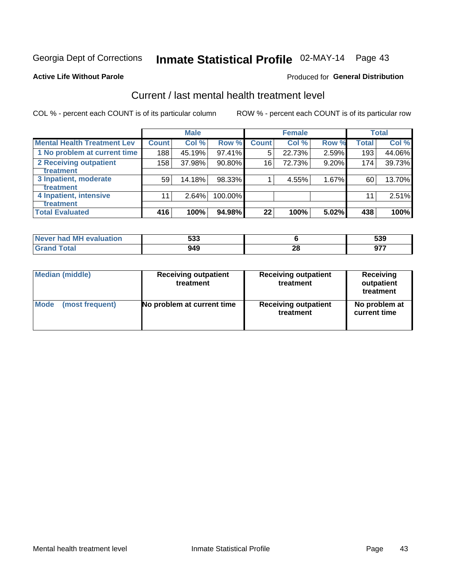# Inmate Statistical Profile 02-MAY-14 Page 43

#### **Active Life Without Parole**

### **Produced for General Distribution**

## Current / last mental health treatment level

COL % - percent each COUNT is of its particular column

|                                    |              | <b>Male</b> |           |              | <b>Female</b> |       |       | <b>Total</b> |
|------------------------------------|--------------|-------------|-----------|--------------|---------------|-------|-------|--------------|
| <b>Mental Health Treatment Lev</b> | <b>Count</b> | Col%        | Row %     | <b>Count</b> | Col %         | Row % | Total | Col %        |
| 1 No problem at current time       | 188          | 45.19%      | $97.41\%$ | 5            | 22.73%        | 2.59% | 193   | 44.06%       |
| 2 Receiving outpatient             | 158          | 37.98%      | 90.80%    | 16           | 72.73%        | 9.20% | 174   | 39.73%       |
| Treatment                          |              |             |           |              |               |       |       |              |
| 3 Inpatient, moderate              | 59           | 14.18%      | 98.33%    |              | 4.55%         | 1.67% | 60    | 13.70%       |
| Treatment                          |              |             |           |              |               |       |       |              |
| 4 Inpatient, intensive             | 11           | 2.64%       | 100.00%   |              |               |       | 11    | 2.51%        |
| Treatment                          |              |             |           |              |               |       |       |              |
| <b>Total Evaluated</b>             | 416          | 100%        | 94.98%    | 22           | 100%          | 5.02% | 438   | 100%         |

| Never had MH evaluation | こへへ<br>ააა |    | cnn<br>ააყ |
|-------------------------|------------|----|------------|
| Total                   | 949        | Æu |            |

| <b>Median (middle)</b> | <b>Receiving outpatient</b><br>treatment | <b>Receiving outpatient</b><br>treatment | <b>Receiving</b><br>outpatient<br>treatment |
|------------------------|------------------------------------------|------------------------------------------|---------------------------------------------|
| <b>Mode</b>            | No problem at current time               | <b>Receiving outpatient</b>              | No problem at                               |
| (most frequent)        |                                          | treatment                                | current time                                |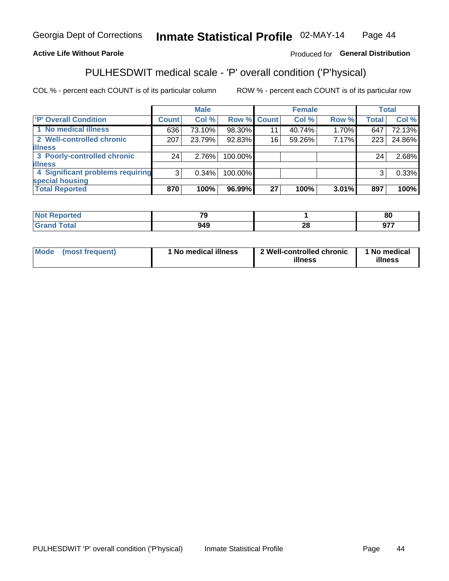#### Inmate Statistical Profile 02-MAY-14 Page 44

### **Active Life Without Parole**

### Produced for General Distribution

## PULHESDWIT medical scale - 'P' overall condition ('P'hysical)

COL % - percent each COUNT is of its particular column

|                                  |                 | <b>Male</b> |                    |    | <b>Female</b> |          |              | <b>Total</b> |
|----------------------------------|-----------------|-------------|--------------------|----|---------------|----------|--------------|--------------|
| 'P' Overall Condition            | Count l         | Col %       | <b>Row % Count</b> |    | Col %         | Row %    | <b>Total</b> | Col %        |
| 1 No medical illness             | 636             | 73.10%      | 98.30%             | 11 | 40.74%        | $1.70\%$ | 647          | 72.13%       |
| 2 Well-controlled chronic        | 207             | 23.79%      | 92.83%             | 16 | 59.26%        | 7.17%    | 223          | 24.86%       |
| <b>illness</b>                   |                 |             |                    |    |               |          |              |              |
| 3 Poorly-controlled chronic      | 24 <sub>1</sub> | 2.76%       | 100.00%            |    |               |          | 24           | 2.68%        |
| <b>illness</b>                   |                 |             |                    |    |               |          |              |              |
| 4 Significant problems requiring | 3               | $0.34\%$    | 100.00%            |    |               |          | 3            | 0.33%        |
| special housing                  |                 |             |                    |    |               |          |              |              |
| <b>Total Reported</b>            | 870             | 100%        | 96.99%             | 27 | 100%          | 3.01%    | 897          | 100%         |

| $\overline{\phantom{a}}$ |          | $^{\circ}$<br>ου |
|--------------------------|----------|------------------|
| <b>010</b>               | - -<br>~ | ---              |

| <b>Mode</b> | (most frequent) | 1 No medical illness | 2 Well-controlled chronic<br>illness | 1 No medical<br>illness |
|-------------|-----------------|----------------------|--------------------------------------|-------------------------|
|-------------|-----------------|----------------------|--------------------------------------|-------------------------|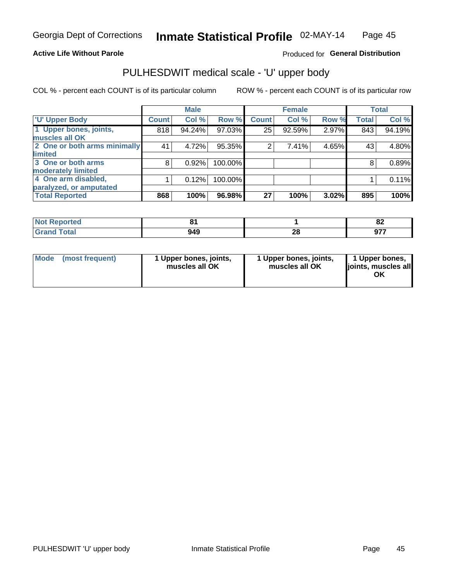### **Active Life Without Parole**

### Produced for General Distribution

# PULHESDWIT medical scale - 'U' upper body

COL % - percent each COUNT is of its particular column

|                              |               | <b>Male</b> |         |              | <b>Female</b> |       |              | <b>Total</b> |
|------------------------------|---------------|-------------|---------|--------------|---------------|-------|--------------|--------------|
| <b>U' Upper Body</b>         | <b>Count!</b> | Col %       | Row %   | <b>Count</b> | Col %         | Row % | <b>Total</b> | Col %        |
| 1 Upper bones, joints,       | 818           | 94.24%      | 97.03%  | 25           | 92.59%        | 2.97% | 843          | 94.19%       |
| muscles all OK               |               |             |         |              |               |       |              |              |
| 2 One or both arms minimally | 41            | 4.72%       | 95.35%  | 2            | 7.41%         | 4.65% | 43           | 4.80%        |
| limited                      |               |             |         |              |               |       |              |              |
| 3 One or both arms           | 8             | 0.92%       | 100.00% |              |               |       | 8            | 0.89%        |
| <b>moderately limited</b>    |               |             |         |              |               |       |              |              |
| 4 One arm disabled,          |               | 0.12%       | 100.00% |              |               |       |              | 0.11%        |
| paralyzed, or amputated      |               |             |         |              |               |       |              |              |
| <b>Total Reported</b>        | 868           | 100%        | 96.98%  | 27           | 100%          | 3.02% | 895          | 100%         |

| <b>Not Reported</b> |     |    | o.<br>0Z |
|---------------------|-----|----|----------|
| <b>Total</b>        | 949 | ጣ  | ሰ77      |
| ا الله ا            |     | 40 |          |

|  | Mode (most frequent) | 1 Upper bones, joints,<br>muscles all OK | 1 Upper bones, joints,<br>muscles all OK | 1 Upper bones,<br>ljoints, muscles all<br>ΟK |
|--|----------------------|------------------------------------------|------------------------------------------|----------------------------------------------|
|--|----------------------|------------------------------------------|------------------------------------------|----------------------------------------------|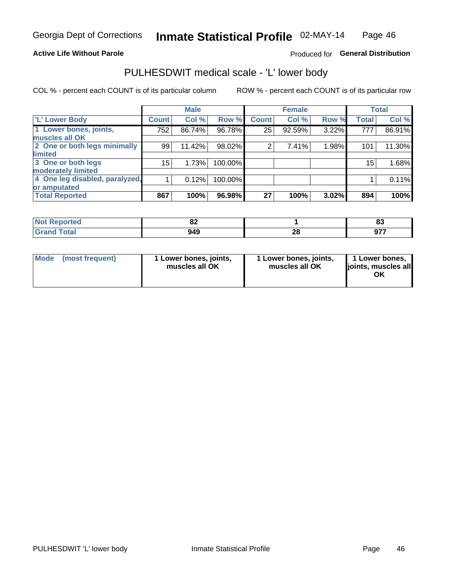### **Active Life Without Parole**

### Produced for General Distribution

### PULHESDWIT medical scale - 'L' lower body

COL % - percent each COUNT is of its particular column

|                                |              | <b>Male</b> |         |              | <b>Female</b> |       |                 | <b>Total</b> |
|--------------------------------|--------------|-------------|---------|--------------|---------------|-------|-----------------|--------------|
| 'L' Lower Body                 | <b>Count</b> | Col %       | Row %   | <b>Count</b> | Col %         | Row % | <b>Total</b>    | Col %        |
| 1 Lower bones, joints,         | 752          | 86.74%      | 96.78%  | 25           | 92.59%        | 3.22% | 777             | 86.91%       |
| muscles all OK                 |              |             |         |              |               |       |                 |              |
| 2 One or both legs minimally   | 99           | 11.42%      | 98.02%  | 2            | 7.41%         | 1.98% | 101             | 11.30%       |
| limited                        |              |             |         |              |               |       |                 |              |
| 3 One or both legs             | 15           | 1.73%       | 100.00% |              |               |       | 15 <sub>1</sub> | 1.68%        |
| moderately limited             |              |             |         |              |               |       |                 |              |
| 4 One leg disabled, paralyzed, |              | 0.12%       | 100.00% |              |               |       |                 | 0.11%        |
| or amputated                   |              |             |         |              |               |       |                 |              |
| <b>Total Reported</b>          | 867          | 100%        | 96.98%  | 27           | 100%          | 3.02% | 894             | 100%         |

| <b>prted</b><br>NOT<br>$\sim$ . The set of $\sim$ | UZ.  |    | e.<br>o. |
|---------------------------------------------------|------|----|----------|
| <b>Total</b>                                      | 10 A | ^^ | ሰ77      |
| .                                                 | 745  | Zu | <b>v</b> |

| Mode | (most frequent) | 1 Lower bones, joints,<br>muscles all OK | 1 Lower bones, joints,<br>muscles all OK | 1 Lower bones,<br>ljoints, muscles all<br>OK |
|------|-----------------|------------------------------------------|------------------------------------------|----------------------------------------------|
|------|-----------------|------------------------------------------|------------------------------------------|----------------------------------------------|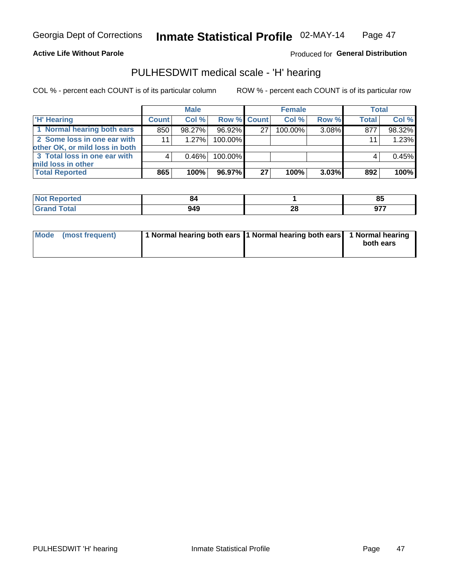#### **Active Life Without Parole**

### Produced for General Distribution

### PULHESDWIT medical scale - 'H' hearing

COL % - percent each COUNT is of its particular column

|                                                               |                 | <b>Male</b> |                    |    | <b>Female</b> |       | <b>Total</b> |        |
|---------------------------------------------------------------|-----------------|-------------|--------------------|----|---------------|-------|--------------|--------|
| <b>'H' Hearing</b>                                            | <b>Count</b>    | Col %       | <b>Row % Count</b> |    | Col %         | Row % | <b>Total</b> | Col %  |
| 1 Normal hearing both ears                                    | 850             | 98.27%      | 96.92%             | 27 | 100.00%       | 3.08% | 877          | 98.32% |
| 2 Some loss in one ear with<br>other OK, or mild loss in both | 11 <sub>1</sub> | 1.27%       | 100.00%            |    |               |       | 11           | 1.23%  |
| 3 Total loss in one ear with                                  | 4               | $0.46\%$    | 100.00%            |    |               |       |              | 0.45%  |
| mild loss in other<br><b>Total Reported</b>                   | 865             | 100%        | 96.97%             | 27 | 100%          | 3.03% | 892          | 100%   |

| rted.                 |              |          | <b>OE</b><br>၀၁ |
|-----------------------|--------------|----------|-----------------|
| $\sim$<br>υιαι<br>--- | 110<br>, , , | n,<br>ZС | 077             |

| Mode (most frequent) | 1 Normal hearing both ears 1 Normal hearing both ears 1 Normal hearing | both ears |
|----------------------|------------------------------------------------------------------------|-----------|
|----------------------|------------------------------------------------------------------------|-----------|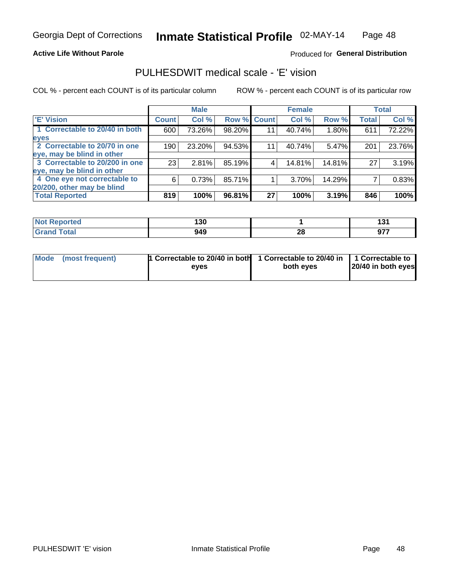### **Active Life Without Parole**

### Produced for General Distribution

### PULHESDWIT medical scale - 'E' vision

COL % - percent each COUNT is of its particular column

|                                |              | <b>Male</b> |        |             | <b>Female</b> |        |              | <b>Total</b> |
|--------------------------------|--------------|-------------|--------|-------------|---------------|--------|--------------|--------------|
| <b>E' Vision</b>               | <b>Count</b> | Col %       |        | Row % Count | Col %         | Row %  | <b>Total</b> | Col %        |
| 1 Correctable to 20/40 in both | 600          | 73.26%      | 98.20% | 11          | 40.74%        | 1.80%  | 611          | 72.22%       |
| eyes                           |              |             |        |             |               |        |              |              |
| 2 Correctable to 20/70 in one  | 190          | 23.20%      | 94.53% | 11          | 40.74%        | 5.47%  | 201          | 23.76%       |
| eye, may be blind in other     |              |             |        |             |               |        |              |              |
| 3 Correctable to 20/200 in one | 23           | 2.81%       | 85.19% |             | 14.81%        | 14.81% | 27           | 3.19%        |
| eye, may be blind in other     |              |             |        |             |               |        |              |              |
| 4 One eye not correctable to   | 6            | 0.73%       | 85.71% |             | 3.70%         | 14.29% |              | 0.83%        |
| 20/200, other may be blind     |              |             |        |             |               |        |              |              |
| <b>Total Reported</b>          | 819          | 100%        | 96.81% | 27          | 100%          | 3.19%  | 846          | 100%         |

| <b>Ported</b><br><b>NOT REDO</b><br>$\sim$ | 10N<br>טעו |               | . .               |
|--------------------------------------------|------------|---------------|-------------------|
| Total                                      | 949        | ົ<br>20<br>__ | 077<br><b>JII</b> |

| Mode (most frequent) | 1 Correctable to 20/40 in both<br>eves | 1 Correctable to 20/40 in   1 Correctable to<br>both eves | 20/40 in both eyes |  |
|----------------------|----------------------------------------|-----------------------------------------------------------|--------------------|--|
|                      |                                        |                                                           |                    |  |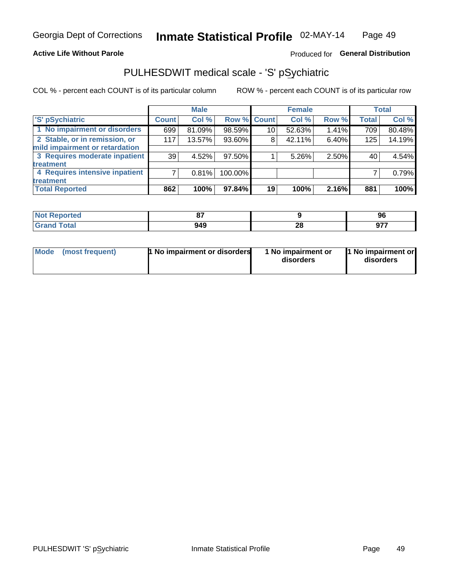#### **Active Life Without Parole**

### Produced for General Distribution

## PULHESDWIT medical scale - 'S' pSychiatric

COL % - percent each COUNT is of its particular column

|                                |              | <b>Male</b> |             |                 | <b>Female</b> |       |              | <b>Total</b> |
|--------------------------------|--------------|-------------|-------------|-----------------|---------------|-------|--------------|--------------|
| 'S' pSychiatric                | <b>Count</b> | Col %       | Row % Count |                 | Col %         | Row % | <b>Total</b> | Col %        |
| 1 No impairment or disorders   | 699          | 81.09%      | 98.59%      | 10 <sup>°</sup> | 52.63%        | 1.41% | 709          | 80.48%       |
| 2 Stable, or in remission, or  | 117          | 13.57%      | 93.60%      | 8               | 42.11%        | 6.40% | 125          | 14.19%       |
| mild impairment or retardation |              |             |             |                 |               |       |              |              |
| 3 Requires moderate inpatient  | 39           | 4.52%       | 97.50%      |                 | 5.26%         | 2.50% | 40           | 4.54%        |
| treatment                      |              |             |             |                 |               |       |              |              |
| 4 Requires intensive inpatient |              | 0.81%       | 100.00%     |                 |               |       |              | 0.79%        |
| treatment                      |              |             |             |                 |               |       |              |              |
| <b>Total Reported</b>          | 862          | 100%        | 97.84%      | 19              | 100%          | 2.16% | 881          | 100%         |

| πеι. | $\sim$<br>$\mathbf{u}$ |    | ים<br>ວບ |
|------|------------------------|----|----------|
|      | 949                    | n, | 077      |
|      | - -                    | 49 | $\sim$   |

| Mode | (most frequent) | <b>1 No impairment or disorders</b> | 1 No impairment or<br>disorders | 11 No impairment or<br>disorders |
|------|-----------------|-------------------------------------|---------------------------------|----------------------------------|
|------|-----------------|-------------------------------------|---------------------------------|----------------------------------|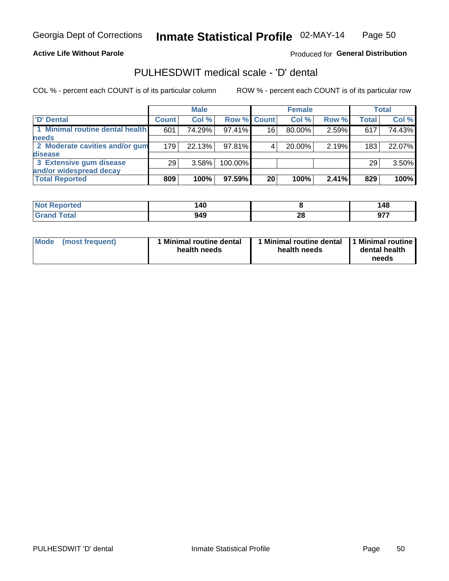### **Active Life Without Parole**

Produced for General Distribution

### PULHESDWIT medical scale - 'D' dental

COL % - percent each COUNT is of its particular column

|                                 |              | <b>Male</b> |         |             | <b>Female</b> |       |                  | Total  |
|---------------------------------|--------------|-------------|---------|-------------|---------------|-------|------------------|--------|
| 'D' Dental                      | <b>Count</b> | Col %       |         | Row % Count | Col %         | Row % | <b>Total</b>     | Col %  |
| 1 Minimal routine dental health | 601          | 74.29%      | 97.41%  | 16          | 80.00%        | 2.59% | 617              | 74.43% |
| <b>needs</b>                    |              |             |         |             |               |       |                  |        |
| 2 Moderate cavities and/or gum  | 179          | 22.13%      | 97.81%  |             | 20.00%        | 2.19% | 183 <sub>1</sub> | 22.07% |
| disease                         |              |             |         |             |               |       |                  |        |
| 3 Extensive gum disease         | 29           | 3.58%       | 100.00% |             |               |       | 29               | 3.50%  |
| and/or widespread decay         |              |             |         |             |               |       |                  |        |
| <b>Total Reported</b>           | 809          | 100%        | 97.59%  | 20          | 100%          | 2.41% | 829              | 100%   |

| prtea<br>NOT F<br>. | 140 |         | 148 |
|---------------------|-----|---------|-----|
| Tota                | 949 | ົ<br>ZO | --- |

| Mode<br>(most frequent) | Minimal routine dental<br>health needs | <b>Minimal routine dental</b><br>health needs | 1 Minimal routine<br>dental health<br>needs |
|-------------------------|----------------------------------------|-----------------------------------------------|---------------------------------------------|
|-------------------------|----------------------------------------|-----------------------------------------------|---------------------------------------------|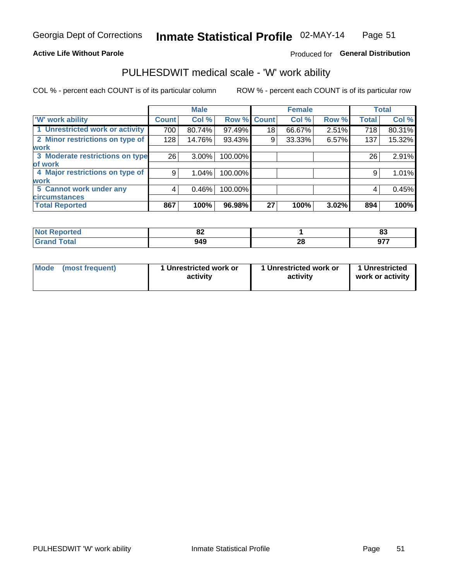### **Active Life Without Parole**

#### Produced for General Distribution

### PULHESDWIT medical scale - 'W' work ability

COL % - percent each COUNT is of its particular column

|                                 |              | <b>Male</b> |         |             | <b>Female</b> |       |              | <b>Total</b> |
|---------------------------------|--------------|-------------|---------|-------------|---------------|-------|--------------|--------------|
| <b>W' work ability</b>          | <b>Count</b> | Col %       |         | Row % Count | Col %         | Row % | <b>Total</b> | Col %        |
| 1 Unrestricted work or activity | 700          | 80.74%      | 97.49%  | 18          | 66.67%        | 2.51% | 718          | 80.31%       |
| 2 Minor restrictions on type of | 128          | 14.76%      | 93.43%  | 9           | 33.33%        | 6.57% | 137          | 15.32%       |
| <b>work</b>                     |              |             |         |             |               |       |              |              |
| 3 Moderate restrictions on type | 26           | $3.00\%$    | 100.00% |             |               |       | 26           | 2.91%        |
| lof work                        |              |             |         |             |               |       |              |              |
| 4 Major restrictions on type of | 9            | $1.04\%$    | 100.00% |             |               |       | 9            | 1.01%        |
| <b>work</b>                     |              |             |         |             |               |       |              |              |
| 5 Cannot work under any         | 4            | 0.46%       | 100.00% |             |               |       | 4            | 0.45%        |
| <b>circumstances</b>            |              |             |         |             |               |       |              |              |
| <b>Total Reported</b>           | 867          | 100%        | 96.98%  | 27          | 100%          | 3.02% | 894          | 100%         |

| <b>Not Reported</b> | $\mathbf{C}$<br>OZ. |    | n.<br>ິ |
|---------------------|---------------------|----|---------|
| <b>Total</b>        | 949                 | ጣ  | ሰ77     |
| Cror                |                     | ZU | JI      |

| Mode            | 1 Unrestricted work or | 1 Unrestricted work or | 1 Unrestricted   |
|-----------------|------------------------|------------------------|------------------|
| (most frequent) | activity               | activity               | work or activity |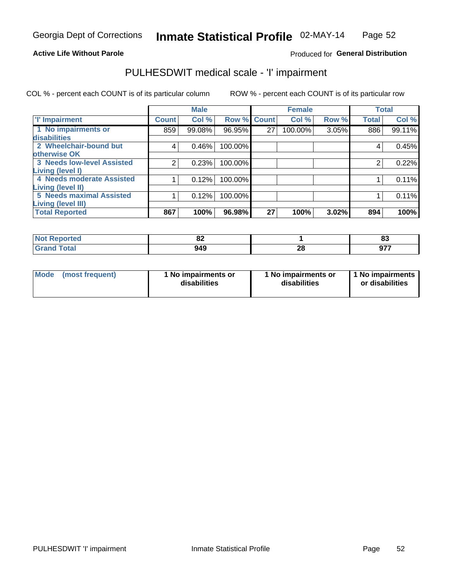#### **Active Life Without Parole**

### Produced for General Distribution

## PULHESDWIT medical scale - 'I' impairment

|                                   |                    | <b>Male</b> |             |    | <b>Female</b> |       |              | <b>Total</b> |
|-----------------------------------|--------------------|-------------|-------------|----|---------------|-------|--------------|--------------|
| <b>T' Impairment</b>              | Count <sup>!</sup> | Col %       | Row % Count |    | Col %         | Row % | <b>Total</b> | Col %        |
| 1 No impairments or               | 859                | 99.08%      | 96.95%      | 27 | 100.00%       | 3.05% | 886          | 99.11%       |
| disabilities                      |                    |             |             |    |               |       |              |              |
| 2 Wheelchair-bound but            | 4                  | 0.46%       | 100.00%     |    |               |       | 4            | 0.45%        |
| otherwise OK                      |                    |             |             |    |               |       |              |              |
| <b>3 Needs low-level Assisted</b> | 2                  | 0.23%       | 100.00%     |    |               |       |              | 0.22%        |
| Living (level I)                  |                    |             |             |    |               |       |              |              |
| 4 Needs moderate Assisted         |                    | 0.12%       | 100.00%     |    |               |       |              | 0.11%        |
| Living (level II)                 |                    |             |             |    |               |       |              |              |
| <b>5 Needs maximal Assisted</b>   |                    | 0.12%       | 100.00%     |    |               |       |              | 0.11%        |
| <b>Living (level III)</b>         |                    |             |             |    |               |       |              |              |
| <b>Total Reported</b>             | 867                | 100%        | 96.98%      | 27 | 100%          | 3.02% | 894          | 100%         |

| eported     | $\sim$<br><u>uz</u> |              | 00<br>൦ഄ          |
|-------------|---------------------|--------------|-------------------|
| <b>otal</b> | 949                 | $\sim$<br>40 | 677<br>ъ.<br>J1 . |

| Mode | (most frequent) | 1 No impairments or<br>disabilities | 1 No impairments or<br>disabilities | 11 No impairments<br>or disabilities |
|------|-----------------|-------------------------------------|-------------------------------------|--------------------------------------|
|------|-----------------|-------------------------------------|-------------------------------------|--------------------------------------|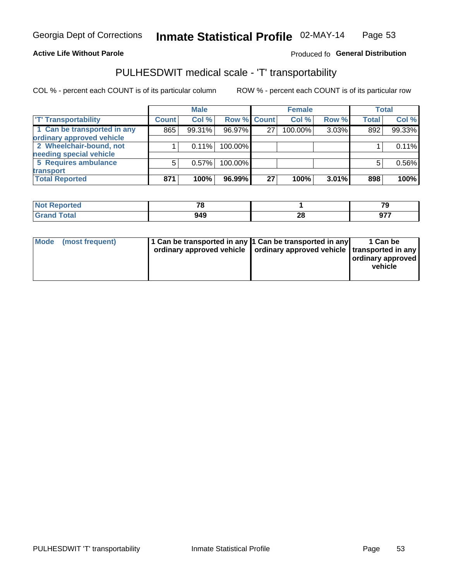#### **Active Life Without Parole**

#### Produced fo General Distribution

## PULHESDWIT medical scale - 'T' transportability

COL % - percent each COUNT is of its particular column

|                             |              | <b>Male</b> |             |    | <b>Female</b> |       |              | <b>Total</b> |
|-----------------------------|--------------|-------------|-------------|----|---------------|-------|--------------|--------------|
| <b>T' Transportability</b>  | <b>Count</b> | Col %       | Row % Count |    | Col %         | Row % | <b>Total</b> | Col %        |
| 1 Can be transported in any | 865          | 99.31%      | 96.97%      | 27 | 100.00%       | 3.03% | 892          | 99.33%       |
| ordinary approved vehicle   |              |             |             |    |               |       |              |              |
| 2 Wheelchair-bound, not     |              | 0.11%       | 100.00%     |    |               |       |              | 0.11%        |
| needing special vehicle     |              |             |             |    |               |       |              |              |
| 5 Requires ambulance        | 5            | 0.57%       | 100.00%     |    |               |       |              | 0.56%        |
| transport                   |              |             |             |    |               |       |              |              |
| <b>Total Reported</b>       | 871          | 100%        | 96.99%      | 27 | 100%          | 3.01% | 898          | 100%         |

| Reported     | 70  |          | $\overline{z}$<br>. . |
|--------------|-----|----------|-----------------------|
| <b>Total</b> | 949 | ኅር<br>ZO | ^7                    |

| Mode (most frequent) | 1 Can be transported in any 1 Can be transported in any | ordinary approved vehicle   ordinary approved vehicle   transported in any | 1 Can be<br>ordinary approved<br>vehicle |
|----------------------|---------------------------------------------------------|----------------------------------------------------------------------------|------------------------------------------|
|                      |                                                         |                                                                            |                                          |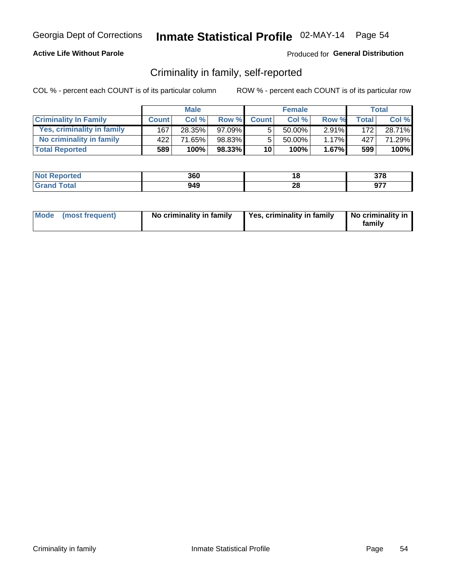### **Active Life Without Parole**

### Produced for General Distribution

### Criminality in family, self-reported

COL % - percent each COUNT is of its particular column

|                              |              | <b>Male</b> |           |                 | <b>Female</b> |          |              | Total  |
|------------------------------|--------------|-------------|-----------|-----------------|---------------|----------|--------------|--------|
| <b>Criminality In Family</b> | <b>Count</b> | Col %       | Row %     | <b>Count</b>    | Col %         | Row %    | <b>Total</b> | Col %  |
| Yes, criminality in family   | 167          | 28.35%      | $97.09\%$ | 5.              | 50.00%        | $2.91\%$ | 172          | 28.71% |
| No criminality in family     | 422          | 71.65%      | 98.83%    | 5               | $50.00\%$     | 1.17%    | 427          | 71.29% |
| <b>Total Reported</b>        | 589          | 100%        | 98.33%    | 10 <sub>1</sub> | 100%          | $1.67\%$ | 599          | 100%   |

| <b>Not Reported</b> | 360 |           | 270<br>JI U       |
|---------------------|-----|-----------|-------------------|
| <b>Total</b>        | 949 | - 0<br>zo | 077<br><u>ו כ</u> |

|  | Mode (most frequent) | No criminality in family | Yes, criminality in family | No criminality in<br>family |
|--|----------------------|--------------------------|----------------------------|-----------------------------|
|--|----------------------|--------------------------|----------------------------|-----------------------------|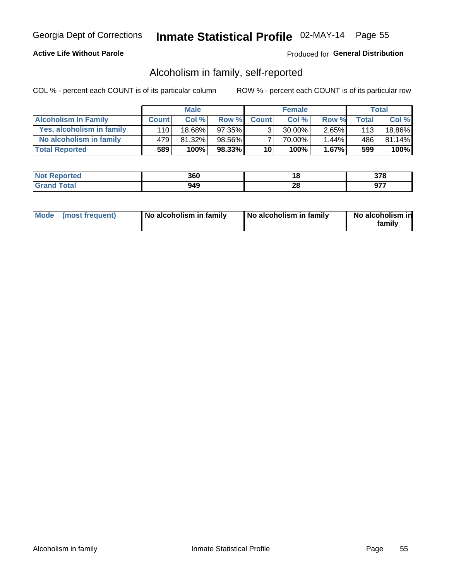### **Active Life Without Parole**

### Produced for General Distribution

### Alcoholism in family, self-reported

COL % - percent each COUNT is of its particular column

|                             |              | <b>Male</b> |        |              | <b>Female</b> |          |       | Total  |
|-----------------------------|--------------|-------------|--------|--------------|---------------|----------|-------|--------|
| <b>Alcoholism In Family</b> | <b>Count</b> | Col%        | Row %  | <b>Count</b> | Col%          | Row %    | Total | Col %  |
| Yes, alcoholism in family   | 110          | 18.68%      | 97.35% | $\mathbf{r}$ | $30.00\%$     | $2.65\%$ | 113   | 18.86% |
| No alcoholism in family     | 479          | 81.32%      | 98.56% |              | 70.00%        | $1.44\%$ | 486   | 81.14% |
| <b>Total Reported</b>       | 589          | 100%        | 98.33% | 10           | 100%          | $1.67\%$ | 599   | 100%   |

| <b>Not</b><br>Reported | 360 | 10       | 270<br>01 U   |
|------------------------|-----|----------|---------------|
| <b>otal</b>            | 949 | n,<br>ZQ | ~--<br>- 91 - |

|  | Mode (most frequent) | No alcoholism in family | No alcoholism in family | No alcoholism in<br>family |
|--|----------------------|-------------------------|-------------------------|----------------------------|
|--|----------------------|-------------------------|-------------------------|----------------------------|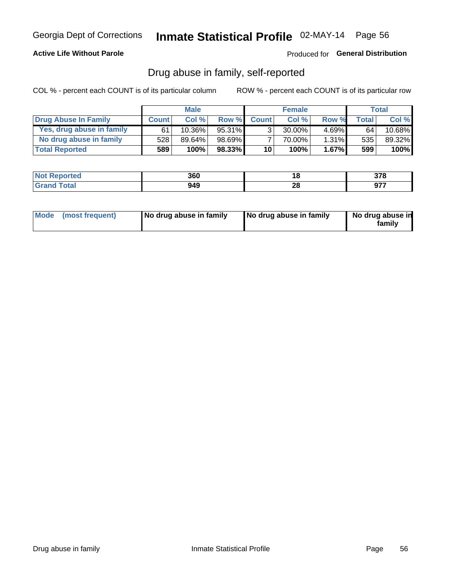### **Active Life Without Parole**

Produced for General Distribution

### Drug abuse in family, self-reported

COL % - percent each COUNT is of its particular column

|                           |              | <b>Male</b> |           |                 | <b>Female</b> |          |       | Total   |
|---------------------------|--------------|-------------|-----------|-----------------|---------------|----------|-------|---------|
| Drug Abuse In Family      | <b>Count</b> | Col%        | Row %     | <b>Count</b>    | Col%          | Row %    | Total | Col %   |
| Yes, drug abuse in family | 61           | $10.36\%$   | 95.31%    | 3 <sub>1</sub>  | $30.00\%$     | $4.69\%$ | 64    | 10.68%  |
| No drug abuse in family   | 528          | 89.64%      | $98.69\%$ |                 | 70.00%        | 1.31%    | 535   | 89.32%  |
| <b>Total Reported</b>     | 589          | 100%        | 98.33%    | 10 <sub>1</sub> | 100%          | $1.67\%$ | 599   | $100\%$ |

| <b>Not Reported</b>             | 360 | ίO | 270<br>v r u |
|---------------------------------|-----|----|--------------|
| <b>Total</b><br><b>'Grand</b> ` | 949 | δu | ~--<br>JI    |

|  | Mode (most frequent) | No drug abuse in family | No drug abuse in family | No drug abuse in<br>family |
|--|----------------------|-------------------------|-------------------------|----------------------------|
|--|----------------------|-------------------------|-------------------------|----------------------------|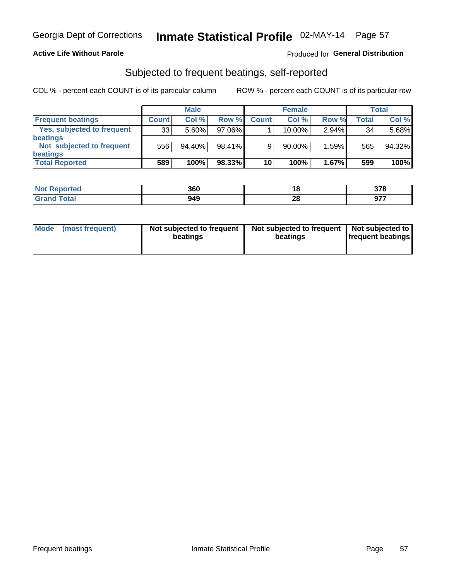### **Active Life Without Parole**

### Produced for General Distribution

### Subjected to frequent beatings, self-reported

COL % - percent each COUNT is of its particular column

|                                   |              | <b>Male</b> |           |              | <b>Female</b> |       |       | Total  |
|-----------------------------------|--------------|-------------|-----------|--------------|---------------|-------|-------|--------|
| <b>Frequent beatings</b>          | <b>Count</b> | Col %       | Row %     | <b>Count</b> | Col %         | Row % | Total | Col %  |
| <b>Yes, subjected to frequent</b> | 33           | 5.60%       | 97.06%    |              | 10.00%        | 2.94% | 34    | 5.68%  |
| <b>beatings</b>                   |              |             |           |              |               |       |       |        |
| Not subjected to frequent         | 556          | 94.40%      | 98.41%    | 9            | 90.00%        | 1.59% | 565   | 94.32% |
| <b>beatings</b>                   |              |             |           |              |               |       |       |        |
| <b>Total Reported</b>             | 589          | 100%        | $98.33\%$ | 10           | 100%          | 1.67% | 599   | 100%   |

| <b>Not Reported</b> | 360 | ıo      | 270<br>910         |
|---------------------|-----|---------|--------------------|
| 「otal               | 949 | റ<br>40 | <b>077</b><br>JI 1 |

| Mode (most frequent) | Not subjected to frequent<br>beatings | Not subjected to frequent<br>beatings | Not subjected to<br><b>frequent beatings</b> |
|----------------------|---------------------------------------|---------------------------------------|----------------------------------------------|
|                      |                                       |                                       |                                              |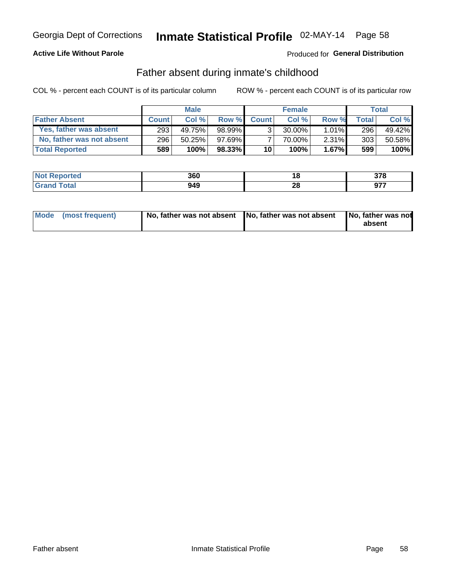### **Active Life Without Parole**

### Produced for General Distribution

### Father absent during inmate's childhood

COL % - percent each COUNT is of its particular column

|                           |              | <b>Male</b> |           |                | <b>Female</b> |          |              | <b>Total</b> |
|---------------------------|--------------|-------------|-----------|----------------|---------------|----------|--------------|--------------|
| <b>Father Absent</b>      | <b>Count</b> | Col%        | Row %     | <b>Count</b>   | Col%          | Row %    | <b>Total</b> | Col %        |
| Yes, father was absent    | 293          | 49.75%      | 98.99%    | 3 <sub>1</sub> | $30.00\%$     | $1.01\%$ | 296          | 49.42%       |
| No, father was not absent | 296          | 50.25%      | $97.69\%$ |                | 70.00%        | $2.31\%$ | 303          | 50.58%       |
| <b>Total Reported</b>     | 589          | 100%        | $98.33\%$ | 10             | 100%          | $1.67\%$ | 599          | 100%         |

| <b>Not Reported</b>     | 360 | . .                 | 270<br>91 O |
|-------------------------|-----|---------------------|-------------|
| <b>Total</b><br>' Grano | 949 | no.<br>ZС<br>$\sim$ | 877<br>JI   |

| Mode (most frequent) |  | No, father was not absent No, father was not absent No, father was not | absent |
|----------------------|--|------------------------------------------------------------------------|--------|
|----------------------|--|------------------------------------------------------------------------|--------|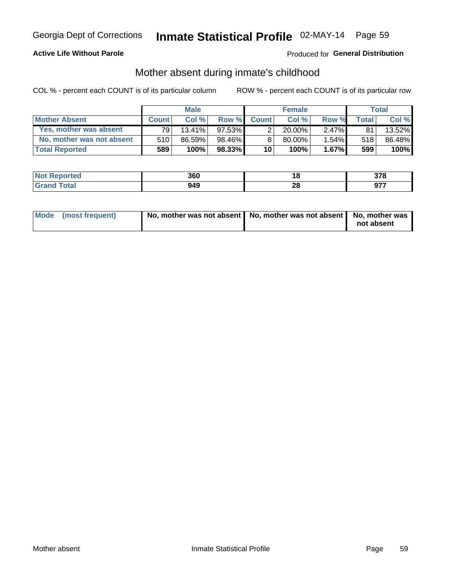### **Active Life Without Parole**

### Produced for General Distribution

### Mother absent during inmate's childhood

COL % - percent each COUNT is of its particular column

|                           |              | <b>Male</b> |           |                 | <b>Female</b> |          |       | Total  |
|---------------------------|--------------|-------------|-----------|-----------------|---------------|----------|-------|--------|
| <b>Mother Absent</b>      | <b>Count</b> | Col%        | Row %     | <b>Count</b>    | Col%          | Row %    | Total | Col %  |
| Yes, mother was absent    | 791          | $13.41\%$   | $97.53\%$ | 2               | $20.00\%$     | $2.47\%$ | 81    | 13.52% |
| No, mother was not absent | 510          | 86.59%      | 98.46%    | 8               | 80.00%        | 1.54%    | 518   | 86.48% |
| <b>Total Reported</b>     | 589          | 100%        | $98.33\%$ | 10 <sup>1</sup> | 100%          | $1.67\%$ | 599   | 100%   |

| <b>Not</b><br>Reported | 360 |               | 270 |
|------------------------|-----|---------------|-----|
| <b>otal</b>            | 949 | ഹ<br>ZC<br>__ | ヘフフ |

| Mode (most frequent) | No, mother was not absent   No, mother was not absent   No, mother was | not absent |
|----------------------|------------------------------------------------------------------------|------------|
|                      |                                                                        |            |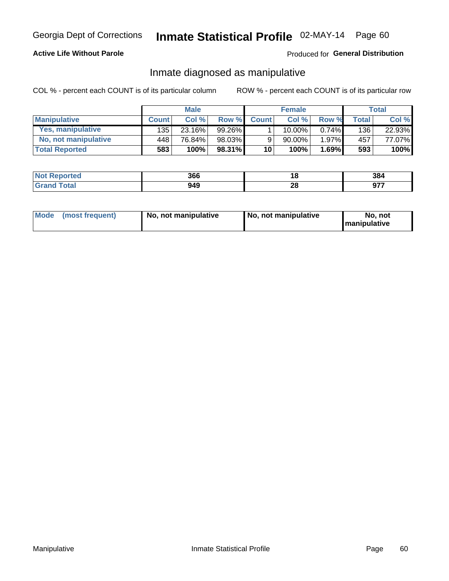### **Active Life Without Parole**

### Produced for General Distribution

### Inmate diagnosed as manipulative

COL % - percent each COUNT is of its particular column

|                          |              | <b>Male</b> |           |                 | <b>Female</b> |       |              | Total  |
|--------------------------|--------------|-------------|-----------|-----------------|---------------|-------|--------------|--------|
| <b>Manipulative</b>      | <b>Count</b> | Col %       | Row %     | <b>Count</b>    | Col %         | Row % | <b>Total</b> | Col %  |
| <b>Yes, manipulative</b> | 135          | 23.16%      | $99.26\%$ |                 | $10.00\%$ ,   | 0.74% | 136          | 22.93% |
| No, not manipulative     | 448          | 76.84%      | 98.03%    | 9               | 90.00%        | 1.97% | 457          | 77.07% |
| <b>Total Reported</b>    | 583          | 100%        | 98.31%    | 10 <sup>1</sup> | 100%          | 1.69% | 593          | 100%   |

| <b>Reported</b><br><b>NOT</b> | 366 | ı٥      | 384            |
|-------------------------------|-----|---------|----------------|
| <b>Total</b>                  | 949 | ົ<br>20 | 077<br><i></i> |

|  | Mode (most frequent) | No, not manipulative | No, not manipulative | No. not<br><b>I</b> manipulative |
|--|----------------------|----------------------|----------------------|----------------------------------|
|--|----------------------|----------------------|----------------------|----------------------------------|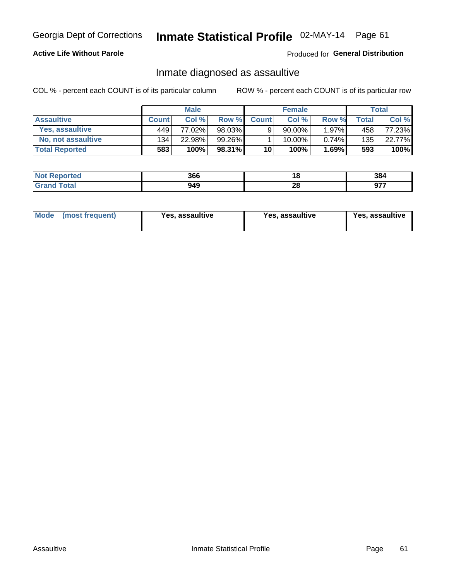## Inmate Statistical Profile 02-MAY-14 Page 61

### **Active Life Without Parole**

Produced for General Distribution

### Inmate diagnosed as assaultive

COL % - percent each COUNT is of its particular column

|                       |              | <b>Male</b> |        |              | <b>Female</b> |          |              | Total  |
|-----------------------|--------------|-------------|--------|--------------|---------------|----------|--------------|--------|
| <b>Assaultive</b>     | <b>Count</b> | Col%        | Row %  | <b>Count</b> | Col%          | Row %    | <b>Total</b> | Col %  |
| Yes, assaultive       | 449          | 77.02%      | 98.03% | 9            | $90.00\%$     | $1.97\%$ | 458          | 77.23% |
| No, not assaultive    | 134          | 22.98%      | 99.26% |              | 10.00%        | $0.74\%$ | 135          | 22.77% |
| <b>Total Reported</b> | 583          | 100%        | 98.31% | 10           | 100%          | $1.69\%$ | 593          | 100%   |

| <b>Not</b><br>Reported | 366 | 10      | 384         |
|------------------------|-----|---------|-------------|
| <b>otal</b>            | 949 | ົ<br>ZO | ---<br>י יש |

| Mode (most frequent)<br>Yes, assaultive | Yes, assaultive | <b>Yes, assaultive</b> |
|-----------------------------------------|-----------------|------------------------|
|-----------------------------------------|-----------------|------------------------|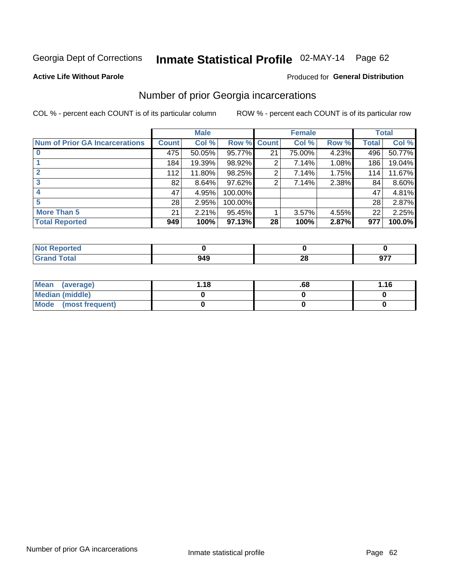# Inmate Statistical Profile 02-MAY-14 Page 62

#### **Active Life Without Parole**

### **Produced for General Distribution**

### Number of prior Georgia incarcerations

COL % - percent each COUNT is of its particular column

|                                       |              | <b>Male</b> |             |    | <b>Female</b> |       |       | <b>Total</b> |
|---------------------------------------|--------------|-------------|-------------|----|---------------|-------|-------|--------------|
| <b>Num of Prior GA Incarcerations</b> | <b>Count</b> | Col %       | Row % Count |    | Col %         | Row % | Total | Col %        |
|                                       | 475          | 50.05%      | 95.77%      | 21 | 75.00%        | 4.23% | 496   | 50.77%       |
|                                       | 184          | 19.39%      | 98.92%      | 2  | 7.14%         | 1.08% | 186   | 19.04%       |
|                                       | 112          | 11.80%      | 98.25%      | 2  | 7.14%         | 1.75% | 114   | 11.67%       |
| 3                                     | 82           | 8.64%       | $97.62\%$   | 2  | 7.14%         | 2.38% | 84    | 8.60%        |
|                                       | 47           | 4.95%       | 100.00%     |    |               |       | 47    | 4.81%        |
| 5                                     | 28           | 2.95%       | 100.00%     |    |               |       | 28    | 2.87%        |
| <b>More Than 5</b>                    | 21           | 2.21%       | 95.45%      |    | 3.57%         | 4.55% | 22    | 2.25%        |
| <b>Total Reported</b>                 | 949          | 100%        | $97.13\%$   | 28 | 100%          | 2.87% | 977   | 100.0%       |

| orted                           |                          |         |     |
|---------------------------------|--------------------------|---------|-----|
| <b>otal</b><br>$\mathbf{v}$ and | $\overline{\phantom{a}}$ | n<br>-- | ヘフフ |

| Mean (average)       | l.18 | .68 | 1.16 |
|----------------------|------|-----|------|
| Median (middle)      |      |     |      |
| Mode (most frequent) |      |     |      |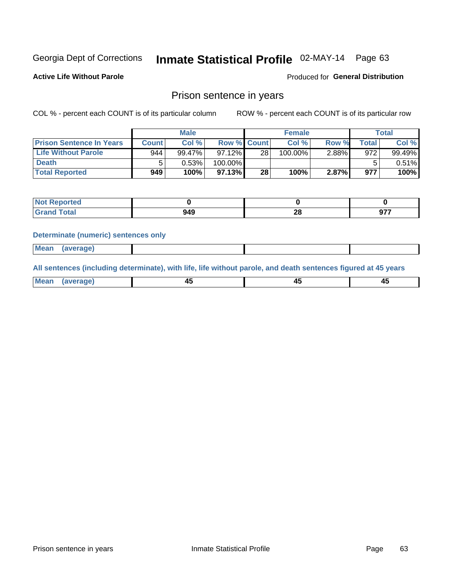# Inmate Statistical Profile 02-MAY-14 Page 63

**Active Life Without Parole** 

Produced for General Distribution

### Prison sentence in years

COL % - percent each COUNT is of its particular column

ROW % - percent each COUNT is of its particular row

|                                 |              | <b>Male</b> |                    |    | <b>Female</b> |          |             | Total  |
|---------------------------------|--------------|-------------|--------------------|----|---------------|----------|-------------|--------|
| <b>Prison Sentence In Years</b> | <b>Count</b> | Col %       | <b>Row % Count</b> |    | Col %         | Row %    | $\tau$ otal | Col %  |
| <b>Life Without Parole</b>      | 944          | 99.47%      | 97.12%             | 28 | 100.00%       | $2.88\%$ | 972         | 99.49% |
| <b>Death</b>                    |              | $0.53\%$    | 100.00%            |    |               |          |             | 0.51%  |
| <b>Total Reported</b>           | 949          | 100%        | 97.13%             | 28 | 100%          | 2.87%    | 977         | 100%   |

| oorted<br>m. |           |         |     |
|--------------|-----------|---------|-----|
| <b>otal</b>  | ៱៱<br>. . | ഹ<br>40 | 077 |

#### **Determinate (numeric) sentences only**

| ' Mea<br><b>Service</b> A<br>ЯМА. |  |  |  |
|-----------------------------------|--|--|--|
|                                   |  |  |  |

All sentences (including determinate), with life, life without parole, and death sentences figured at 45 years

| l Mea<br>rane.<br> | г.<br>$\sim$ | $\overline{\phantom{a}}$ | -⊤⊾<br>$\overline{\phantom{a}}$ |
|--------------------|--------------|--------------------------|---------------------------------|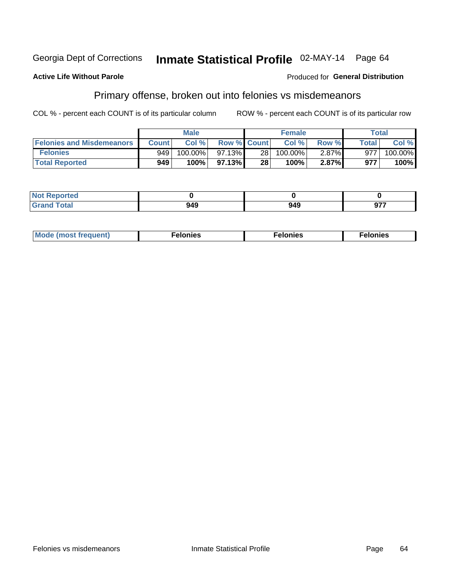#### **Active Life Without Parole**

### **Produced for General Distribution**

### Primary offense, broken out into felonies vs misdemeanors

COL % - percent each COUNT is of its particular column

|                                  |              | <b>Male</b> |                    |      | <b>Female</b> |       |              | Total   |
|----------------------------------|--------------|-------------|--------------------|------|---------------|-------|--------------|---------|
| <b>Felonies and Misdemeanors</b> | <b>Count</b> | Col%        | <b>Row % Count</b> |      | Col%          | Row % | <b>Total</b> | Col %   |
| <b>Felonies</b>                  | 949          | 100.00%     | $97.13\%$          | 28 I | $100.00\%$    | 2.87% | 977          | 100.00% |
| <b>Total Reported</b>            | 949          | 100%        | 97.13%             | 28   | 100%          | 2.87% | 977          | 100%    |

| <b>Not Reported</b>                       |             |     |     |
|-------------------------------------------|-------------|-----|-----|
| <b>Total</b><br>Grand<br>$\mathbf{v}$ and | 0 גנ<br>74J | 949 | ヘフフ |

| $Mc$<br>equent)<br>нез<br>$\sim$<br>. | onies<br>. | <b>onies</b><br>. |
|---------------------------------------|------------|-------------------|
|---------------------------------------|------------|-------------------|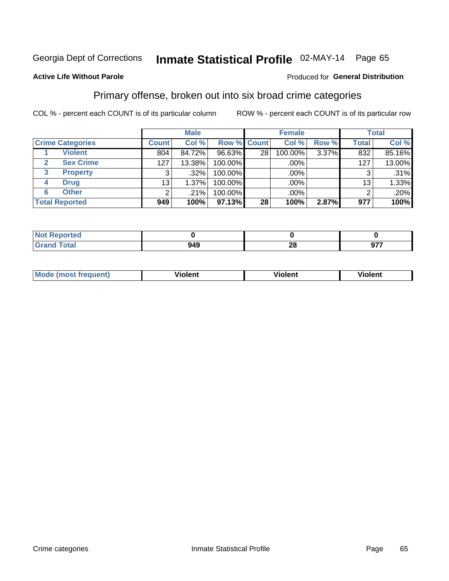# Inmate Statistical Profile 02-MAY-14 Page 65

#### **Active Life Without Parole**

#### Produced for General Distribution

### Primary offense, broken out into six broad crime categories

COL % - percent each COUNT is of its particular column

|                         |                | <b>Male</b> |             |                 | <b>Female</b> |       |              | <b>Total</b> |
|-------------------------|----------------|-------------|-------------|-----------------|---------------|-------|--------------|--------------|
| <b>Crime Categories</b> | <b>Count</b>   | Col %       | Row % Count |                 | Col %         | Row % | <b>Total</b> | Col %        |
| <b>Violent</b>          | 804            | 84.72%      | 96.63%      | 28 <sub>1</sub> | 100.00%       | 3.37% | 832          | 85.16%       |
| <b>Sex Crime</b>        | 127            | 13.38%      | 100.00%     |                 | .00%          |       | 127          | 13.00%       |
| 3<br><b>Property</b>    | 3              | .32%        | 100.00%     |                 | .00%          |       | 3            | .31%         |
| <b>Drug</b><br>4        | 13             | 1.37%       | 100.00%     |                 | .00%          |       | 13           | 1.33%        |
| <b>Other</b><br>6       | $\overline{2}$ | .21%        | 100.00%     |                 | .00%          |       | 2            | $.20\%$      |
| <b>Total Reported</b>   | 949            | 100%        | 97.13%      | 28              | 100%          | 2.87% | 977          | 100%         |

| <b>Not Reported</b> |     |           |     |
|---------------------|-----|-----------|-----|
| <b>Total</b>        | 949 | nr.<br>∠∪ | 077 |

| M | <br>. |  |
|---|-------|--|
|   |       |  |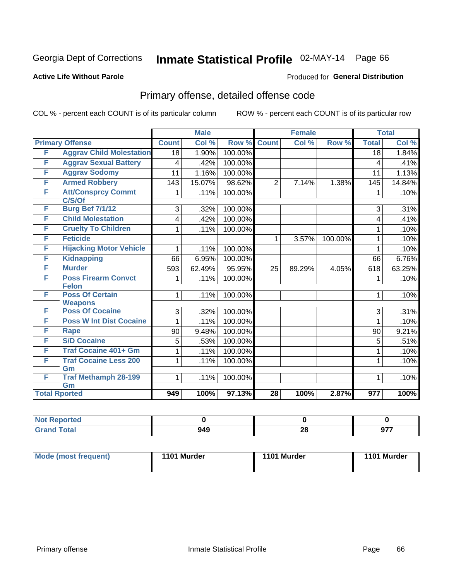# Inmate Statistical Profile 02-MAY-14 Page 66

#### **Active Life Without Parole**

#### Produced for General Distribution

## Primary offense, detailed offense code

COL % - percent each COUNT is of its particular column

|   |                                            |              | <b>Male</b> |         |                 | <b>Female</b> |         |                         | <b>Total</b> |
|---|--------------------------------------------|--------------|-------------|---------|-----------------|---------------|---------|-------------------------|--------------|
|   | <b>Primary Offense</b>                     | <b>Count</b> | Col %       | Row %   | <b>Count</b>    | Col %         | Row %   | <b>Total</b>            | Col %        |
| F | <b>Aggrav Child Molestation</b>            | 18           | 1.90%       | 100.00% |                 |               |         | 18                      | 1.84%        |
| F | <b>Aggrav Sexual Battery</b>               | 4            | .42%        | 100.00% |                 |               |         | $\overline{\mathbf{4}}$ | .41%         |
| F | <b>Aggrav Sodomy</b>                       | 11           | 1.16%       | 100.00% |                 |               |         | 11                      | 1.13%        |
| F | <b>Armed Robbery</b>                       | 143          | 15.07%      | 98.62%  | $\overline{2}$  | 7.14%         | 1.38%   | 145                     | 14.84%       |
| F | <b>Att/Consprcy Commt</b><br>C/S/Of        | 1            | .11%        | 100.00% |                 |               |         | 1                       | .10%         |
| F | <b>Burg Bef 7/1/12</b>                     | 3            | .32%        | 100.00% |                 |               |         | 3                       | .31%         |
| F | <b>Child Molestation</b>                   | 4            | .42%        | 100.00% |                 |               |         | 4                       | .41%         |
| F | <b>Cruelty To Children</b>                 | 1            | .11%        | 100.00% |                 |               |         | 1                       | .10%         |
| F | <b>Feticide</b>                            |              |             |         | 1               | 3.57%         | 100.00% | 1                       | .10%         |
| F | <b>Hijacking Motor Vehicle</b>             | 1            | .11%        | 100.00% |                 |               |         | 1                       | .10%         |
| F | <b>Kidnapping</b>                          | 66           | 6.95%       | 100.00% |                 |               |         | 66                      | 6.76%        |
| F | <b>Murder</b>                              | 593          | 62.49%      | 95.95%  | 25              | 89.29%        | 4.05%   | 618                     | 63.25%       |
| F | <b>Poss Firearm Convct</b><br><b>Felon</b> |              | .11%        | 100.00% |                 |               |         | 1                       | .10%         |
| F | <b>Poss Of Certain</b><br><b>Weapons</b>   | 1            | .11%        | 100.00% |                 |               |         | 1                       | .10%         |
| F | <b>Poss Of Cocaine</b>                     | 3            | .32%        | 100.00% |                 |               |         | 3                       | .31%         |
| F | <b>Poss W Int Dist Cocaine</b>             | 1            | .11%        | 100.00% |                 |               |         | 1                       | .10%         |
| F | <b>Rape</b>                                | 90           | 9.48%       | 100.00% |                 |               |         | 90                      | 9.21%        |
| F | <b>S/D Cocaine</b>                         | 5            | .53%        | 100.00% |                 |               |         | 5                       | .51%         |
| F | <b>Traf Cocaine 401+ Gm</b>                | 1            | .11%        | 100.00% |                 |               |         | 1                       | .10%         |
| F | <b>Traf Cocaine Less 200</b><br>Gm         | 1            | .11%        | 100.00% |                 |               |         | 1                       | .10%         |
| F | <b>Traf Methamph 28-199</b><br>Gm          | 1            | .11%        | 100.00% |                 |               |         | 1                       | .10%         |
|   | <b>Total Rported</b>                       | 949          | 100%        | 97.13%  | $\overline{28}$ | 100%          | 2.87%   | 977                     | 100%         |

| oorted<br>m.  |     |          |            |
|---------------|-----|----------|------------|
| <b>c</b> otal | 949 | ኅር<br>ZO | ~--<br>J1. |

| <b>Mode (most frequent)</b> | 1101 Murder | 1101 Murder | 1101 Murder |
|-----------------------------|-------------|-------------|-------------|
|                             |             |             |             |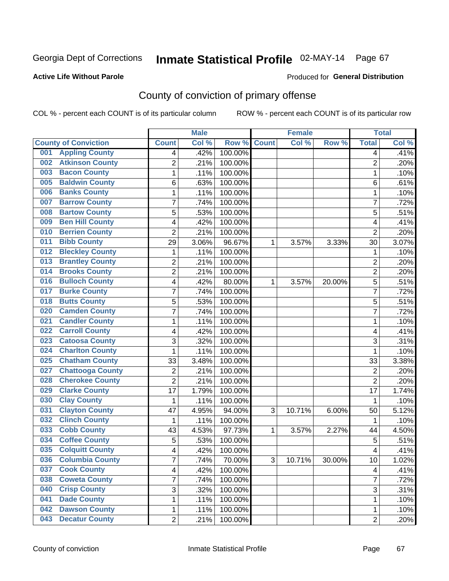#### **Active Life Without Parole**

#### Produced for **General Distribution**

## County of conviction of primary offense

|                                |                         | <b>Male</b> |         |              | <b>Female</b> |           |                | <b>Total</b> |
|--------------------------------|-------------------------|-------------|---------|--------------|---------------|-----------|----------------|--------------|
| <b>County of Conviction</b>    | <b>Count</b>            | Col %       | Row %   | <b>Count</b> | Col %         | Row %     | <b>Total</b>   | Col %        |
| <b>Appling County</b><br>001   | 4                       | .42%        | 100.00% |              |               |           | 4              | .41%         |
| <b>Atkinson County</b><br>002  | $\overline{2}$          | .21%        | 100.00% |              |               |           | $\overline{2}$ | .20%         |
| <b>Bacon County</b><br>003     | 1                       | .11%        | 100.00% |              |               |           | $\mathbf{1}$   | .10%         |
| <b>Baldwin County</b><br>005   | 6                       | .63%        | 100.00% |              |               |           | 6              | .61%         |
| <b>Banks County</b><br>006     | 1                       | .11%        | 100.00% |              |               |           | $\mathbf{1}$   | .10%         |
| <b>Barrow County</b><br>007    | 7                       | .74%        | 100.00% |              |               |           | $\overline{7}$ | .72%         |
| <b>Bartow County</b><br>008    | 5                       | .53%        | 100.00% |              |               |           | 5              | .51%         |
| <b>Ben Hill County</b><br>009  | 4                       | .42%        | 100.00% |              |               |           | 4              | .41%         |
| <b>Berrien County</b><br>010   | $\overline{2}$          | .21%        | 100.00% |              |               |           | $\overline{2}$ | .20%         |
| <b>Bibb County</b><br>011      | 29                      | 3.06%       | 96.67%  | 1            | 3.57%         | 3.33%     | 30             | 3.07%        |
| <b>Bleckley County</b><br>012  | 1                       | .11%        | 100.00% |              |               |           | $\mathbf 1$    | .10%         |
| <b>Brantley County</b><br>013  | $\overline{2}$          | .21%        | 100.00% |              |               |           | $\overline{2}$ | .20%         |
| <b>Brooks County</b><br>014    | 2                       | .21%        | 100.00% |              |               |           | $\overline{2}$ | .20%         |
| <b>Bulloch County</b><br>016   | 4                       | .42%        | 80.00%  | 1            | 3.57%         | 20.00%    | 5              | .51%         |
| <b>Burke County</b><br>017     | 7                       | .74%        | 100.00% |              |               |           | $\overline{7}$ | .72%         |
| <b>Butts County</b><br>018     | 5                       | .53%        | 100.00% |              |               |           | 5              | .51%         |
| <b>Camden County</b><br>020    | 7                       | .74%        | 100.00% |              |               |           | $\overline{7}$ | .72%         |
| <b>Candler County</b><br>021   | 1                       | .11%        | 100.00% |              |               |           | $\mathbf{1}$   | .10%         |
| <b>Carroll County</b><br>022   | 4                       | .42%        | 100.00% |              |               |           | 4              | .41%         |
| <b>Catoosa County</b><br>023   | 3                       | .32%        | 100.00% |              |               |           | 3              | .31%         |
| <b>Charlton County</b><br>024  | 1                       | .11%        | 100.00% |              |               |           | $\mathbf{1}$   | .10%         |
| <b>Chatham County</b><br>025   | 33                      | 3.48%       | 100.00% |              |               |           | 33             | 3.38%        |
| <b>Chattooga County</b><br>027 | 2                       | .21%        | 100.00% |              |               |           | $\overline{2}$ | .20%         |
| <b>Cherokee County</b><br>028  | $\overline{2}$          | .21%        | 100.00% |              |               |           | $\overline{2}$ | .20%         |
| <b>Clarke County</b><br>029    | 17                      | 1.79%       | 100.00% |              |               |           | 17             | 1.74%        |
| <b>Clay County</b><br>030      | 1                       | .11%        | 100.00% |              |               |           | 1              | .10%         |
| <b>Clayton County</b><br>031   | 47                      | 4.95%       | 94.00%  | 3            | 10.71%        | 6.00%     | 50             | 5.12%        |
| <b>Clinch County</b><br>032    | 1                       | .11%        | 100.00% |              |               |           | 1              | .10%         |
| <b>Cobb County</b><br>033      | 43                      | 4.53%       | 97.73%  | 1            | 3.57%         | 2.27%     | 44             | 4.50%        |
| <b>Coffee County</b><br>034    | 5                       | .53%        | 100.00% |              |               |           | 5              | .51%         |
| <b>Colquitt County</b><br>035  | 4                       | .42%        | 100.00% |              |               |           | 4              | .41%         |
| <b>Columbia County</b><br>036  | <sup>'</sup>            | .74%        | 70.00%  | 3            | 10.71%        | $30.00\%$ | 10             | 1.02%        |
| 037<br><b>Cook County</b>      | $\overline{\mathbf{4}}$ | .42%        | 100.00% |              |               |           | 4              | .41%         |
| <b>Coweta County</b><br>038    | 7                       | .74%        | 100.00% |              |               |           | $\overline{7}$ | .72%         |
| <b>Crisp County</b><br>040     | 3                       | .32%        | 100.00% |              |               |           | 3              | .31%         |
| <b>Dade County</b><br>041      | 1                       | .11%        | 100.00% |              |               |           | 1              | .10%         |
| <b>Dawson County</b><br>042    | 1                       | .11%        | 100.00% |              |               |           | 1              | .10%         |
| <b>Decatur County</b><br>043   | $\overline{2}$          | .21%        | 100.00% |              |               |           | $\overline{2}$ | .20%         |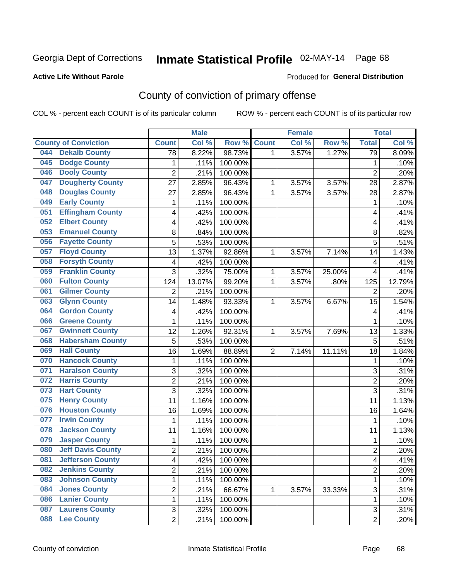#### **Active Life Without Parole**

### Produced for **General Distribution**

## County of conviction of primary offense

|     |                             |                 | <b>Male</b> |         |                | <b>Female</b> |        |                          | <b>Total</b> |
|-----|-----------------------------|-----------------|-------------|---------|----------------|---------------|--------|--------------------------|--------------|
|     | <b>County of Conviction</b> | <b>Count</b>    | Col %       | Row %   | <b>Count</b>   | Col %         | Row %  | <b>Total</b>             | Col %        |
| 044 | <b>Dekalb County</b>        | $\overline{78}$ | 8.22%       | 98.73%  | 1              | 3.57%         | 1.27%  | $\overline{79}$          | 8.09%        |
| 045 | <b>Dodge County</b>         | 1               | .11%        | 100.00% |                |               |        | 1                        | .10%         |
| 046 | <b>Dooly County</b>         | $\overline{c}$  | .21%        | 100.00% |                |               |        | $\overline{2}$           | .20%         |
| 047 | <b>Dougherty County</b>     | 27              | 2.85%       | 96.43%  | 1              | 3.57%         | 3.57%  | 28                       | 2.87%        |
| 048 | <b>Douglas County</b>       | 27              | 2.85%       | 96.43%  | $\mathbf{1}$   | 3.57%         | 3.57%  | 28                       | 2.87%        |
| 049 | <b>Early County</b>         | 1               | .11%        | 100.00% |                |               |        | 1                        | .10%         |
| 051 | <b>Effingham County</b>     | 4               | .42%        | 100.00% |                |               |        | 4                        | .41%         |
| 052 | <b>Elbert County</b>        | 4               | .42%        | 100.00% |                |               |        | 4                        | .41%         |
| 053 | <b>Emanuel County</b>       | 8               | .84%        | 100.00% |                |               |        | $\, 8$                   | .82%         |
| 056 | <b>Fayette County</b>       | $\overline{5}$  | .53%        | 100.00% |                |               |        | 5                        | .51%         |
| 057 | <b>Floyd County</b>         | 13              | 1.37%       | 92.86%  | 1              | 3.57%         | 7.14%  | 14                       | 1.43%        |
| 058 | <b>Forsyth County</b>       | 4               | .42%        | 100.00% |                |               |        | $\overline{\mathbf{4}}$  | .41%         |
| 059 | <b>Franklin County</b>      | 3               | .32%        | 75.00%  | $\mathbf{1}$   | 3.57%         | 25.00% | $\overline{\mathbf{4}}$  | .41%         |
| 060 | <b>Fulton County</b>        | 124             | 13.07%      | 99.20%  | 1              | 3.57%         | .80%   | 125                      | 12.79%       |
| 061 | <b>Gilmer County</b>        | $\overline{2}$  | .21%        | 100.00% |                |               |        | $\overline{2}$           | .20%         |
| 063 | <b>Glynn County</b>         | 14              | 1.48%       | 93.33%  | 1              | 3.57%         | 6.67%  | 15                       | 1.54%        |
| 064 | <b>Gordon County</b>        | 4               | .42%        | 100.00% |                |               |        | $\overline{\mathcal{A}}$ | .41%         |
| 066 | <b>Greene County</b>        | 1               | .11%        | 100.00% |                |               |        | 1                        | .10%         |
| 067 | <b>Gwinnett County</b>      | 12              | 1.26%       | 92.31%  | 1              | 3.57%         | 7.69%  | 13                       | 1.33%        |
| 068 | <b>Habersham County</b>     | 5               | .53%        | 100.00% |                |               |        | 5                        | .51%         |
| 069 | <b>Hall County</b>          | 16              | 1.69%       | 88.89%  | $\overline{2}$ | 7.14%         | 11.11% | 18                       | 1.84%        |
| 070 | <b>Hancock County</b>       | 1               | .11%        | 100.00% |                |               |        | $\mathbf{1}$             | .10%         |
| 071 | <b>Haralson County</b>      | 3               | .32%        | 100.00% |                |               |        | 3                        | .31%         |
| 072 | <b>Harris County</b>        | $\overline{2}$  | .21%        | 100.00% |                |               |        | $\overline{2}$           | .20%         |
| 073 | <b>Hart County</b>          | 3               | .32%        | 100.00% |                |               |        | 3                        | .31%         |
| 075 | <b>Henry County</b>         | 11              | 1.16%       | 100.00% |                |               |        | 11                       | 1.13%        |
| 076 | <b>Houston County</b>       | 16              | 1.69%       | 100.00% |                |               |        | 16                       | 1.64%        |
| 077 | <b>Irwin County</b>         | 1               | .11%        | 100.00% |                |               |        | $\mathbf{1}$             | .10%         |
| 078 | <b>Jackson County</b>       | 11              | 1.16%       | 100.00% |                |               |        | 11                       | 1.13%        |
| 079 | <b>Jasper County</b>        | 1               | .11%        | 100.00% |                |               |        | $\mathbf{1}$             | .10%         |
| 080 | <b>Jeff Davis County</b>    | $\overline{2}$  | .21%        | 100.00% |                |               |        | $\overline{2}$           | .20%         |
| 081 | <b>Jefferson County</b>     | 4               | .42%        | 100.00% |                |               |        | 4                        | .41%         |
| 082 | <b>Jenkins County</b>       | 2               | .21%        | 100.00% |                |               |        | $\overline{2}$           | .20%         |
| 083 | <b>Johnson County</b>       | 1               | .11%        | 100.00% |                |               |        | 1                        | .10%         |
| 084 | <b>Jones County</b>         | $\overline{c}$  | .21%        | 66.67%  | 1              | 3.57%         | 33.33% | $\overline{3}$           | .31%         |
| 086 | <b>Lanier County</b>        | 1               | .11%        | 100.00% |                |               |        | 1                        | .10%         |
| 087 | <b>Laurens County</b>       | 3               | .32%        | 100.00% |                |               |        | 3                        | .31%         |
| 088 | <b>Lee County</b>           | $\overline{2}$  | .21%        | 100.00% |                |               |        | $\overline{2}$           | .20%         |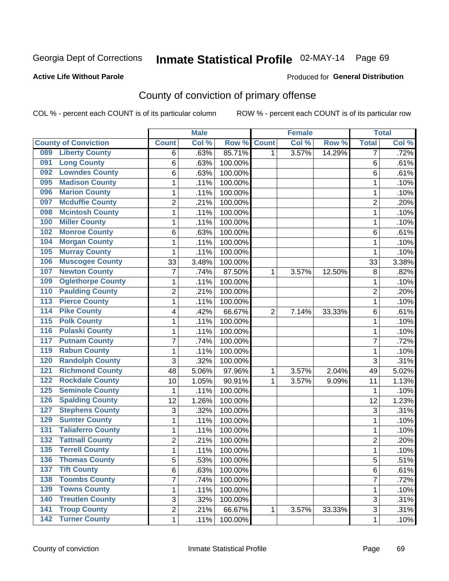#### **Active Life Without Parole**

#### Produced for **General Distribution**

## County of conviction of primary offense

|                  |                             |                | <b>Male</b> |         |                | <b>Female</b> |        |                | <b>Total</b> |
|------------------|-----------------------------|----------------|-------------|---------|----------------|---------------|--------|----------------|--------------|
|                  | <b>County of Conviction</b> | <b>Count</b>   | Col %       | Row %   | <b>Count</b>   | Col %         | Row %  | <b>Total</b>   | Col %        |
| 089              | <b>Liberty County</b>       | 6              | .63%        | 85.71%  | 1              | 3.57%         | 14.29% | 7              | .72%         |
| 091              | <b>Long County</b>          | 6              | .63%        | 100.00% |                |               |        | 6              | .61%         |
| 092              | <b>Lowndes County</b>       | 6              | .63%        | 100.00% |                |               |        | 6              | .61%         |
| 095              | <b>Madison County</b>       | 1              | .11%        | 100.00% |                |               |        | 1              | .10%         |
| 096              | <b>Marion County</b>        | 1              | .11%        | 100.00% |                |               |        | 1              | .10%         |
| 097              | <b>Mcduffie County</b>      | $\overline{2}$ | .21%        | 100.00% |                |               |        | $\overline{2}$ | .20%         |
| 098              | <b>Mcintosh County</b>      | $\mathbf 1$    | .11%        | 100.00% |                |               |        | $\mathbf{1}$   | .10%         |
| 100              | <b>Miller County</b>        | $\mathbf{1}$   | .11%        | 100.00% |                |               |        | $\mathbf{1}$   | .10%         |
| 102              | <b>Monroe County</b>        | 6              | .63%        | 100.00% |                |               |        | 6              | .61%         |
| 104              | <b>Morgan County</b>        | $\mathbf{1}$   | .11%        | 100.00% |                |               |        | $\mathbf{1}$   | .10%         |
| 105              | <b>Murray County</b>        | $\mathbf 1$    | .11%        | 100.00% |                |               |        | 1              | .10%         |
| 106              | <b>Muscogee County</b>      | 33             | 3.48%       | 100.00% |                |               |        | 33             | 3.38%        |
| 107              | <b>Newton County</b>        | $\overline{7}$ | .74%        | 87.50%  | $\mathbf{1}$   | 3.57%         | 12.50% | 8              | .82%         |
| 109              | <b>Oglethorpe County</b>    | $\mathbf{1}$   | .11%        | 100.00% |                |               |        | $\mathbf{1}$   | .10%         |
| 110              | <b>Paulding County</b>      | $\overline{2}$ | .21%        | 100.00% |                |               |        | $\overline{2}$ | .20%         |
| 113              | <b>Pierce County</b>        | $\mathbf{1}$   | .11%        | 100.00% |                |               |        | $\mathbf{1}$   | .10%         |
| 114              | <b>Pike County</b>          | 4              | .42%        | 66.67%  | $\overline{2}$ | 7.14%         | 33.33% | 6              | .61%         |
| $\overline{115}$ | <b>Polk County</b>          | 1              | .11%        | 100.00% |                |               |        | $\mathbf{1}$   | .10%         |
| 116              | <b>Pulaski County</b>       | $\mathbf 1$    | .11%        | 100.00% |                |               |        | 1              | .10%         |
| 117              | <b>Putnam County</b>        | $\overline{7}$ | .74%        | 100.00% |                |               |        | $\overline{7}$ | .72%         |
| 119              | <b>Rabun County</b>         | 1              | .11%        | 100.00% |                |               |        | 1              | .10%         |
| 120              | <b>Randolph County</b>      | 3              | .32%        | 100.00% |                |               |        | 3              | .31%         |
| 121              | <b>Richmond County</b>      | 48             | 5.06%       | 97.96%  | 1              | 3.57%         | 2.04%  | 49             | 5.02%        |
| 122              | <b>Rockdale County</b>      | 10             | 1.05%       | 90.91%  | 1              | 3.57%         | 9.09%  | 11             | 1.13%        |
| 125              | <b>Seminole County</b>      | $\mathbf{1}$   | .11%        | 100.00% |                |               |        | 1              | .10%         |
| 126              | <b>Spalding County</b>      | 12             | 1.26%       | 100.00% |                |               |        | 12             | 1.23%        |
| 127              | <b>Stephens County</b>      | 3              | .32%        | 100.00% |                |               |        | 3              | .31%         |
| 129              | <b>Sumter County</b>        | 1              | .11%        | 100.00% |                |               |        | 1              | .10%         |
| 131              | <b>Taliaferro County</b>    | 1              | .11%        | 100.00% |                |               |        | 1              | .10%         |
| 132              | <b>Tattnall County</b>      | $\overline{2}$ | .21%        | 100.00% |                |               |        | $\overline{2}$ | .20%         |
| 135              | <b>Terrell County</b>       | $\mathbf{1}$   | .11%        | 100.00% |                |               |        | $\mathbf{1}$   | .10%         |
| 136              | <b>Thomas County</b>        | 5              | .53%        | 100.00% |                |               |        | 5              | .51%         |
| 137              | <b>Tift County</b>          | 6              | .63%        | 100.00% |                |               |        | 6              | .61%         |
| 138              | <b>Toombs County</b>        | $\overline{7}$ | .74%        | 100.00% |                |               |        | $\overline{7}$ | .72%         |
| 139              | <b>Towns County</b>         | 1              | .11%        | 100.00% |                |               |        | 1              | .10%         |
| 140              | <b>Treutlen County</b>      | $\overline{3}$ | .32%        | 100.00% |                |               |        | 3              | .31%         |
| $\overline{141}$ | <b>Troup County</b>         | $\overline{2}$ | .21%        | 66.67%  | $\mathbf{1}$   | 3.57%         | 33.33% | 3              | .31%         |
|                  | 142 Turner County           | 1              | .11%        | 100.00% |                |               |        | 1              | .10%         |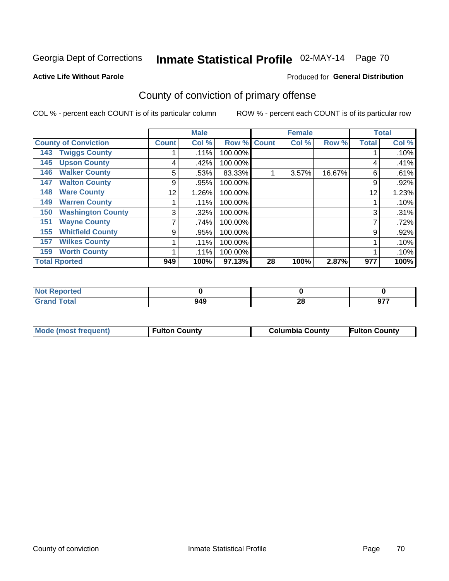#### **Active Life Without Parole**

#### Produced for **General Distribution**

## County of conviction of primary offense

|                             |                          |              | <b>Male</b> |         |              | <b>Female</b> |        |              | <b>Total</b> |
|-----------------------------|--------------------------|--------------|-------------|---------|--------------|---------------|--------|--------------|--------------|
| <b>County of Conviction</b> |                          | <b>Count</b> | Col %       | Row %   | <b>Count</b> | Col %         | Row %  | <b>Total</b> | Col %        |
| 143                         | <b>Twiggs County</b>     |              | .11%        | 100.00% |              |               |        |              | .10%         |
| 145                         | <b>Upson County</b>      | 4            | .42%        | 100.00% |              |               |        | 4            | .41%         |
| 146                         | <b>Walker County</b>     | 5            | .53%        | 83.33%  |              | 3.57%         | 16.67% | 6            | .61%         |
| 147                         | <b>Walton County</b>     | 9            | .95%        | 100.00% |              |               |        | 9            | .92%         |
| 148                         | <b>Ware County</b>       | 12           | 1.26%       | 100.00% |              |               |        | 12           | 1.23%        |
| 149                         | <b>Warren County</b>     |              | .11%        | 100.00% |              |               |        |              | .10%         |
| 150                         | <b>Washington County</b> | 3            | .32%        | 100.00% |              |               |        | 3            | .31%         |
| 151                         | <b>Wayne County</b>      |              | .74%        | 100.00% |              |               |        | ⇁            | .72%         |
| 155                         | <b>Whitfield County</b>  | 9            | .95%        | 100.00% |              |               |        | 9            | .92%         |
| 157                         | <b>Wilkes County</b>     |              | .11%        | 100.00% |              |               |        |              | .10%         |
| 159                         | <b>Worth County</b>      |              | .11%        | 100.00% |              |               |        |              | .10%         |
| <b>Total Rported</b>        |                          | 949          | 100%        | 97.13%  | 28           | 100%          | 2.87%  | 977          | 100%         |

| rreo                  |     |    |               |
|-----------------------|-----|----|---------------|
| $f \wedge f \wedge f$ | 949 | ^^ | $\sim$ $\sim$ |
| .                     |     | ZU | J1.           |

|  | Mode (most frequent) | <b>Fulton County</b> | <b>Columbia County</b> | <b>Fulton County</b> |
|--|----------------------|----------------------|------------------------|----------------------|
|--|----------------------|----------------------|------------------------|----------------------|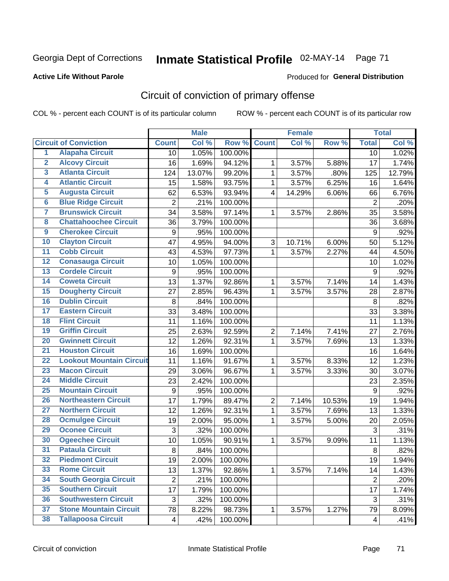### **Active Life Without Parole**

#### Produced for **General Distribution**

## Circuit of conviction of primary offense

|                         |                                 |                | <b>Male</b> |                  |              | <b>Female</b> |        |                  | <b>Total</b> |
|-------------------------|---------------------------------|----------------|-------------|------------------|--------------|---------------|--------|------------------|--------------|
|                         | <b>Circuit of Conviction</b>    | <b>Count</b>   | Col %       | Row <sup>%</sup> | <b>Count</b> | Col %         | Row %  | <b>Total</b>     | Col %        |
| 1                       | <b>Alapaha Circuit</b>          | 10             | 1.05%       | 100.00%          |              |               |        | 10               | 1.02%        |
| $\overline{2}$          | <b>Alcovy Circuit</b>           | 16             | 1.69%       | 94.12%           | 1            | 3.57%         | 5.88%  | 17               | 1.74%        |
| $\overline{\mathbf{3}}$ | <b>Atlanta Circuit</b>          | 124            | 13.07%      | 99.20%           | $\mathbf{1}$ | 3.57%         | .80%   | 125              | 12.79%       |
| 4                       | <b>Atlantic Circuit</b>         | 15             | 1.58%       | 93.75%           | 1            | 3.57%         | 6.25%  | 16               | 1.64%        |
| $\overline{5}$          | <b>Augusta Circuit</b>          | 62             | 6.53%       | 93.94%           | 4            | 14.29%        | 6.06%  | 66               | 6.76%        |
| $6\overline{6}$         | <b>Blue Ridge Circuit</b>       | $\overline{c}$ | .21%        | 100.00%          |              |               |        | $\boldsymbol{2}$ | .20%         |
| 7                       | <b>Brunswick Circuit</b>        | 34             | 3.58%       | 97.14%           | 1            | 3.57%         | 2.86%  | 35               | 3.58%        |
| 8                       | <b>Chattahoochee Circuit</b>    | 36             | 3.79%       | 100.00%          |              |               |        | 36               | 3.68%        |
| $\overline{9}$          | <b>Cherokee Circuit</b>         | 9              | .95%        | 100.00%          |              |               |        | 9                | .92%         |
| 10                      | <b>Clayton Circuit</b>          | 47             | 4.95%       | 94.00%           | 3            | 10.71%        | 6.00%  | 50               | 5.12%        |
| $\overline{11}$         | <b>Cobb Circuit</b>             | 43             | 4.53%       | 97.73%           | $\mathbf{1}$ | 3.57%         | 2.27%  | 44               | 4.50%        |
| 12                      | <b>Conasauga Circuit</b>        | 10             | 1.05%       | 100.00%          |              |               |        | 10               | 1.02%        |
| $\overline{13}$         | <b>Cordele Circuit</b>          | 9              | .95%        | 100.00%          |              |               |        | $9\,$            | .92%         |
| $\overline{14}$         | <b>Coweta Circuit</b>           | 13             | 1.37%       | 92.86%           | $\mathbf{1}$ | 3.57%         | 7.14%  | 14               | 1.43%        |
| $\overline{15}$         | <b>Dougherty Circuit</b>        | 27             | 2.85%       | 96.43%           | $\mathbf{1}$ | 3.57%         | 3.57%  | 28               | 2.87%        |
| 16                      | <b>Dublin Circuit</b>           | 8              | .84%        | 100.00%          |              |               |        | 8                | .82%         |
| $\overline{17}$         | <b>Eastern Circuit</b>          | 33             | 3.48%       | 100.00%          |              |               |        | 33               | 3.38%        |
| 18                      | <b>Flint Circuit</b>            | 11             | 1.16%       | 100.00%          |              |               |        | 11               | 1.13%        |
| 19                      | <b>Griffin Circuit</b>          | 25             | 2.63%       | 92.59%           | $\mathbf 2$  | 7.14%         | 7.41%  | 27               | 2.76%        |
| 20                      | <b>Gwinnett Circuit</b>         | 12             | 1.26%       | 92.31%           | $\mathbf{1}$ | 3.57%         | 7.69%  | 13               | 1.33%        |
| $\overline{21}$         | <b>Houston Circuit</b>          | 16             | 1.69%       | 100.00%          |              |               |        | 16               | 1.64%        |
| $\overline{22}$         | <b>Lookout Mountain Circuit</b> | 11             | 1.16%       | 91.67%           | 1            | 3.57%         | 8.33%  | 12               | 1.23%        |
| 23                      | <b>Macon Circuit</b>            | 29             | 3.06%       | 96.67%           | 1            | 3.57%         | 3.33%  | 30               | 3.07%        |
| $\overline{24}$         | <b>Middle Circuit</b>           | 23             | 2.42%       | 100.00%          |              |               |        | 23               | 2.35%        |
| $\overline{25}$         | <b>Mountain Circuit</b>         | 9              | .95%        | 100.00%          |              |               |        | 9                | .92%         |
| 26                      | <b>Northeastern Circuit</b>     | 17             | 1.79%       | 89.47%           | $\mathbf 2$  | 7.14%         | 10.53% | 19               | 1.94%        |
| $\overline{27}$         | <b>Northern Circuit</b>         | 12             | 1.26%       | 92.31%           | $\mathbf{1}$ | 3.57%         | 7.69%  | 13               | 1.33%        |
| 28                      | <b>Ocmulgee Circuit</b>         | 19             | 2.00%       | 95.00%           | 1            | 3.57%         | 5.00%  | 20               | 2.05%        |
| 29                      | <b>Oconee Circuit</b>           | 3              | .32%        | 100.00%          |              |               |        | $\mathfrak{S}$   | .31%         |
| 30                      | <b>Ogeechee Circuit</b>         | 10             | 1.05%       | 90.91%           | 1            | 3.57%         | 9.09%  | 11               | 1.13%        |
| $\overline{31}$         | <b>Pataula Circuit</b>          | $\bf 8$        | .84%        | 100.00%          |              |               |        | 8                | .82%         |
| 32                      | <b>Piedmont Circuit</b>         | 19             | 2.00%       | 100.00%          |              |               |        | 19               | 1.94%        |
| 33                      | <b>Rome Circuit</b>             | 13             | 1.37%       | 92.86%           | $\mathbf{1}$ | 3.57%         | 7.14%  | 14               | 1.43%        |
| 34                      | <b>South Georgia Circuit</b>    | $\mathbf{2}$   | .21%        | 100.00%          |              |               |        | $\mathbf{2}$     | .20%         |
| 35                      | <b>Southern Circuit</b>         | 17             | 1.79%       | 100.00%          |              |               |        | 17               | 1.74%        |
| 36                      | <b>Southwestern Circuit</b>     | $\sqrt{3}$     | .32%        | 100.00%          |              |               |        | 3                | .31%         |
| 37                      | <b>Stone Mountain Circuit</b>   | 78             | 8.22%       | 98.73%           | 1            | 3.57%         | 1.27%  | 79               | 8.09%        |
| 38                      | <b>Tallapoosa Circuit</b>       | 4              | .42%        | 100.00%          |              |               |        | $\overline{4}$   | .41%         |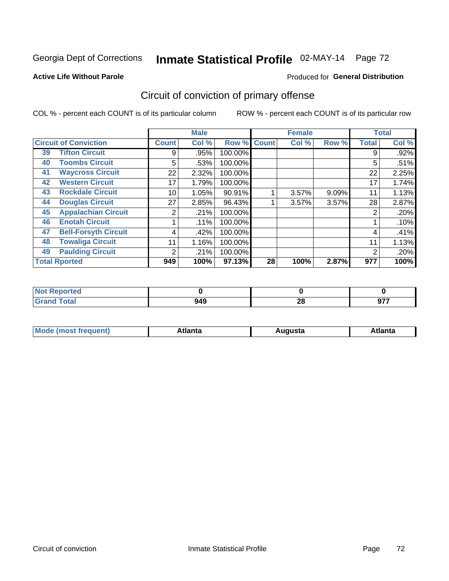#### **Active Life Without Parole**

#### Produced for **General Distribution**

## Circuit of conviction of primary offense

|    |                              |                | <b>Male</b> |         |              | <b>Female</b> |       |              | <b>Total</b> |
|----|------------------------------|----------------|-------------|---------|--------------|---------------|-------|--------------|--------------|
|    | <b>Circuit of Conviction</b> | <b>Count</b>   | Col %       | Row %   | <b>Count</b> | Col %         | Row % | <b>Total</b> | Col %        |
| 39 | <b>Tifton Circuit</b>        | 9              | .95%        | 100.00% |              |               |       | 9            | .92%         |
| 40 | <b>Toombs Circuit</b>        | 5              | .53%        | 100.00% |              |               |       | 5            | .51%         |
| 41 | <b>Waycross Circuit</b>      | 22             | 2.32%       | 100.00% |              |               |       | 22           | 2.25%        |
| 42 | <b>Western Circuit</b>       | 17             | 1.79%       | 100.00% |              |               |       | 17           | 1.74%        |
| 43 | <b>Rockdale Circuit</b>      | 10             | 1.05%       | 90.91%  |              | 3.57%         | 9.09% | 11           | 1.13%        |
| 44 | <b>Douglas Circuit</b>       | 27             | 2.85%       | 96.43%  |              | 3.57%         | 3.57% | 28           | 2.87%        |
| 45 | <b>Appalachian Circuit</b>   | 2              | .21%        | 100.00% |              |               |       | 2            | .20%         |
| 46 | <b>Enotah Circuit</b>        |                | .11%        | 100.00% |              |               |       |              | .10%         |
| 47 | <b>Bell-Forsyth Circuit</b>  | 4              | .42%        | 100.00% |              |               |       | 4            | .41%         |
| 48 | <b>Towaliga Circuit</b>      | 11             | 1.16%       | 100.00% |              |               |       | 11           | 1.13%        |
| 49 | <b>Paulding Circuit</b>      | $\overline{2}$ | .21%        | 100.00% |              |               |       | 2            | .20%         |
|    | <b>Total Rported</b>         | 949            | 100%        | 97.13%  | 28           | 100%          | 2.87% | 977          | 100%         |

| ported<br>N  |     |          |               |
|--------------|-----|----------|---------------|
| <b>Total</b> | 949 | ററ<br>40 | 077<br>. JI . |

| М<br>. In n tr<br>.<br>.<br>wanta<br>ााद्व<br>31.<br>$\sim$ $\sim$ $\sim$ |
|---------------------------------------------------------------------------|
|---------------------------------------------------------------------------|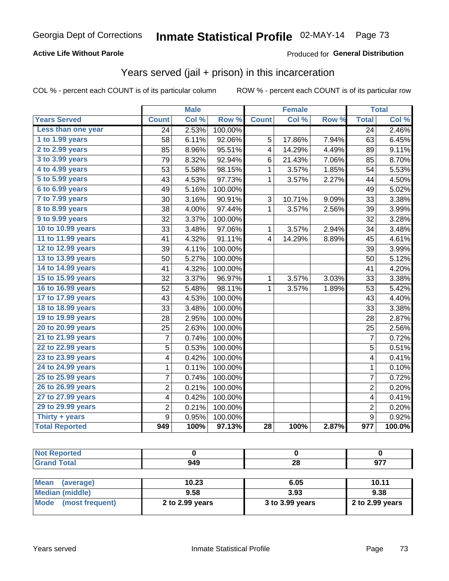### **Active Life Without Parole**

#### Produced for **General Distribution**

## Years served (jail + prison) in this incarceration

|                       | <b>Male</b>    |       | <b>Female</b> |                 |        | <b>Total</b> |                  |        |
|-----------------------|----------------|-------|---------------|-----------------|--------|--------------|------------------|--------|
| <b>Years Served</b>   | <b>Count</b>   | Col % | Row %         | <b>Count</b>    | Col %  | Row %        | <b>Total</b>     | Col %  |
| Less than one year    | 24             | 2.53% | 100.00%       |                 |        |              | $\overline{24}$  | 2.46%  |
| 1 to 1.99 years       | 58             | 6.11% | 92.06%        | 5               | 17.86% | 7.94%        | 63               | 6.45%  |
| 2 to 2.99 years       | 85             | 8.96% | 95.51%        | 4               | 14.29% | 4.49%        | 89               | 9.11%  |
| 3 to 3.99 years       | 79             | 8.32% | 92.94%        | 6               | 21.43% | 7.06%        | 85               | 8.70%  |
| 4 to 4.99 years       | 53             | 5.58% | 98.15%        | $\mathbf{1}$    | 3.57%  | 1.85%        | 54               | 5.53%  |
| 5 to 5.99 years       | 43             | 4.53% | 97.73%        | $\mathbf{1}$    | 3.57%  | 2.27%        | 44               | 4.50%  |
| 6 to 6.99 years       | 49             | 5.16% | 100.00%       |                 |        |              | 49               | 5.02%  |
| 7 to 7.99 years       | 30             | 3.16% | 90.91%        | 3               | 10.71% | 9.09%        | 33               | 3.38%  |
| 8 to 8.99 years       | 38             | 4.00% | 97.44%        | 1               | 3.57%  | 2.56%        | 39               | 3.99%  |
| 9 to 9.99 years       | 32             | 3.37% | 100.00%       |                 |        |              | 32               | 3.28%  |
| 10 to 10.99 years     | 33             | 3.48% | 97.06%        | 1               | 3.57%  | 2.94%        | 34               | 3.48%  |
| 11 to 11.99 years     | 41             | 4.32% | 91.11%        | 4               | 14.29% | 8.89%        | 45               | 4.61%  |
| 12 to 12.99 years     | 39             | 4.11% | 100.00%       |                 |        |              | 39               | 3.99%  |
| 13 to 13.99 years     | 50             | 5.27% | 100.00%       |                 |        |              | 50               | 5.12%  |
| 14 to 14.99 years     | 41             | 4.32% | 100.00%       |                 |        |              | 41               | 4.20%  |
| 15 to 15.99 years     | 32             | 3.37% | 96.97%        | 1               | 3.57%  | 3.03%        | 33               | 3.38%  |
| 16 to 16.99 years     | 52             | 5.48% | 98.11%        | $\mathbf{1}$    | 3.57%  | 1.89%        | 53               | 5.42%  |
| 17 to 17.99 years     | 43             | 4.53% | 100.00%       |                 |        |              | 43               | 4.40%  |
| 18 to 18.99 years     | 33             | 3.48% | 100.00%       |                 |        |              | 33               | 3.38%  |
| 19 to 19.99 years     | 28             | 2.95% | 100.00%       |                 |        |              | 28               | 2.87%  |
| 20 to 20.99 years     | 25             | 2.63% | 100.00%       |                 |        |              | 25               | 2.56%  |
| 21 to 21.99 years     | 7              | 0.74% | 100.00%       |                 |        |              | $\overline{7}$   | 0.72%  |
| 22 to 22.99 years     | 5              | 0.53% | 100.00%       |                 |        |              | 5                | 0.51%  |
| 23 to 23.99 years     | 4              | 0.42% | 100.00%       |                 |        |              | 4                | 0.41%  |
| 24 to 24.99 years     | 1              | 0.11% | 100.00%       |                 |        |              | 1                | 0.10%  |
| 25 to 25.99 years     | $\overline{7}$ | 0.74% | 100.00%       |                 |        |              | $\overline{7}$   | 0.72%  |
| 26 to 26.99 years     | 2              | 0.21% | 100.00%       |                 |        |              | $\overline{c}$   | 0.20%  |
| 27 to 27.99 years     | 4              | 0.42% | 100.00%       |                 |        |              | 4                | 0.41%  |
| 29 to 29.99 years     | 2              | 0.21% | 100.00%       |                 |        |              | 2                | 0.20%  |
| Thirty + years        | 9              | 0.95% | 100.00%       |                 |        |              | $\boldsymbol{9}$ | 0.92%  |
| <b>Total Reported</b> | 949            | 100%  | 97.13%        | $\overline{28}$ | 100%   | 2.87%        | $\overline{977}$ | 100.0% |

| <b>Not Reported</b>      |                 |                 |                 |
|--------------------------|-----------------|-----------------|-----------------|
| <b>Grand Total</b>       | 949             | 28              | 977             |
|                          |                 |                 |                 |
| <b>Mean</b><br>(average) | 10.23           | 6.05            | 10.11           |
| <b>Median (middle)</b>   | 9.58            | 3.93            | 9.38            |
| Mode (most frequent)     | 2 to 2.99 years | 3 to 3.99 years | 2 to 2.99 years |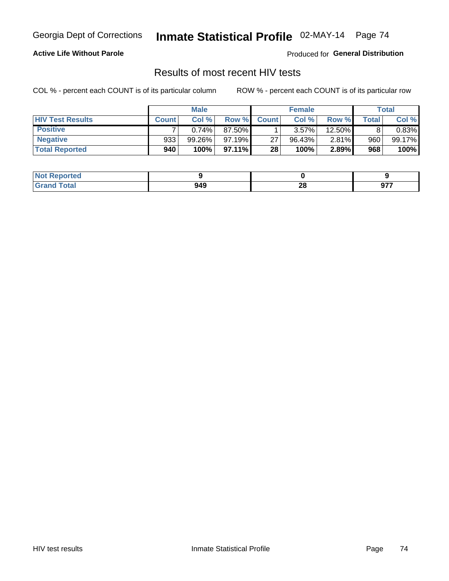### **Active Life Without Parole**

Produced for **General Distribution**

## Results of most recent HIV tests

|                         | <b>Male</b>  |           |         | <b>Female</b> |        |        | Total |        |
|-------------------------|--------------|-----------|---------|---------------|--------|--------|-------|--------|
| <b>HIV Test Results</b> | <b>Count</b> | Col%      | Row %   | <b>Count</b>  | Col %  | Row %I | Total | Col %  |
| <b>Positive</b>         |              | 0.74%     | 87.50%  |               | 3.57%  | 12.50% |       | 0.83%  |
| <b>Negative</b>         | 933          | $99.26\%$ | 97.19%  | 27            | 96.43% | 2.81%  | 960   | 99.17% |
| <b>Total Reported</b>   | 940          | 100%      | 97.11%I | 28            | 100%   | 2.89%  | 968   | 100%   |

| <b>Not Reported</b> |     |    |      |
|---------------------|-----|----|------|
| <b>Total</b>        | 949 | റ  | 077  |
| $C$ roni            |     | zo | JI I |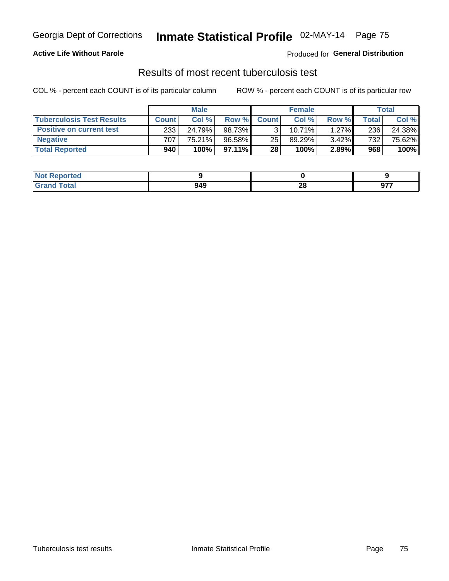### **Active Life Without Parole**

Produced for **General Distribution**

## Results of most recent tuberculosis test

|                                  | <b>Male</b>  |        |          | <b>Female</b> |        |          | Total   |        |
|----------------------------------|--------------|--------|----------|---------------|--------|----------|---------|--------|
| <b>Tuberculosis Test Results</b> | <b>Count</b> | Col%   | Row %I   | <b>Count</b>  | Col %  | Row %    | Total I | Col %  |
| <b>Positive on current test</b>  | 233          | 24.79% | 98.73%   |               | 10.71% | $1.27\%$ | 236     | 24.38% |
| <b>Negative</b>                  | 707          | 75.21% | 96.58%   | 25            | 89.29% | $3.42\%$ | 732     | 75.62% |
| <b>Total Reported</b>            | 940          | 100%   | 97.11% L | 28            | 100%   | 2.89%    | 968     | 100%   |

| <b>Not Reported</b> |     |           |             |
|---------------------|-----|-----------|-------------|
| <b>Fotal</b>        | 949 | - 0<br>ZO | ~--<br>י יש |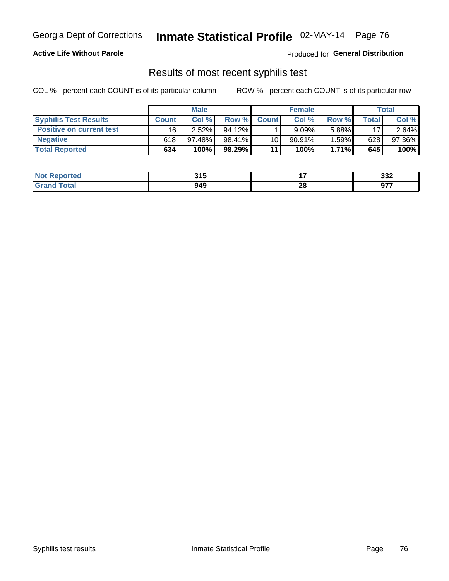### **Active Life Without Parole**

Produced for **General Distribution**

### Results of most recent syphilis test

|                                 | <b>Male</b>  |           |           | <b>Female</b> |           |          | Total       |        |
|---------------------------------|--------------|-----------|-----------|---------------|-----------|----------|-------------|--------|
| <b>Syphilis Test Results</b>    | <b>Count</b> | Col%      | Row %     | <b>Count</b>  | Col %     | Row %I   | $\tau$ otal | Col %  |
| <b>Positive on current test</b> | 16           | $2.52\%$  | $94.12\%$ |               | 9.09%     | 5.88%    | 17          | 2.64%  |
| <b>Negative</b>                 | 618          | $97.48\%$ | 98.41%    | 10            | $90.91\%$ | 1.59%    | 628         | 97.36% |
| <b>Total Reported</b>           | 634          | 100%      | 98.29%    | 11            | 100%      | $1.71\%$ | 645         | 100%   |

| <b>Not Reported</b> | 315 |    | っっっ<br>ےدد  |
|---------------------|-----|----|-------------|
| <b>Total</b>        | 949 | 28 | 677<br>י יש |